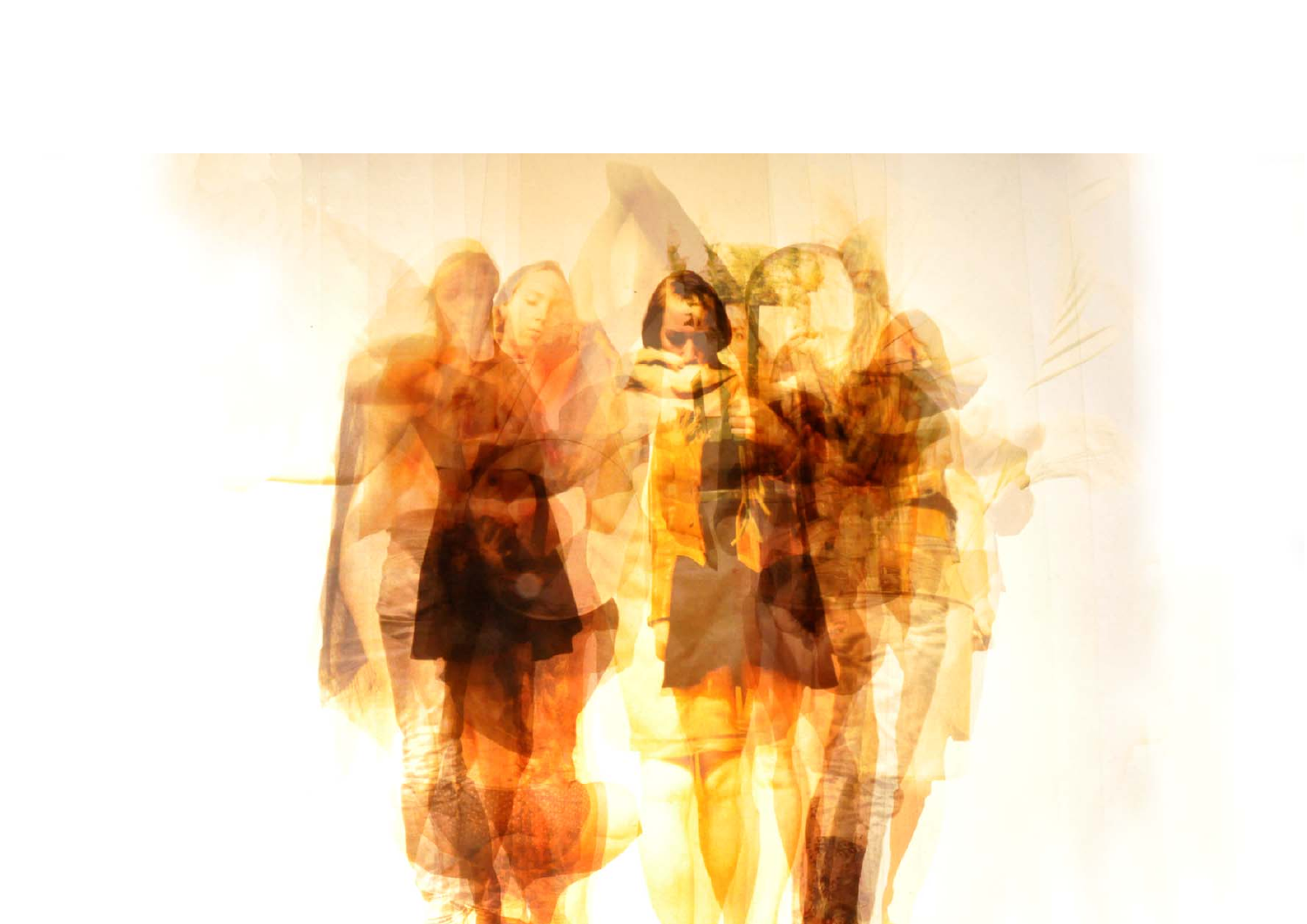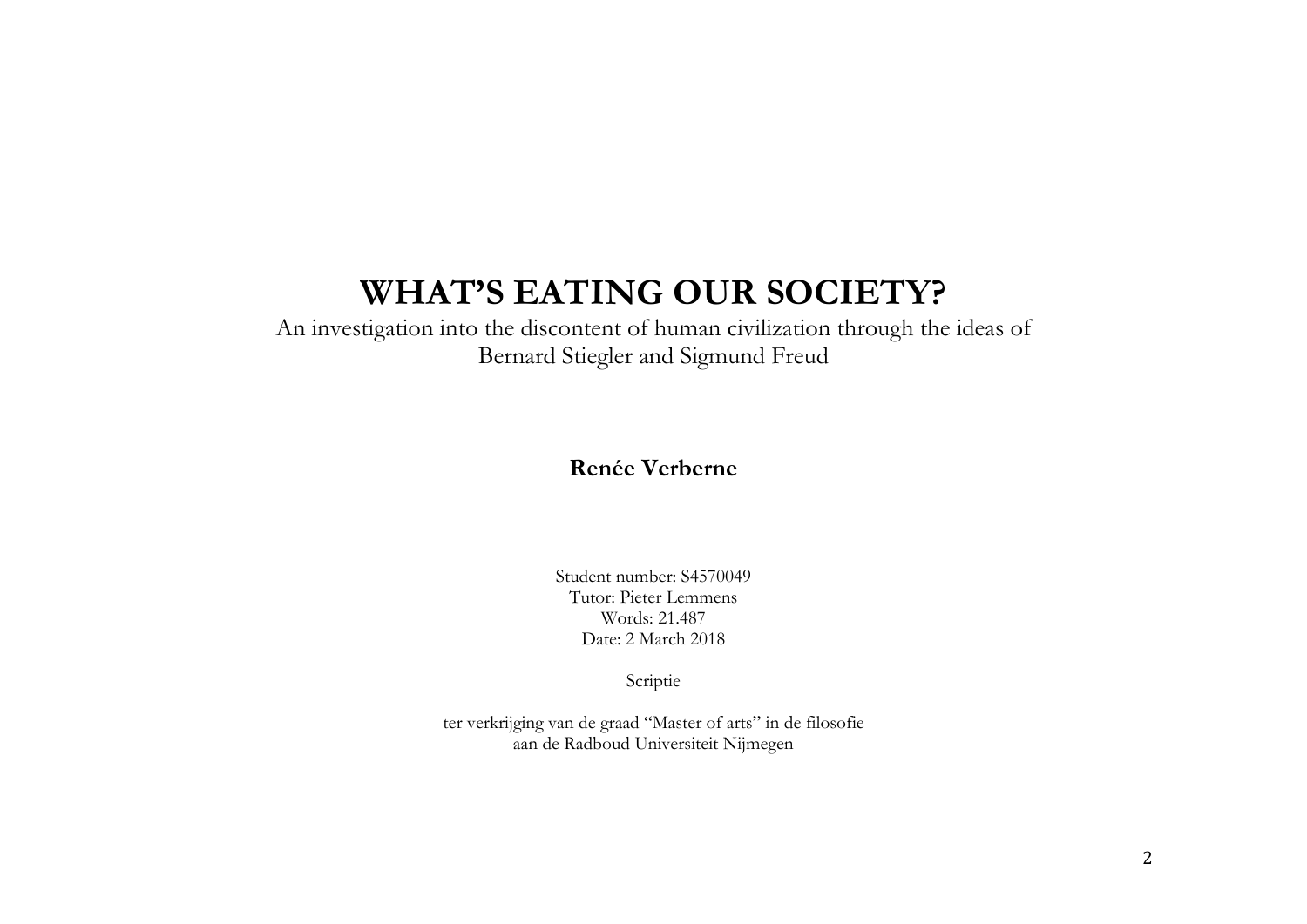# **WHAT'S EATING OUR SOCIETY?**

An investigation into the discontent of human civilization through the ideas of Bernard Stiegler and Sigmund Freud

### **Renée Verberne**

Student number: S4570049 Tutor: Pieter Lemmens Words: 21.487 Date: 2 March 2018

Scriptie

ter verkrijging van de graad "Master of arts" in de filosofie aan de Radboud Universiteit Nijmegen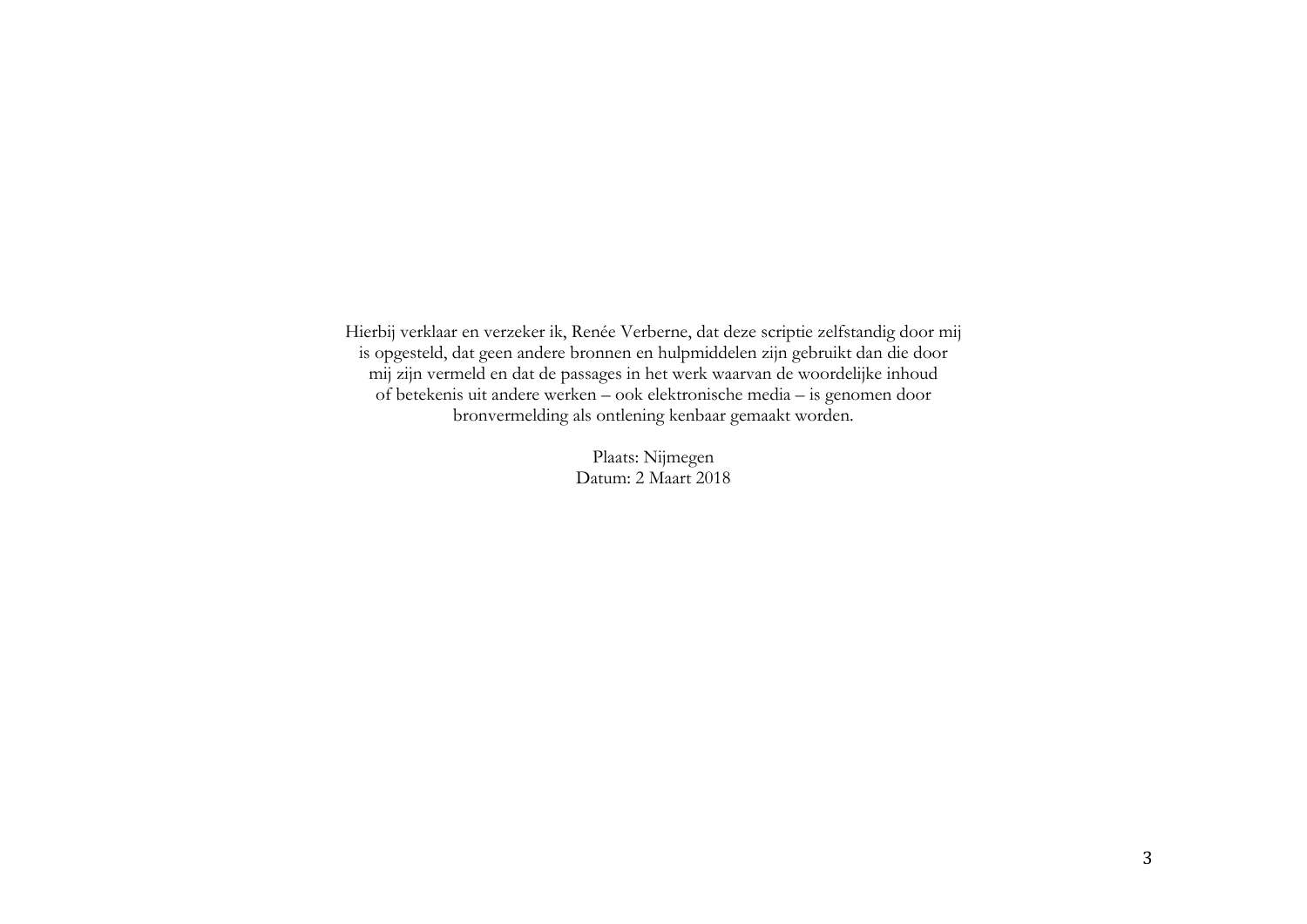Hierbij verklaar en verzeker ik, Renée Verberne, dat deze scriptie zelfstandig door mij is opgesteld, dat geen andere bronnen en hulpmiddelen zijn gebruikt dan die door mij zijn vermeld en dat de passages in het werk waarvan de woordelijke inhoud of betekenis uit andere werken – ook elektronische media – is genomen door bronvermelding als ontlening kenbaar gemaakt worden.

> Plaats: Nijmegen Datum: 2 Maart 2018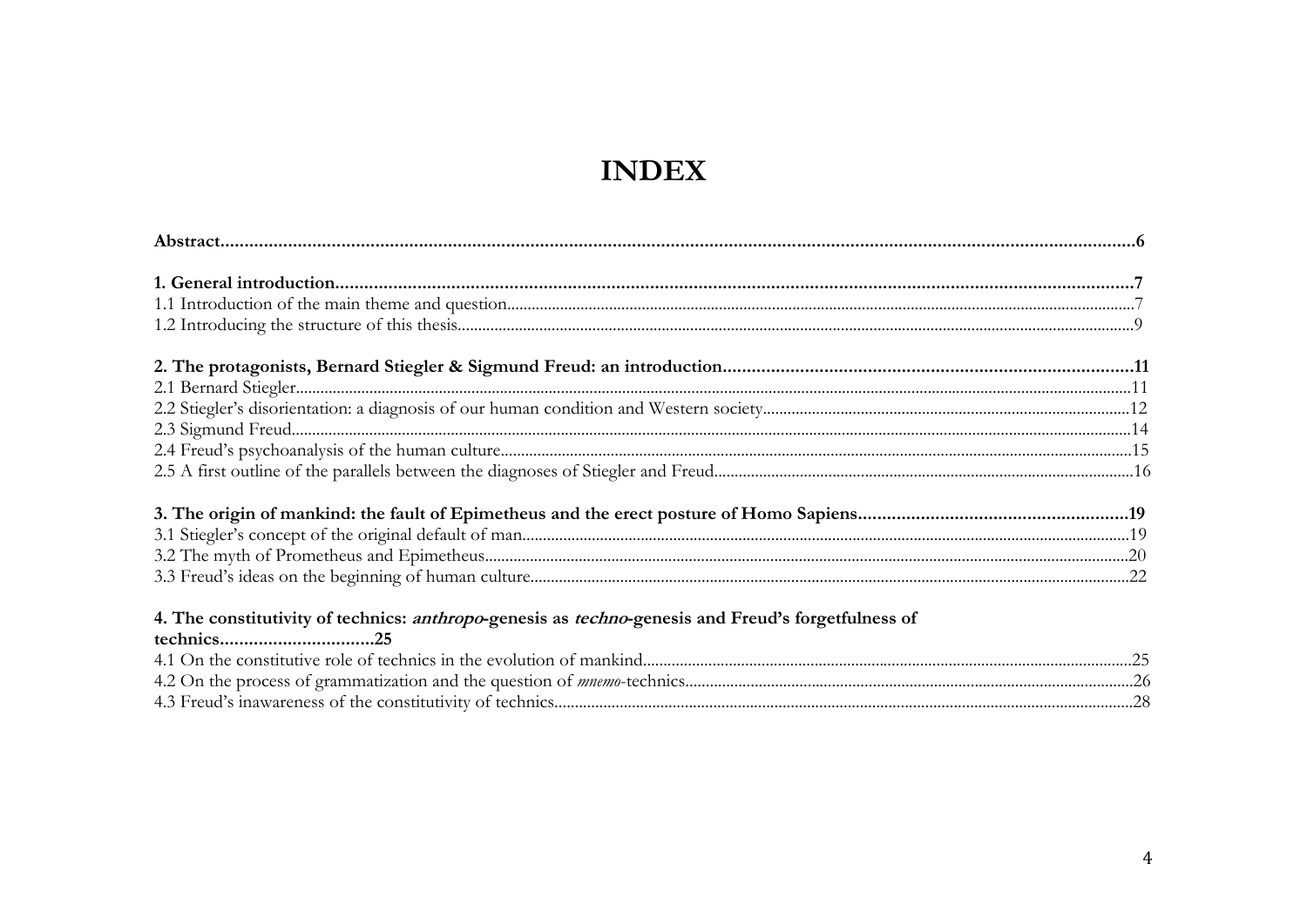## **INDEX**

| 4. The constitutivity of technics: <i>anthropo</i> -genesis as <i>techno</i> -genesis and Freud's forgetfulness of |  |
|--------------------------------------------------------------------------------------------------------------------|--|
|                                                                                                                    |  |
|                                                                                                                    |  |
|                                                                                                                    |  |
|                                                                                                                    |  |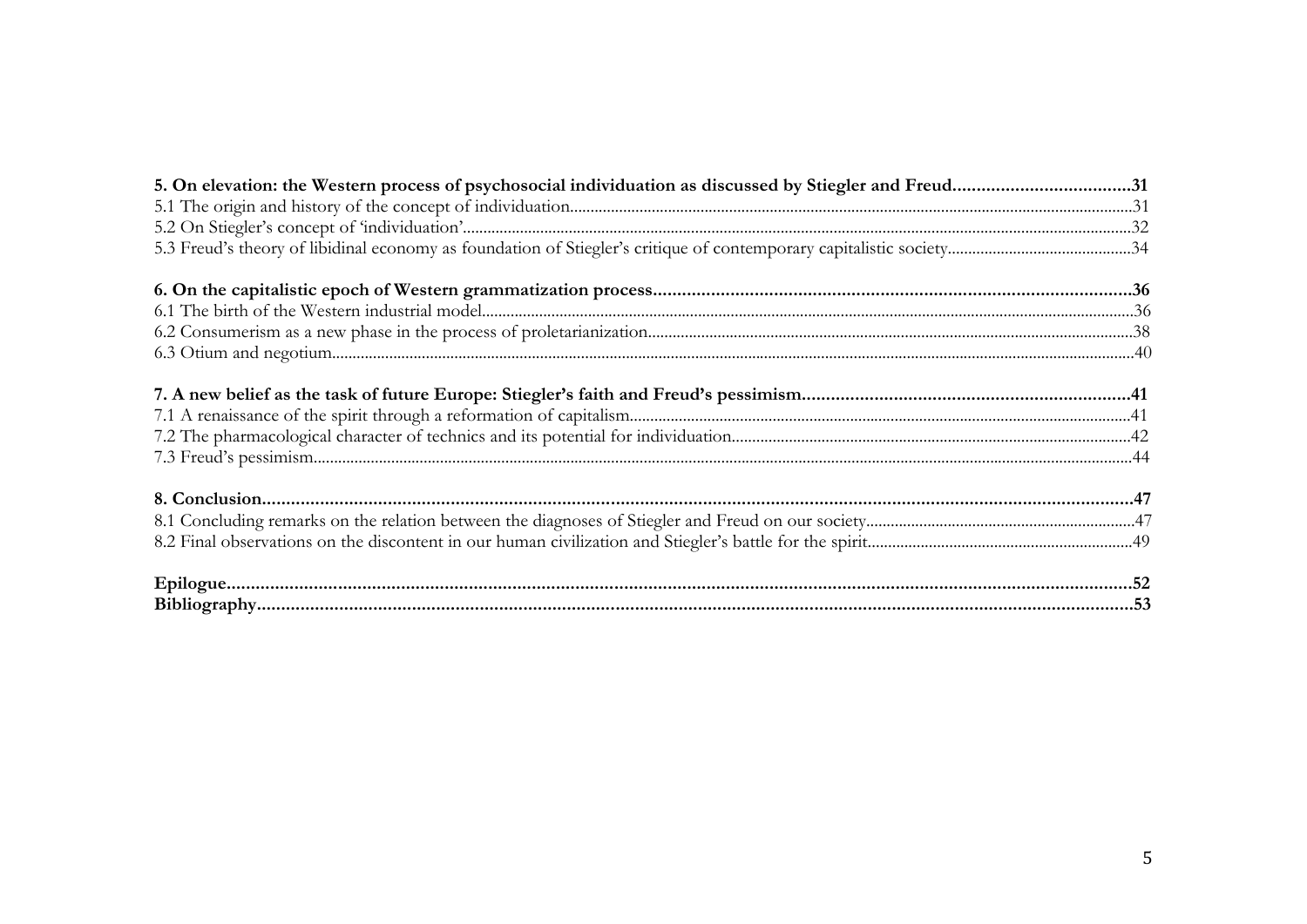| 5. On elevation: the Western process of psychosocial individuation as discussed by Stiegler and Freud31 |  |
|---------------------------------------------------------------------------------------------------------|--|
|                                                                                                         |  |
|                                                                                                         |  |
|                                                                                                         |  |
|                                                                                                         |  |
|                                                                                                         |  |
|                                                                                                         |  |
|                                                                                                         |  |
|                                                                                                         |  |
|                                                                                                         |  |
|                                                                                                         |  |
|                                                                                                         |  |
|                                                                                                         |  |
|                                                                                                         |  |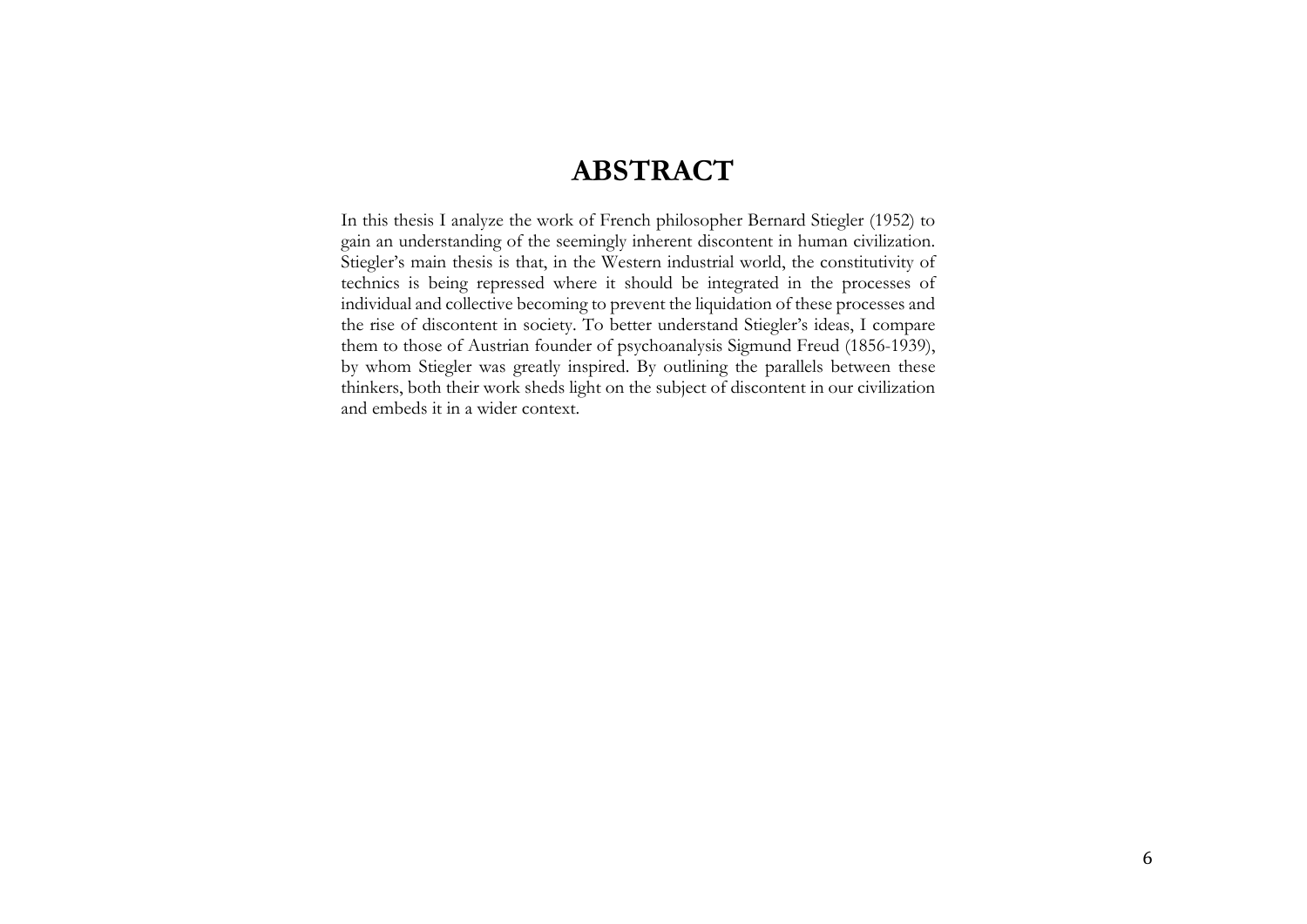### **ABSTRACT**

In this thesis I analyze the work of French philosopher Bernard Stiegler (1952) to gain an understanding of the seemingly inherent discontent in human civilization. Stiegler's main thesis is that, in the Western industrial world, the constitutivity of technics is being repressed where it should be integrated in the processes of individual and collective becoming to prevent the liquidation of these processes and the rise of discontent in society. To better understand Stiegler's ideas, I compare them to those of Austrian founder of psychoanalysis Sigmund Freud (1856-1939), by whom Stiegler was greatly inspired. By outlining the parallels between these thinkers, both their work sheds light on the subject of discontent in our civilization and embeds it in a wider context.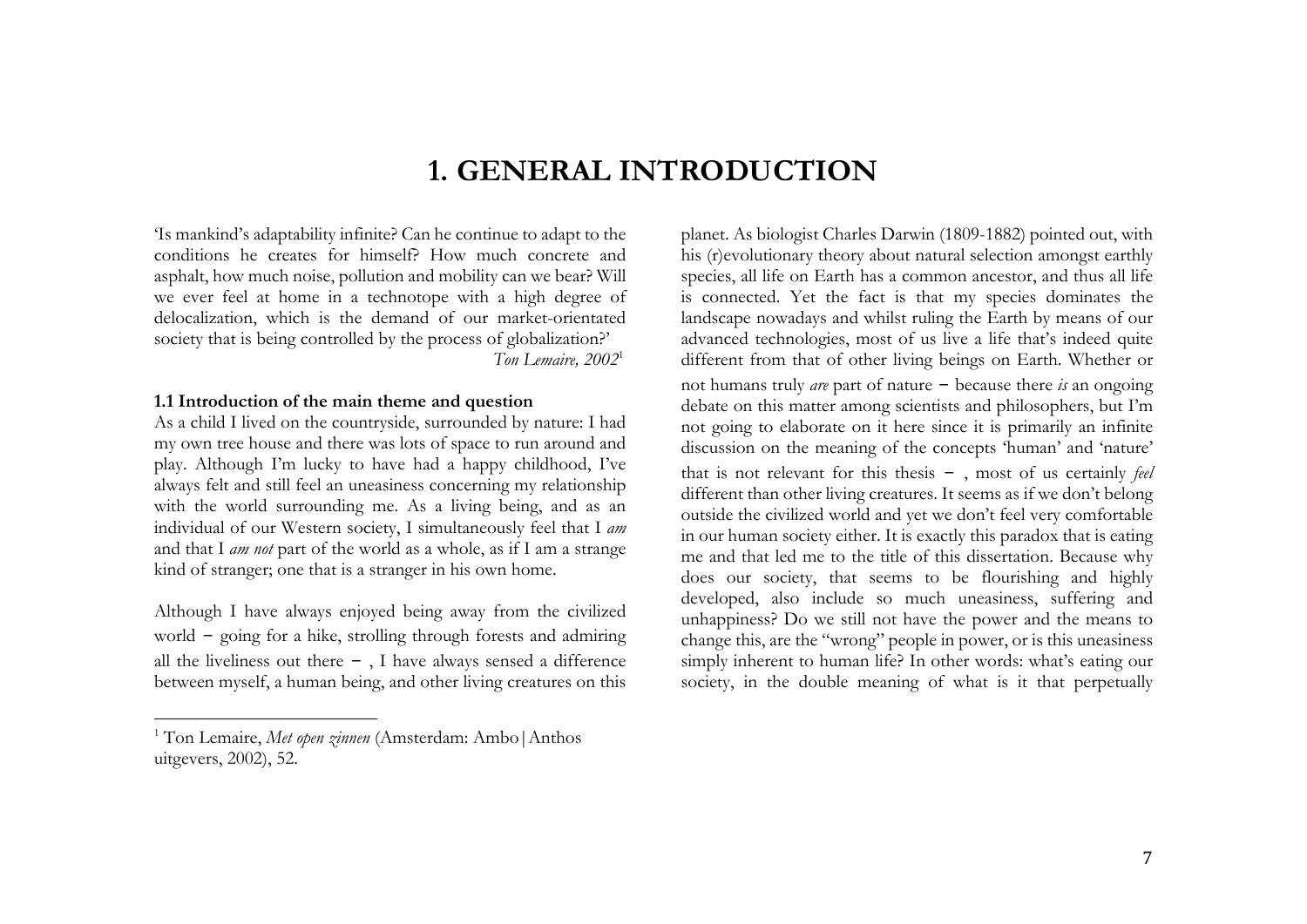### **1. GENERAL INTRODUCTION**

'Is mankind's adaptability infinite? Can he continue to adapt to the conditions he creates for himself? How much concrete and asphalt, how much noise, pollution and mobility can we bear? Will we ever feel at home in a technotope with a high degree of delocalization, which is the demand of our market-orientated society that is being controlled by the process of globalization?' *Ton Lemaire, 2002*<sup>1</sup>

#### **1.1 Introduction of the main theme and question**

As a child I lived on the countryside, surrounded by nature: I had my own tree house and there was lots of space to run around and play. Although I'm lucky to have had a happy childhood, I've always felt and still feel an uneasiness concerning my relationship with the world surrounding me. As a living being, and as an individual of our Western society, I simultaneously feel that I *am*  and that I *am not* part of the world as a whole, as if I am a strange kind of stranger; one that is a stranger in his own home.

Although I have always enjoyed being away from the civilized world <sup>−</sup> going for a hike, strolling through forests and admiring all the liveliness out there  $-$ , I have always sensed a difference between myself, a human being, and other living creatures on this

planet. As biologist Charles Darwin (1809-1882) pointed out, with his (r)evolutionary theory about natural selection amongst earthly species, all life on Earth has a common ancestor, and thus all life is connected. Yet the fact is that my species dominates the landscape nowadays and whilst ruling the Earth by means of our advanced technologies, most of us live a life that's indeed quite different from that of other living beings on Earth. Whether or not humans truly *are* part of nature <sup>−</sup> because there *is* an ongoing debate on this matter among scientists and philosophers, but I'm not going to elaborate on it here since it is primarily an infinite discussion on the meaning of the concepts 'human' and 'nature' that is not relevant for this thesis <sup>−</sup>, most of us certainly *feel*  different than other living creatures. It seems as if we don't belong outside the civilized world and yet we don't feel very comfortable in our human society either. It is exactly this paradox that is eating me and that led me to the title of this dissertation. Because why does our society, that seems to be flourishing and highly developed, also include so much uneasiness, suffering and unhappiness? Do we still not have the power and the means to change this, are the "wrong" people in power, or is this uneasiness simply inherent to human life? In other words: what's eating our society, in the double meaning of what is it that perpetually

<sup>1</sup> Ton Lemaire, *Met open zinnen* (Amsterdam: Ambo|Anthos uitgevers, 2002), 52.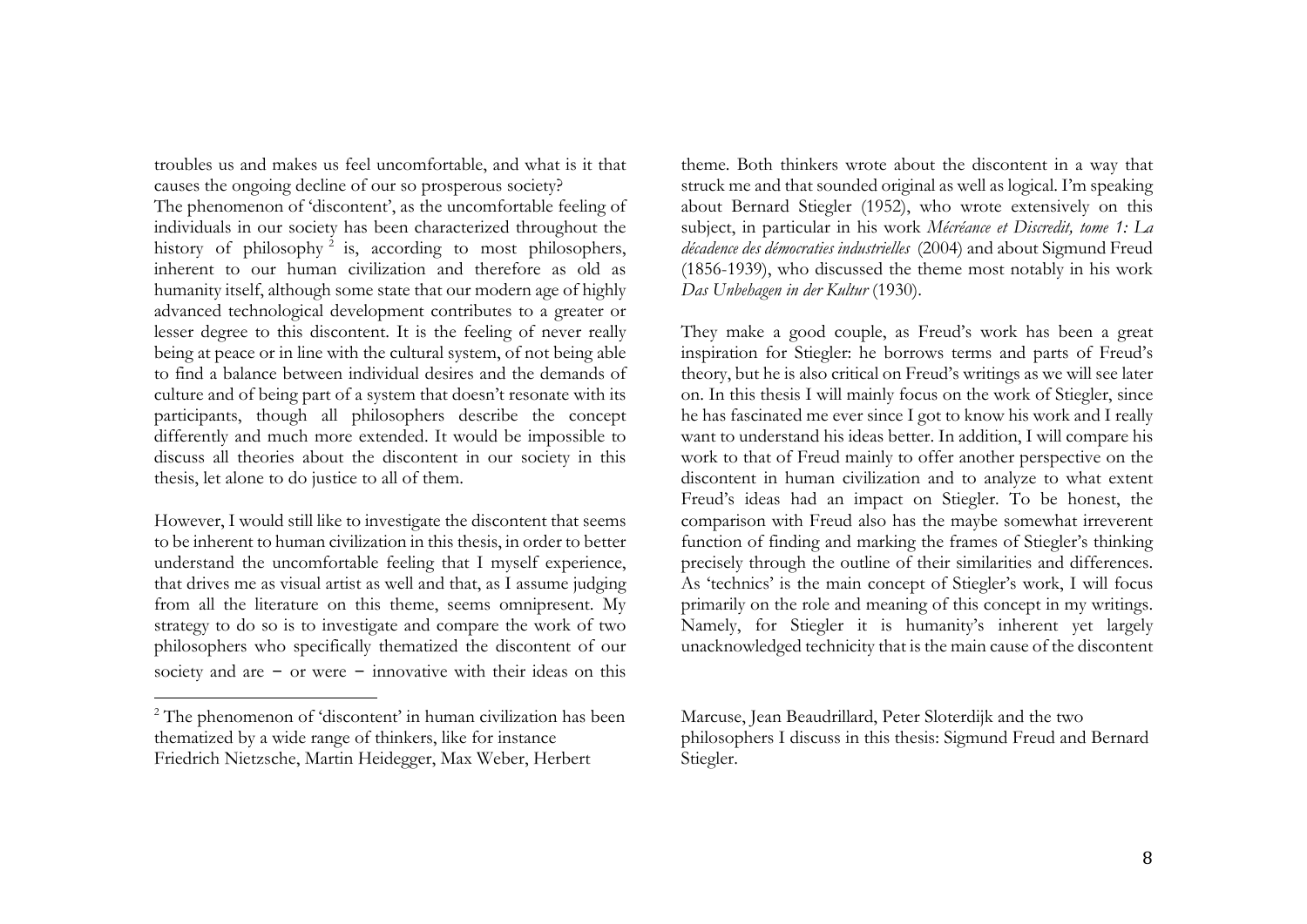troubles us and makes us feel uncomfortable, and what is it that causes the ongoing decline of our so prosperous society?

The phenomenon of 'discontent', as the uncomfortable feeling of individuals in our society has been characterized throughout the history of philosophy<sup>2</sup> is, according to most philosophers, inherent to our human civilization and therefore as old as humanity itself, although some state that our modern age of highly advanced technological development contributes to a greater or lesser degree to this discontent. It is the feeling of never really being at peace or in line with the cultural system, of not being able to find a balance between individual desires and the demands of culture and of being part of a system that doesn't resonate with its participants, though all philosophers describe the concept differently and much more extended. It would be impossible to discuss all theories about the discontent in our society in this thesis, let alone to do justice to all of them.

However, I would still like to investigate the discontent that seems to be inherent to human civilization in this thesis, in order to better understand the uncomfortable feeling that I myself experience, that drives me as visual artist as well and that, as I assume judging from all the literature on this theme, seems omnipresent. My strategy to do so is to investigate and compare the work of two philosophers who specifically thematized the discontent of our society and are − or were − innovative with their ideas on this theme. Both thinkers wrote about the discontent in a way that struck me and that sounded original as well as logical. I'm speaking about Bernard Stiegler (1952), who wrote extensively on this subject, in particular in his work *Mécréance et Discredit, tome 1: La décadence des démocraties industrielles* (2004) and about Sigmund Freud (1856-1939), who discussed the theme most notably in his work *Das Unbehagen in der Kultur* (1930).

They make a good couple, as Freud's work has been a great inspiration for Stiegler: he borrows terms and parts of Freud's theory, but he is also critical on Freud's writings as we will see later on. In this thesis I will mainly focus on the work of Stiegler, since he has fascinated me ever since I got to know his work and I really want to understand his ideas better. In addition, I will compare his work to that of Freud mainly to offer another perspective on the discontent in human civilization and to analyze to what extent Freud's ideas had an impact on Stiegler. To be honest, the comparison with Freud also has the maybe somewhat irreverent function of finding and marking the frames of Stiegler's thinking precisely through the outline of their similarities and differences. As 'technics' is the main concept of Stiegler's work, I will focus primarily on the role and meaning of this concept in my writings. Namely, for Stiegler it is humanity's inherent yet largely unacknowledged technicity that is the main cause of the discontent

Marcuse, Jean Beaudrillard, Peter Sloterdijk and the two philosophers I discuss in this thesis: Sigmund Freud and Bernard Stiegler.

<sup>&</sup>lt;sup>2</sup> The phenomenon of 'discontent' in human civilization has been thematized by a wide range of thinkers, like for instance Friedrich Nietzsche, Martin Heidegger, Max Weber, Herbert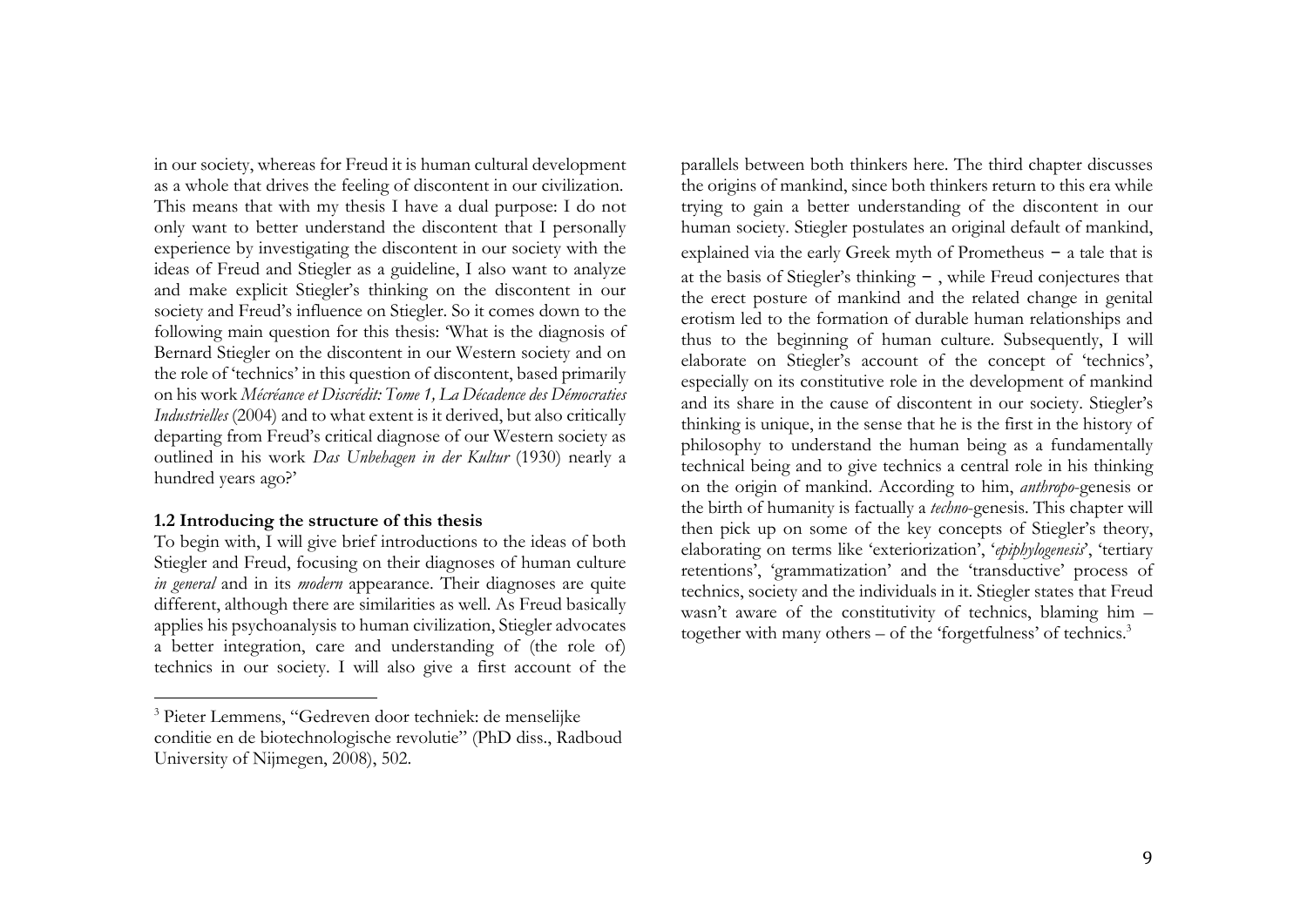in our society, whereas for Freud it is human cultural development as a whole that drives the feeling of discontent in our civilization. This means that with my thesis I have a dual purpose: I do not only want to better understand the discontent that I personally experience by investigating the discontent in our society with the ideas of Freud and Stiegler as a guideline, I also want to analyze and make explicit Stiegler's thinking on the discontent in our society and Freud's influence on Stiegler. So it comes down to the following main question for this thesis: 'What is the diagnosis of Bernard Stiegler on the discontent in our Western society and on the role of 'technics' in this question of discontent, based primarily on his work *Mécréance et Discrédit: Tome 1, La Décadence des Démocraties Industrielles* (2004) and to what extent is it derived, but also critically departing from Freud's critical diagnose of our Western society as outlined in his work *Das Unbehagen in der Kultur* (1930) nearly a hundred years ago?'

#### **1.2 Introducing the structure of this thesis**

To begin with, I will give brief introductions to the ideas of both Stiegler and Freud, focusing on their diagnoses of human culture *in general* and in its *modern* appearance. Their diagnoses are quite different, although there are similarities as well. As Freud basically applies his psychoanalysis to human civilization, Stiegler advocates a better integration, care and understanding of (the role of) technics in our society. I will also give a first account of the

parallels between both thinkers here. The third chapter discusses the origins of mankind, since both thinkers return to this era while trying to gain a better understanding of the discontent in our human society. Stiegler postulates an original default of mankind, explained via the early Greek myth of Prometheus − a tale that is at the basis of Stiegler's thinking −, while Freud conjectures that the erect posture of mankind and the related change in genital erotism led to the formation of durable human relationships and thus to the beginning of human culture. Subsequently, I will elaborate on Stiegler's account of the concept of 'technics', especially on its constitutive role in the development of mankind and its share in the cause of discontent in our society. Stiegler's thinking is unique, in the sense that he is the first in the history of philosophy to understand the human being as a fundamentally technical being and to give technics a central role in his thinking on the origin of mankind. According to him, *anthropo*-genesis or the birth of humanity is factually a *techno*-genesis. This chapter will then pick up on some of the key concepts of Stiegler's theory, elaborating on terms like 'exteriorization', '*epiphylogenesis*', 'tertiary retentions', 'grammatization' and the 'transductive' process of technics, society and the individuals in it. Stiegler states that Freud wasn't aware of the constitutivity of technics, blaming him – together with many others – of the 'forgetfulness' of technics.<sup>3</sup>

<sup>3</sup> Pieter Lemmens, "Gedreven door techniek: de menselijke conditie en de biotechnologische revolutie" (PhD diss., Radboud University of Nijmegen, 2008), 502.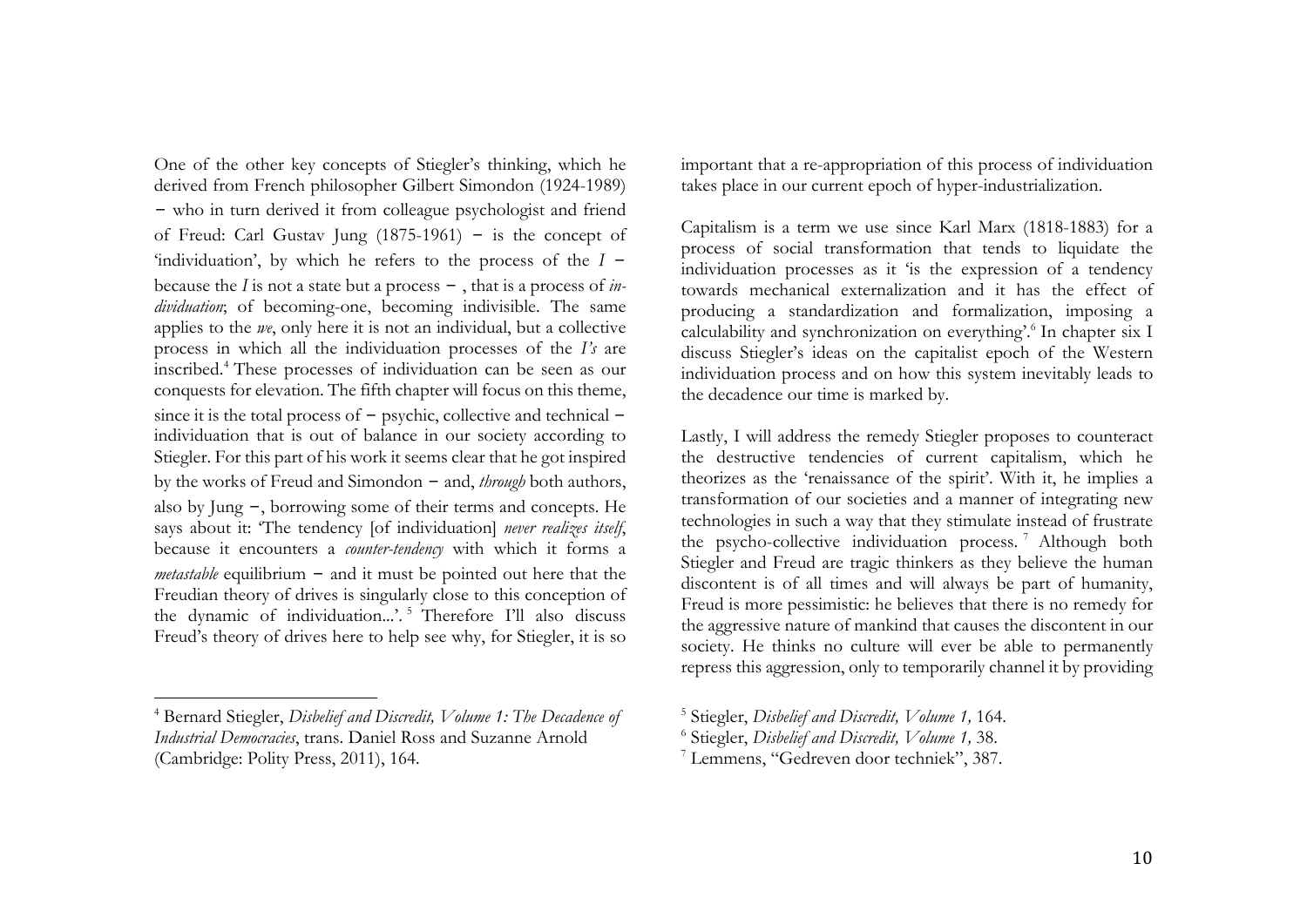One of the other key concepts of Stiegler's thinking, which he derived from French philosopher Gilbert Simondon (1924-1989) <sup>−</sup> who in turn derived it from colleague psychologist and friend of Freud: Carl Gustav Jung (1875-1961) <sup>−</sup> is the concept of 'individuation', by which he refers to the process of the *I*  − because the *I* is not a state but a process <sup>−</sup>, that is a process of *individuation*; of becoming-one, becoming indivisible. The same applies to the *we*, only here it is not an individual, but a collective process in which all the individuation processes of the *I's* are inscribed.4 These processes of individuation can be seen as our conquests for elevation. The fifth chapter will focus on this theme, since it is the total process of − psychic, collective and technical − individuation that is out of balance in our society according to Stiegler. For this part of his work it seems clear that he got inspired by the works of Freud and Simondon <sup>−</sup> and, *through* both authors, also by Jung −, borrowing some of their terms and concepts. He says about it: 'The tendency [of individuation] *never realizes itself*, because it encounters a *counter-tendency* with which it forms a *metastable* equilibrium – and it must be pointed out here that the Freudian theory of drives is singularly close to this conception of the dynamic of individuation...'. 5 Therefore I'll also discuss Freud's theory of drives here to help see why, for Stiegler, it is so

important that a re-appropriation of this process of individuation takes place in our current epoch of hyper-industrialization.

Capitalism is a term we use since Karl Marx (1818-1883) for a process of social transformation that tends to liquidate the individuation processes as it 'is the expression of a tendency towards mechanical externalization and it has the effect of producing a standardization and formalization, imposing a calculability and synchronization on everything'.6 In chapter six I discuss Stiegler's ideas on the capitalist epoch of the Western individuation process and on how this system inevitably leads to the decadence our time is marked by.

Lastly, I will address the remedy Stiegler proposes to counteract the destructive tendencies of current capitalism, which he theorizes as the 'renaissance of the spirit'. With it, he implies a transformation of our societies and a manner of integrating new technologies in such a way that they stimulate instead of frustrate the psycho-collective individuation process. 7 Although both Stiegler and Freud are tragic thinkers as they believe the human discontent is of all times and will always be part of humanity, Freud is more pessimistic: he believes that there is no remedy for the aggressive nature of mankind that causes the discontent in our society. He thinks no culture will ever be able to permanently repress this aggression, only to temporarily channel it by providing

<sup>4</sup> Bernard Stiegler, *Disbelief and Discredit, Volume 1: The Decadence of Industrial Democracies*, trans. Daniel Ross and Suzanne Arnold (Cambridge: Polity Press, 2011), 164.

<sup>5</sup> Stiegler, *Disbelief and Discredit, Volume 1,* 164. 6 Stiegler, *Disbelief and Discredit, Volume 1,* 38. 7 Lemmens, "Gedreven door techniek", 387.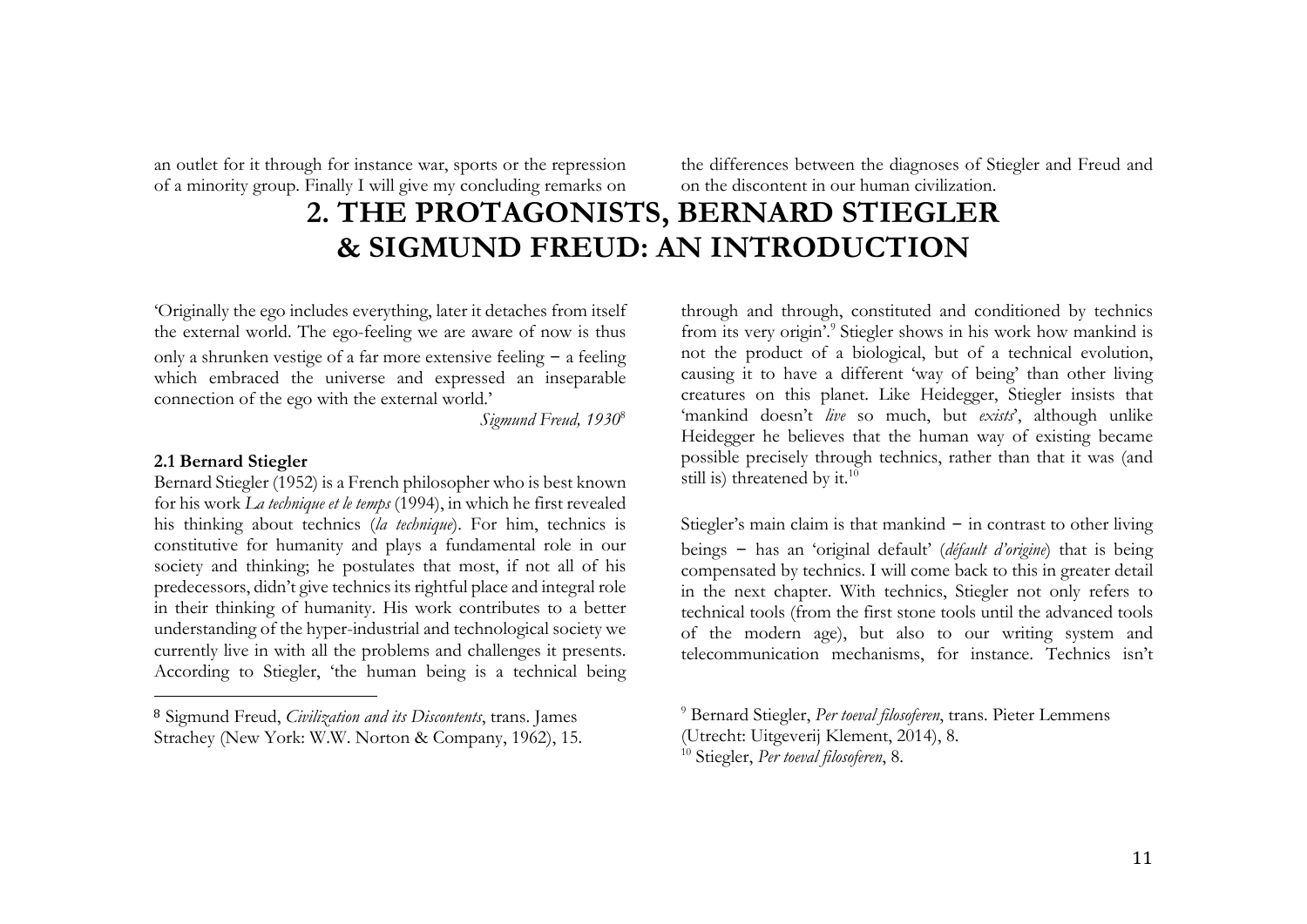an outlet for it through for instance war, sports or the repression of a minority group. Finally I will give my concluding remarks on

the differences between the diagnoses of Stiegler and Freud and on the discontent in our human civilization.

## **2. THE PROTAGONISTS, BERNARD STIEGLER & SIGMUND FREUD: AN INTRODUCTION**

'Originally the ego includes everything, later it detaches from itself the external world. The ego-feeling we are aware of now is thus only a shrunken vestige of a far more extensive feeling − a feeling which embraced the universe and expressed an inseparable connection of the ego with the external world.'

*Sigmund Freud, 1930*<sup>8</sup>

#### **2.1 Bernard Stiegler**

Bernard Stiegler (1952) is a French philosopher who is best known for his work *La technique et le temps* (1994), in which he first revealed his thinking about technics (*la technique*). For him, technics is constitutive for humanity and plays a fundamental role in our society and thinking; he postulates that most, if not all of his predecessors, didn't give technics its rightful place and integral role in their thinking of humanity. His work contributes to a better understanding of the hyper-industrial and technological society we currently live in with all the problems and challenges it presents. According to Stiegler, 'the human being is a technical being

through and through, constituted and conditioned by technics from its very origin'.9 Stiegler shows in his work how mankind is not the product of a biological, but of a technical evolution, causing it to have a different 'way of being' than other living creatures on this planet. Like Heidegger, Stiegler insists that 'mankind doesn't *live* so much, but *exists*', although unlike Heidegger he believes that the human way of existing became possible precisely through technics, rather than that it was (and still is) threatened by it.<sup>10</sup>

Stiegler's main claim is that mankind  $-$  in contrast to other living beings <sup>−</sup> has an 'original default' (*défault d'origine*) that is being compensated by technics. I will come back to this in greater detail in the next chapter. With technics, Stiegler not only refers to technical tools (from the first stone tools until the advanced tools of the modern age), but also to our writing system and telecommunication mechanisms, for instance. Technics isn't

<sup>8</sup> Sigmund Freud, *Civilization and its Discontents*, trans. James Strachey (New York: W.W. Norton & Company, 1962), 15.

<sup>9</sup> Bernard Stiegler, *Per toeval filosoferen*, trans. Pieter Lemmens (Utrecht: Uitgeverij Klement, 2014), 8. 10 Stiegler, *Per toeval filosoferen*, 8.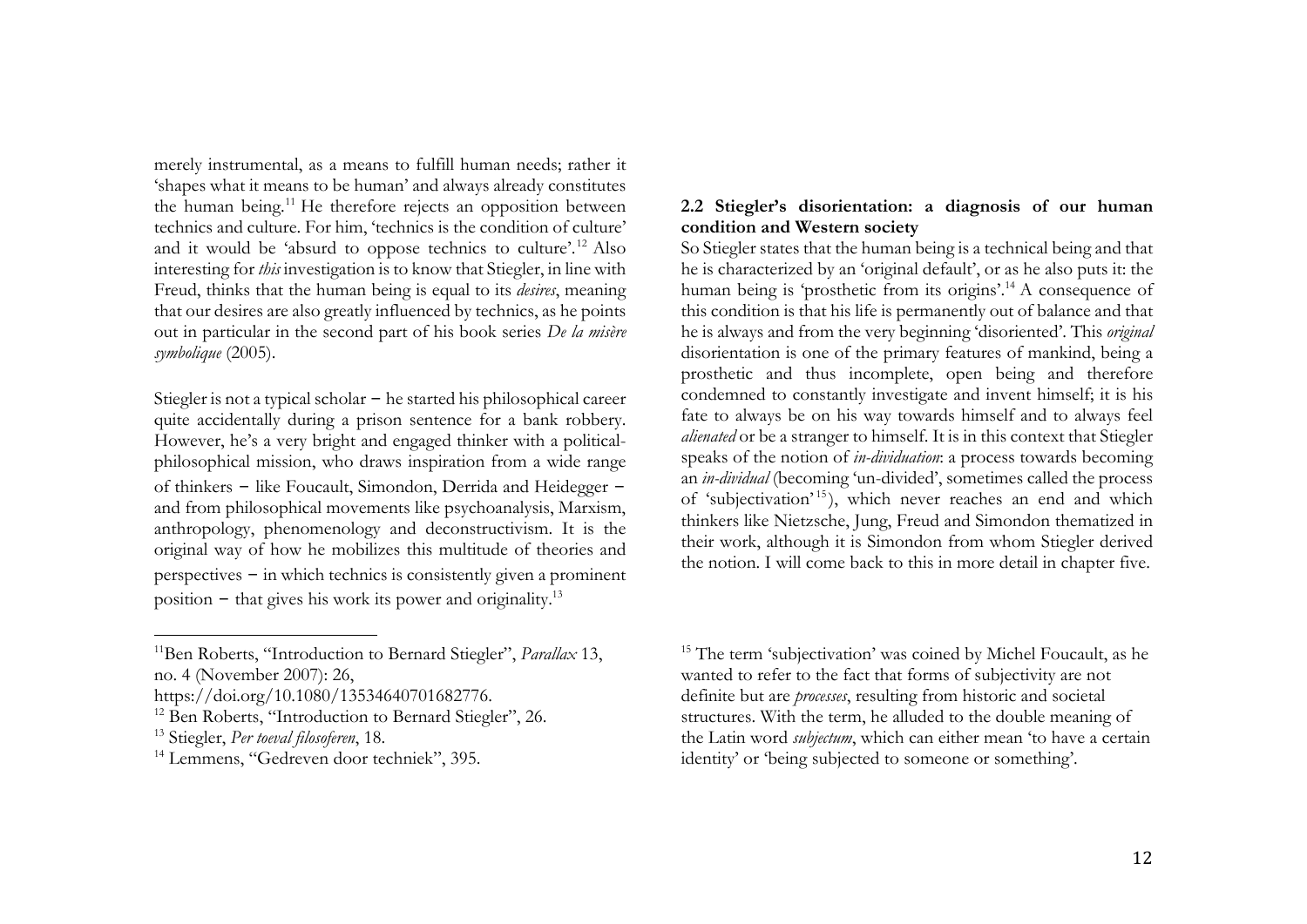merely instrumental, as a means to fulfill human needs; rather it 'shapes what it means to be human' and always already constitutes the human being.11 He therefore rejects an opposition between technics and culture. For him, 'technics is the condition of culture' and it would be 'absurd to oppose technics to culture'.12 Also interesting for *this* investigation is to know that Stiegler, in line with Freud, thinks that the human being is equal to its *desires*, meaning that our desires are also greatly influenced by technics, as he points out in particular in the second part of his book series *De la misère symbolique* (2005).

Stiegler is not a typical scholar − he started his philosophical career quite accidentally during a prison sentence for a bank robbery. However, he's a very bright and engaged thinker with a politicalphilosophical mission, who draws inspiration from a wide range of thinkers − like Foucault, Simondon, Derrida and Heidegger − and from philosophical movements like psychoanalysis, Marxism, anthropology, phenomenology and deconstructivism. It is the original way of how he mobilizes this multitude of theories and perspectives <sup>−</sup> in which technics is consistently given a prominent position – that gives his work its power and originality.<sup>13</sup>

#### **2.2 Stiegler's disorientation: a diagnosis of our human condition and Western society**

So Stiegler states that the human being is a technical being and that he is characterized by an 'original default', or as he also puts it: the human being is 'prosthetic from its origins'.<sup>14</sup> A consequence of this condition is that his life is permanently out of balance and that he is always and from the very beginning 'disoriented'. This *original*  disorientation is one of the primary features of mankind, being a prosthetic and thus incomplete, open being and therefore condemned to constantly investigate and invent himself; it is his fate to always be on his way towards himself and to always feel *alienated* or be a stranger to himself. It is in this context that Stiegler speaks of the notion of *in-dividuation*: a process towards becoming an *in-dividual* (becoming 'un-divided', sometimes called the process of 'subjectivation'<sup>15</sup>), which never reaches an end and which thinkers like Nietzsche, Jung, Freud and Simondon thematized in their work, although it is Simondon from whom Stiegler derived the notion. I will come back to this in more detail in chapter five.

<sup>15</sup> The term 'subjectivation' was coined by Michel Foucault, as he wanted to refer to the fact that forms of subjectivity are not definite but are *processes*, resulting from historic and societal structures. With the term, he alluded to the double meaning of the Latin word *subjectum*, which can either mean 'to have a certain identity' or 'being subjected to someone or something'.

<sup>11</sup>Ben Roberts, "Introduction to Bernard Stiegler", *Parallax* 13, no. 4 (November 2007): 26,

https://doi.org/10.1080/13534640701682776.

<sup>&</sup>lt;sup>12</sup> Ben Roberts, "Introduction to Bernard Stiegler", 26.

<sup>13</sup> Stiegler, *Per toeval filosoferen*, 18.

<sup>&</sup>lt;sup>14</sup> Lemmens, "Gedreven door techniek", 395.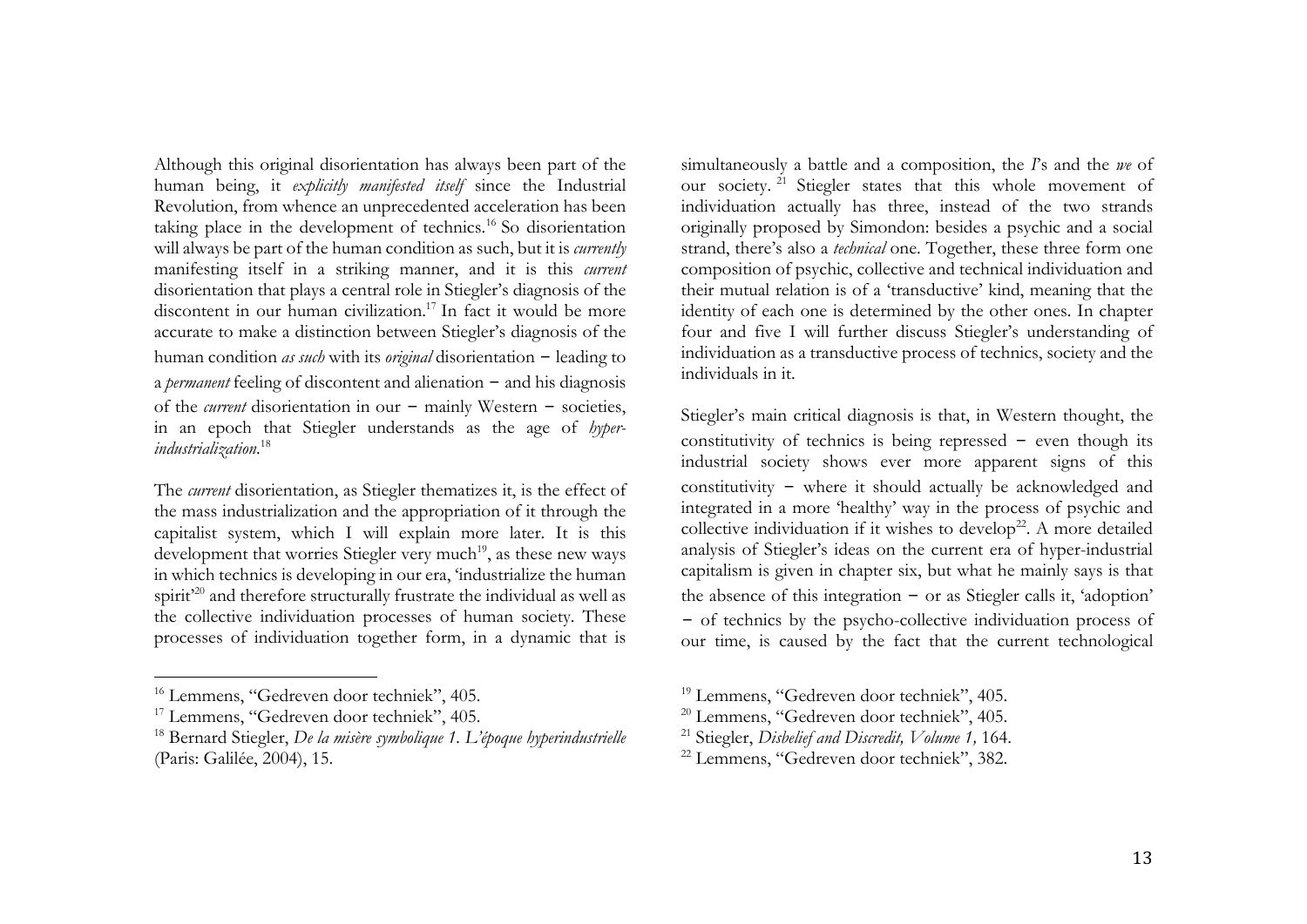Although this original disorientation has always been part of the human being, it *explicitly manifested itself* since the Industrial Revolution, from whence an unprecedented acceleration has been taking place in the development of technics.16 So disorientation will always be part of the human condition as such, but it is *currently* manifesting itself in a striking manner, and it is this *current*  disorientation that plays a central role in Stiegler's diagnosis of the discontent in our human civilization.<sup>17</sup> In fact it would be more accurate to make a distinction between Stiegler's diagnosis of the human condition *as such* with its *original* disorientation <sup>−</sup> leading to a *permanent* feeling of discontent and alienation – and his diagnosis of the *current* disorientation in our <sup>−</sup> mainly Western <sup>−</sup> societies, in an epoch that Stiegler understands as the age of *hyperindustrialization*.<sup>18</sup>

The *current* disorientation, as Stiegler thematizes it, is the effect of the mass industrialization and the appropriation of it through the capitalist system, which I will explain more later. It is this development that worries Stiegler very much<sup>19</sup>, as these new ways in which technics is developing in our era, 'industrialize the human spirit<sup>20</sup> and therefore structurally frustrate the individual as well as the collective individuation processes of human society. These processes of individuation together form, in a dynamic that is

simultaneously a battle and a composition, the *I*'s and the *we* of our society. <sup>21</sup> Stiegler states that this whole movement of individuation actually has three, instead of the two strands originally proposed by Simondon: besides a psychic and a social strand, there's also a *technical* one. Together, these three form one composition of psychic, collective and technical individuation and their mutual relation is of a 'transductive' kind, meaning that the identity of each one is determined by the other ones. In chapter four and five I will further discuss Stiegler's understanding of individuation as a transductive process of technics, society and the individuals in it.

Stiegler's main critical diagnosis is that, in Western thought, the  $\text{constitutivity}$  of technics is being repressed – even though its industrial society shows ever more apparent signs of this constitutivity <sup>−</sup> where it should actually be acknowledged and integrated in a more 'healthy' way in the process of psychic and collective individuation if it wishes to develop<sup>22</sup>. A more detailed analysis of Stiegler's ideas on the current era of hyper-industrial capitalism is given in chapter six, but what he mainly says is that the absence of this integration  $-$  or as Stiegler calls it, 'adoption' <sup>−</sup> of technics by the psycho-collective individuation process of our time, is caused by the fact that the current technological

<sup>&</sup>lt;sup>16</sup> Lemmens, "Gedreven door techniek", 405.

<sup>&</sup>lt;sup>17</sup> Lemmens, "Gedreven door techniek", 405.

<sup>18</sup> Bernard Stiegler, *De la misère symbolique 1. L'époque hyperindustrielle*  (Paris: Galilée, 2004), 15.

<sup>&</sup>lt;sup>19</sup> Lemmens, "Gedreven door techniek", 405.

<sup>20</sup> Lemmens, "Gedreven door techniek", 405.

<sup>21</sup> Stiegler, *Disbelief and Discredit, Volume 1,* 164.

<sup>22</sup> Lemmens, "Gedreven door techniek", 382.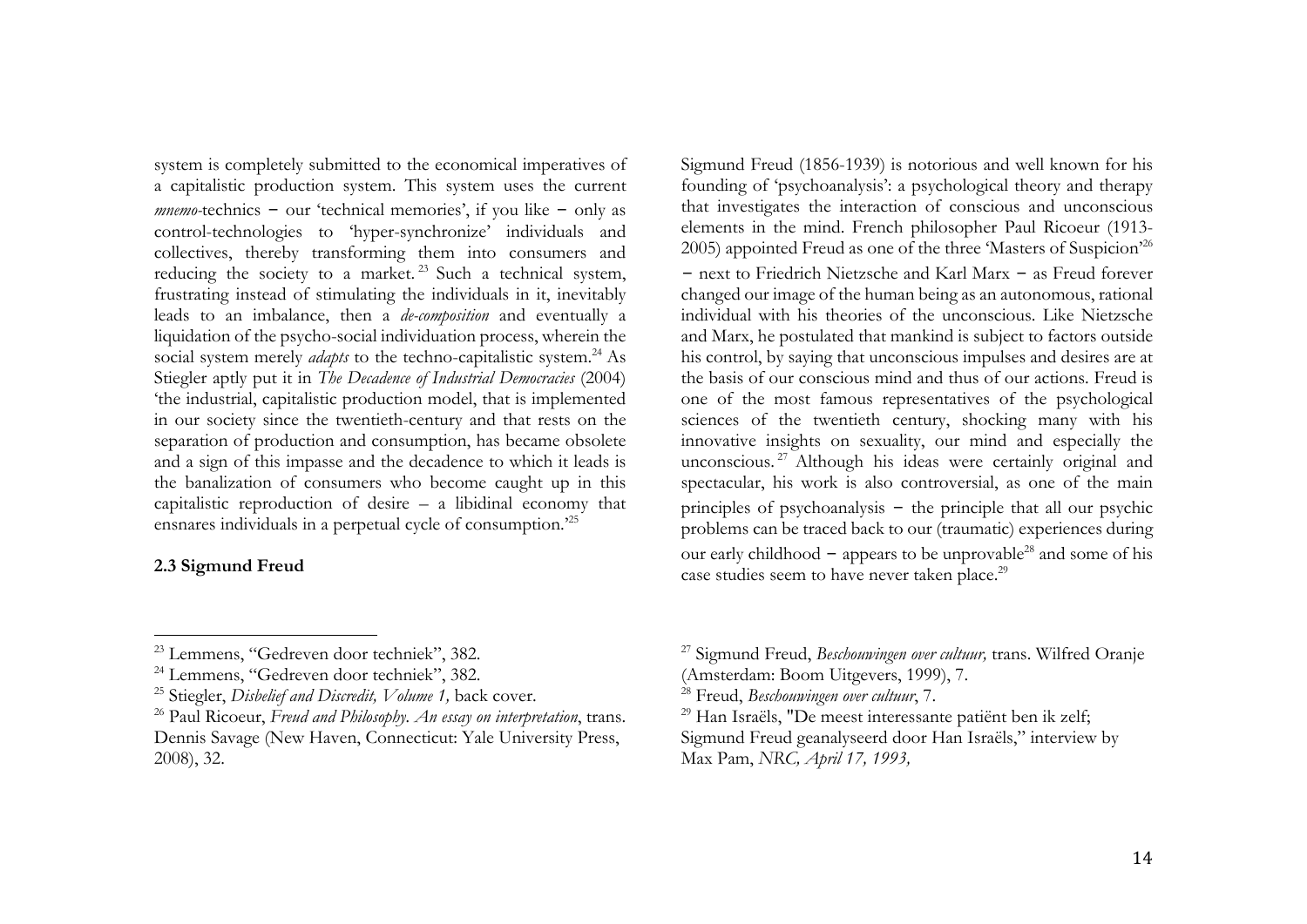system is completely submitted to the economical imperatives of a capitalistic production system. This system uses the current *mnemo*-technics − our 'technical memories', if you like − only as control-technologies to 'hyper-synchronize' individuals and collectives, thereby transforming them into consumers and reducing the society to a market.<sup>23</sup> Such a technical system, frustrating instead of stimulating the individuals in it, inevitably leads to an imbalance, then a *de-composition* and eventually a liquidation of the psycho-social individuation process, wherein the social system merely *adapts* to the techno-capitalistic system.<sup>24</sup> As Stiegler aptly put it in *The Decadence of Industrial Democracies* (2004) 'the industrial, capitalistic production model, that is implemented in our society since the twentieth-century and that rests on the separation of production and consumption, has became obsolete and a sign of this impasse and the decadence to which it leads is the banalization of consumers who become caught up in this capitalistic reproduction of desire – a libidinal economy that ensnares individuals in a perpetual cycle of consumption.'25

#### **2.3 Sigmund Freud**

Sigmund Freud (1856-1939) is notorious and well known for his founding of 'psychoanalysis': a psychological theory and therapy that investigates the interaction of conscious and unconscious elements in the mind. French philosopher Paul Ricoeur (1913- 2005) appointed Freud as one of the three 'Masters of Suspicion'26

<sup>−</sup> next to Friedrich Nietzsche and Karl Marx − as Freud forever changed our image of the human being as an autonomous, rational individual with his theories of the unconscious. Like Nietzsche and Marx, he postulated that mankind is subject to factors outside his control, by saying that unconscious impulses and desires are at the basis of our conscious mind and thus of our actions. Freud is one of the most famous representatives of the psychological sciences of the twentieth century, shocking many with his innovative insights on sexuality, our mind and especially the unconscious.<sup>27</sup> Although his ideas were certainly original and spectacular, his work is also controversial, as one of the main principles of psychoanalysis – the principle that all our psychic problems can be traced back to our (traumatic) experiences during our early childhood – appears to be unprovable<sup>28</sup> and some of his case studies seem to have never taken place.<sup>29</sup>

<sup>23</sup> Lemmens, "Gedreven door techniek", 382.

<sup>&</sup>lt;sup>24</sup> Lemmens, "Gedreven door techniek", 382.

<sup>25</sup> Stiegler, *Disbelief and Discredit, Volume 1,* back cover.

<sup>26</sup> Paul Ricoeur, *Freud and Philosophy. An essay on interpretation*, trans. Dennis Savage (New Haven, Connecticut: Yale University Press, 2008), 32.

<sup>27</sup> Sigmund Freud, *Beschouwingen over cultuur,* trans. Wilfred Oranje (Amsterdam: Boom Uitgevers, 1999), 7.

<sup>28</sup> Freud, *Beschouwingen over cultuur*, 7.

<sup>&</sup>lt;sup>29</sup> Han Israëls, "De meest interessante patiënt ben ik zelf; Sigmund Freud geanalyseerd door Han Israëls," interview by Max Pam, *NRC, April 17, 1993,*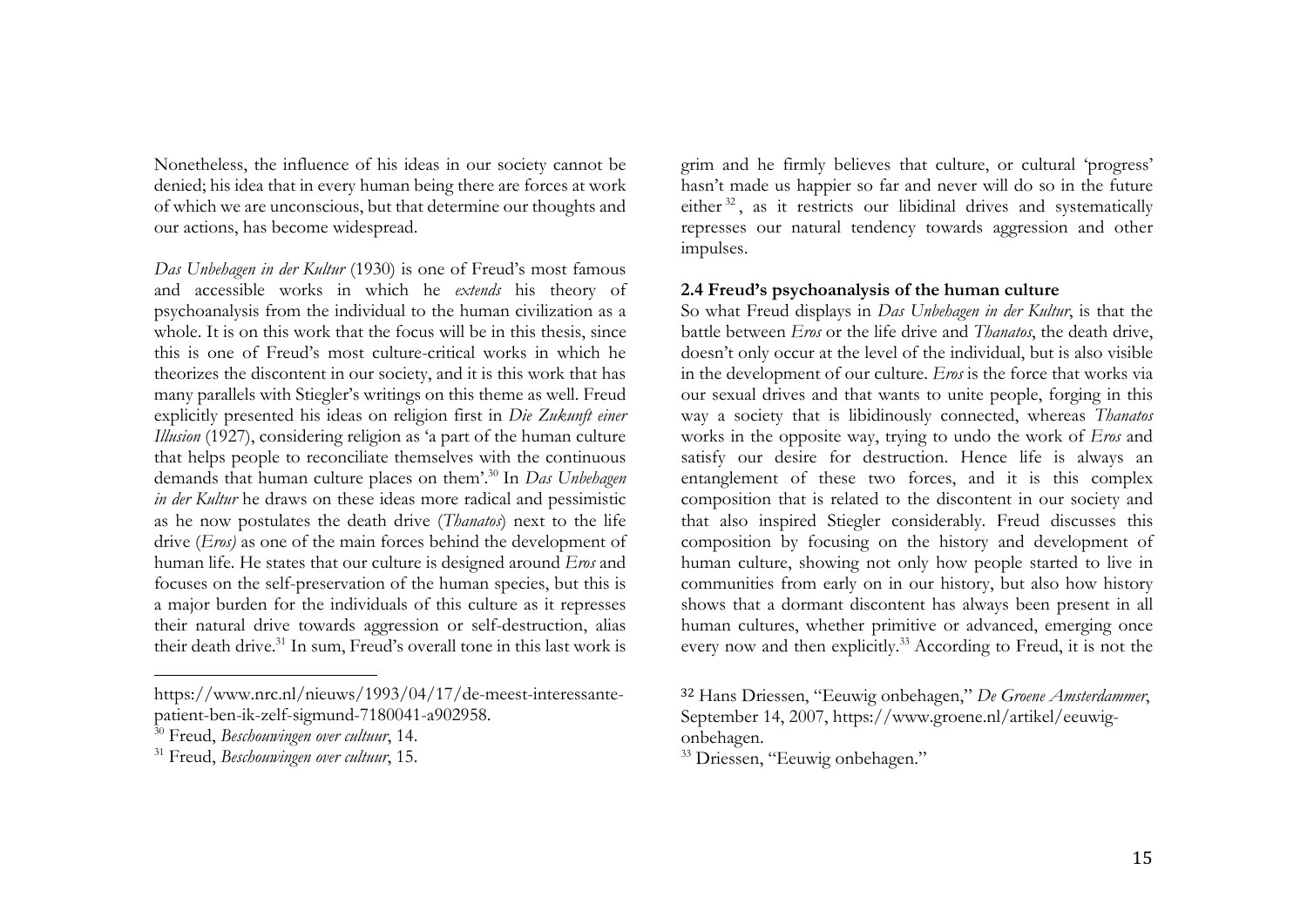Nonetheless, the influence of his ideas in our society cannot be denied; his idea that in every human being there are forces at work of which we are unconscious, but that determine our thoughts and our actions, has become widespread.

*Das Unbehagen in der Kultur* (1930) is one of Freud's most famous and accessible works in which he *extends* his theory of psychoanalysis from the individual to the human civilization as a whole. It is on this work that the focus will be in this thesis, since this is one of Freud's most culture-critical works in which he theorizes the discontent in our society, and it is this work that has many parallels with Stiegler's writings on this theme as well. Freud explicitly presented his ideas on religion first in *Die Zukunft einer Illusion* (1927), considering religion as 'a part of the human culture that helps people to reconciliate themselves with the continuous demands that human culture places on them'.30 In *Das Unbehagen in der Kultur* he draws on these ideas more radical and pessimistic as he now postulates the death drive (*Thanatos*) next to the life drive (*Eros)* as one of the main forces behind the development of human life. He states that our culture is designed around *Eros* and focuses on the self-preservation of the human species, but this is a major burden for the individuals of this culture as it represses their natural drive towards aggression or self-destruction, alias their death drive.<sup>31</sup> In sum, Freud's overall tone in this last work is

grim and he firmly believes that culture, or cultural 'progress' hasn't made us happier so far and never will do so in the future either  $32$ , as it restricts our libidinal drives and systematically represses our natural tendency towards aggression and other impulses.

#### **2.4 Freud's psychoanalysis of the human culture**

So what Freud displays in *Das Unbehagen in der Kultur*, is that the battle between *Eros* or the life drive and *Thanatos*, the death drive, doesn't only occur at the level of the individual, but is also visible in the development of our culture. *Eros* is the force that works via our sexual drives and that wants to unite people, forging in this way a society that is libidinously connected, whereas *Thanatos* works in the opposite way, trying to undo the work of *Eros* and satisfy our desire for destruction. Hence life is always an entanglement of these two forces, and it is this complex composition that is related to the discontent in our society and that also inspired Stiegler considerably. Freud discusses this composition by focusing on the history and development of human culture, showing not only how people started to live in communities from early on in our history, but also how history shows that a dormant discontent has always been present in all human cultures, whether primitive or advanced, emerging once every now and then explicitly.<sup>33</sup> According to Freud, it is not the

https://www.nrc.nl/nieuws/1993/04/17/de-meest-interessantepatient-ben-ik-zelf-sigmund-7180041-a902958.

<sup>30</sup> Freud, *Beschouwingen over cultuur*, 14.

<sup>31</sup> Freud, *Beschouwingen over cultuur*, 15.

<sup>32</sup> Hans Driessen, "Eeuwig onbehagen," *De Groene Amsterdammer*, September 14, 2007, https://www.groene.nl/artikel/eeuwigonbehagen.

<sup>&</sup>lt;sup>33</sup> Driessen, "Eeuwig onbehagen."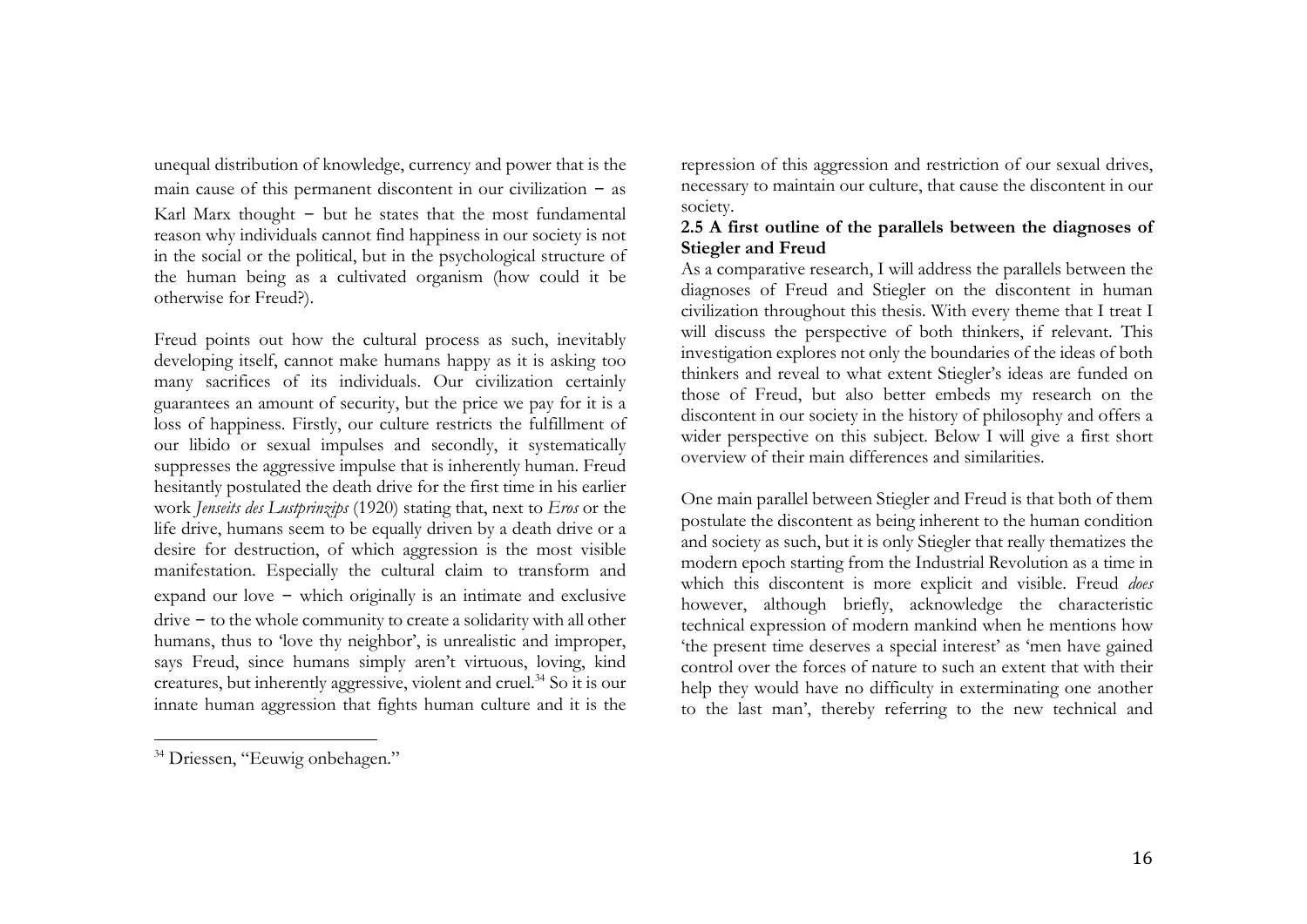unequal distribution of knowledge, currency and power that is the main cause of this permanent discontent in our civilization − as Karl Marx thought − but he states that the most fundamental reason why individuals cannot find happiness in our society is not in the social or the political, but in the psychological structure of the human being as a cultivated organism (how could it be otherwise for Freud?).

Freud points out how the cultural process as such, inevitably developing itself, cannot make humans happy as it is asking too many sacrifices of its individuals. Our civilization certainly guarantees an amount of security, but the price we pay for it is a loss of happiness. Firstly, our culture restricts the fulfillment of our libido or sexual impulses and secondly, it systematically suppresses the aggressive impulse that is inherently human. Freud hesitantly postulated the death drive for the first time in his earlier work *Jenseits des Lustprinzips* (1920) stating that, next to *Eros* or the life drive, humans seem to be equally driven by a death drive or a desire for destruction, of which aggression is the most visible manifestation. Especially the cultural claim to transform and expand our love <sup>−</sup> which originally is an intimate and exclusive drive <sup>−</sup> to the whole community to create a solidarity with all other humans, thus to 'love thy neighbor', is unrealistic and improper, says Freud, since humans simply aren't virtuous, loving, kind creatures, but inherently aggressive, violent and cruel.<sup>34</sup> So it is our innate human aggression that fights human culture and it is the

repression of this aggression and restriction of our sexual drives, necessary to maintain our culture, that cause the discontent in our society.

#### **2.5 A first outline of the parallels between the diagnoses of Stiegler and Freud**

As a comparative research, I will address the parallels between the diagnoses of Freud and Stiegler on the discontent in human civilization throughout this thesis. With every theme that I treat I will discuss the perspective of both thinkers, if relevant. This investigation explores not only the boundaries of the ideas of both thinkers and reveal to what extent Stiegler's ideas are funded on those of Freud, but also better embeds my research on the discontent in our society in the history of philosophy and offers a wider perspective on this subject. Below I will give a first short overview of their main differences and similarities.

One main parallel between Stiegler and Freud is that both of them postulate the discontent as being inherent to the human condition and society as such, but it is only Stiegler that really thematizes the modern epoch starting from the Industrial Revolution as a time in which this discontent is more explicit and visible. Freud *does* however, although briefly, acknowledge the characteristic technical expression of modern mankind when he mentions how 'the present time deserves a special interest' as 'men have gained control over the forces of nature to such an extent that with their help they would have no difficulty in exterminating one another to the last man', thereby referring to the new technical and

<sup>&</sup>lt;sup>34</sup> Driessen, "Eeuwig onbehagen."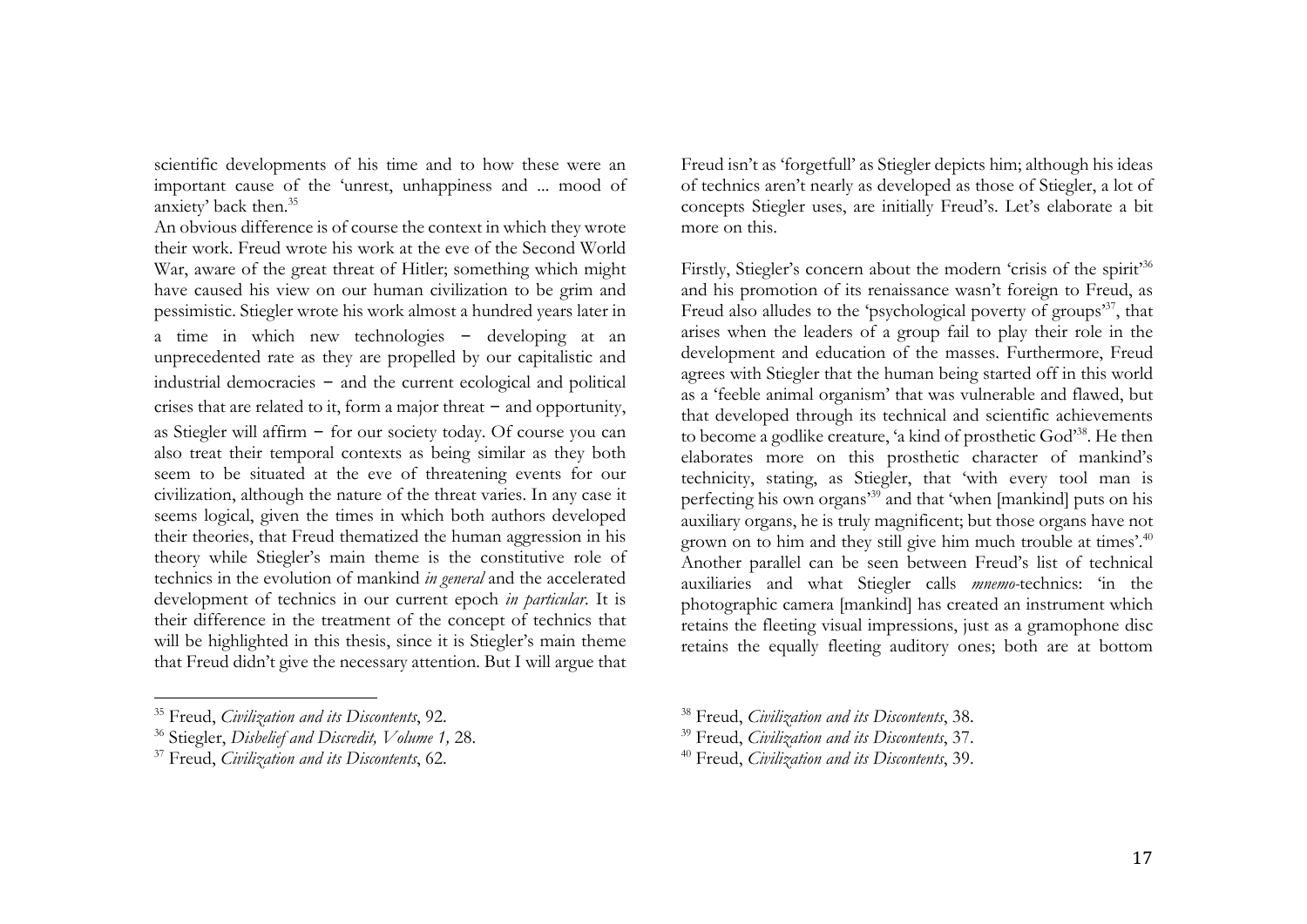scientific developments of his time and to how these were an important cause of the 'unrest, unhappiness and ... mood of anxiety' back then.35

An obvious difference is of course the context in which they wrote their work. Freud wrote his work at the eve of the Second World War, aware of the great threat of Hitler; something which might have caused his view on our human civilization to be grim and pessimistic. Stiegler wrote his work almost a hundred years later in a time in which new technologies – developing at an unprecedented rate as they are propelled by our capitalistic and industrial democracies <sup>−</sup> and the current ecological and political crises that are related to it, form a major threat <sup>−</sup> and opportunity, as Stiegler will affirm − for our society today. Of course you can also treat their temporal contexts as being similar as they both seem to be situated at the eve of threatening events for our civilization, although the nature of the threat varies. In any case it seems logical, given the times in which both authors developed their theories, that Freud thematized the human aggression in his theory while Stiegler's main theme is the constitutive role of technics in the evolution of mankind *in general* and the accelerated development of technics in our current epoch *in particular*. It is their difference in the treatment of the concept of technics that will be highlighted in this thesis, since it is Stiegler's main theme that Freud didn't give the necessary attention. But I will argue that

Freud isn't as 'forgetfull' as Stiegler depicts him; although his ideas of technics aren't nearly as developed as those of Stiegler, a lot of concepts Stiegler uses, are initially Freud's. Let's elaborate a bit more on this.

Firstly, Stiegler's concern about the modern 'crisis of the spirit'<sup>36</sup> and his promotion of its renaissance wasn't foreign to Freud, as Freud also alludes to the 'psychological poverty of groups<sup>37</sup>, that arises when the leaders of a group fail to play their role in the development and education of the masses. Furthermore, Freud agrees with Stiegler that the human being started off in this world as a 'feeble animal organism' that was vulnerable and flawed, but that developed through its technical and scientific achievements to become a godlike creature, 'a kind of prosthetic God'38. He then elaborates more on this prosthetic character of mankind's technicity, stating, as Stiegler, that 'with every tool man is perfecting his own organs'39 and that 'when [mankind] puts on his auxiliary organs, he is truly magnificent; but those organs have not grown on to him and they still give him much trouble at times'.40 Another parallel can be seen between Freud's list of technical auxiliaries and what Stiegler calls *mnemo-*technics: 'in the photographic camera [mankind] has created an instrument which retains the fleeting visual impressions, just as a gramophone disc retains the equally fleeting auditory ones; both are at bottom

<sup>35</sup> Freud, *Civilization and its Discontents*, 92.

<sup>36</sup> Stiegler, *Disbelief and Discredit, Volume 1,* 28.

<sup>37</sup> Freud, *Civilization and its Discontents*, 62.

<sup>38</sup> Freud, *Civilization and its Discontents*, 38.

<sup>39</sup> Freud, *Civilization and its Discontents*, 37.

<sup>40</sup> Freud, *Civilization and its Discontents*, 39.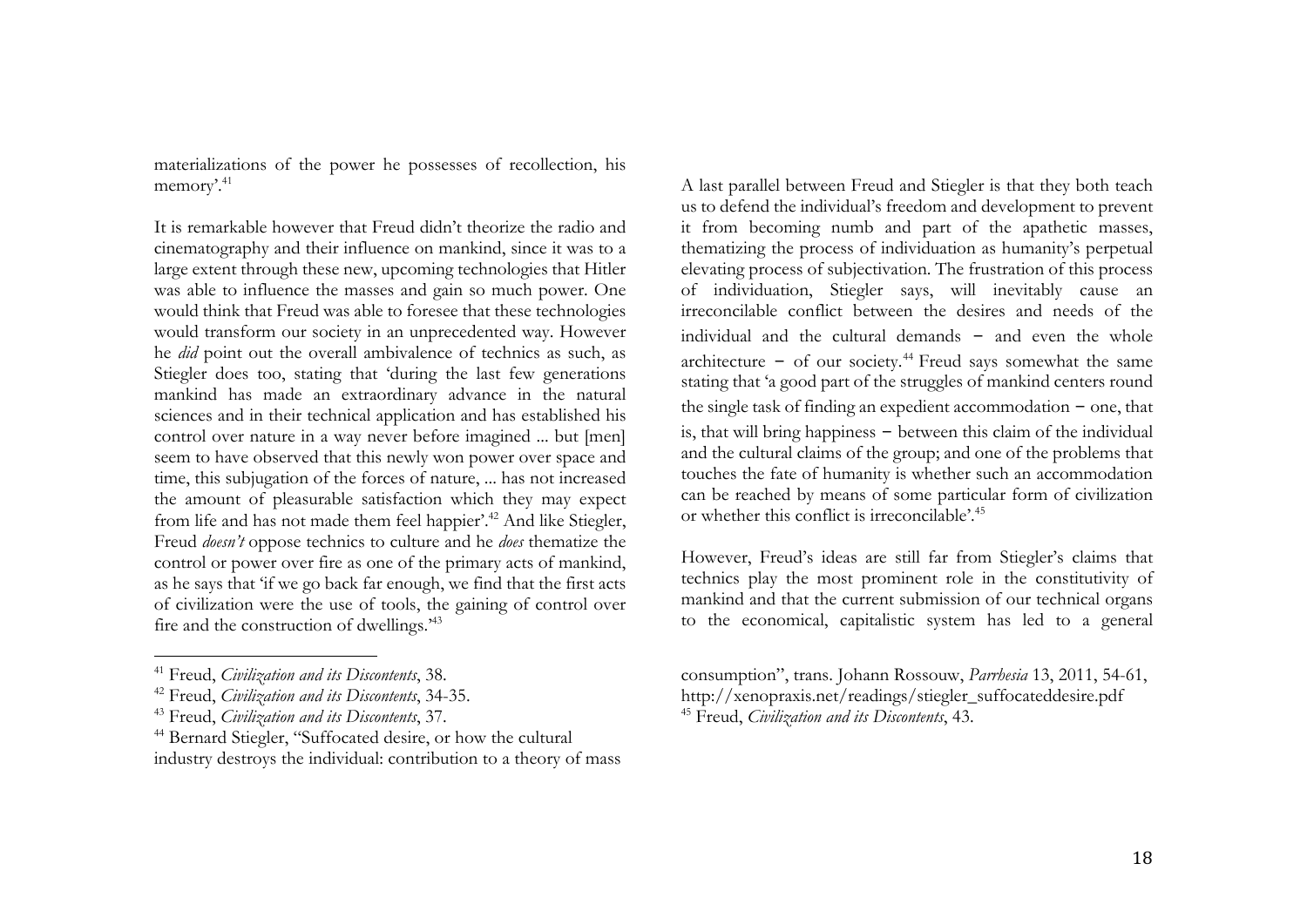materializations of the power he possesses of recollection, his memory'.<sup>41</sup>

It is remarkable however that Freud didn't theorize the radio and cinematography and their influence on mankind, since it was to a large extent through these new, upcoming technologies that Hitler was able to influence the masses and gain so much power. One would think that Freud was able to foresee that these technologies would transform our society in an unprecedented way. However he *did* point out the overall ambivalence of technics as such, as Stiegler does too, stating that 'during the last few generations mankind has made an extraordinary advance in the natural sciences and in their technical application and has established his control over nature in a way never before imagined ... but [men] seem to have observed that this newly won power over space and time, this subjugation of the forces of nature, ... has not increased the amount of pleasurable satisfaction which they may expect from life and has not made them feel happier.<sup>42</sup> And like Stiegler, Freud *doesn't* oppose technics to culture and he *does* thematize the control or power over fire as one of the primary acts of mankind, as he says that 'if we go back far enough, we find that the first acts of civilization were the use of tools, the gaining of control over fire and the construction of dwellings.'43

A last parallel between Freud and Stiegler is that they both teach us to defend the individual's freedom and development to prevent it from becoming numb and part of the apathetic masses, thematizing the process of individuation as humanity's perpetual elevating process of subjectivation. The frustration of this process of individuation, Stiegler says, will inevitably cause an irreconcilable conflict between the desires and needs of the individual and the cultural demands <sup>−</sup> and even the whole architecture – of our society.<sup>44</sup> Freud says somewhat the same stating that 'a good part of the struggles of mankind centers round the single task of finding an expedient accommodation <sup>−</sup> one, that is, that will bring happiness − between this claim of the individual and the cultural claims of the group; and one of the problems that touches the fate of humanity is whether such an accommodation can be reached by means of some particular form of civilization or whether this conflict is irreconcilable'.<sup>45</sup>

However, Freud's ideas are still far from Stiegler's claims that technics play the most prominent role in the constitutivity of mankind and that the current submission of our technical organs to the economical, capitalistic system has led to a general

consumption", trans. Johann Rossouw, *Parrhesia* 13, 2011, 54-61, http://xenopraxis.net/readings/stiegler\_suffocateddesire.pdf 45 Freud, *Civilization and its Discontents*, 43.

<sup>41</sup> Freud, *Civilization and its Discontents*, 38.

<sup>42</sup> Freud, *Civilization and its Discontents*, 34-35.

<sup>43</sup> Freud, *Civilization and its Discontents*, 37.

<sup>44</sup> Bernard Stiegler, "Suffocated desire, or how the cultural industry destroys the individual: contribution to a theory of mass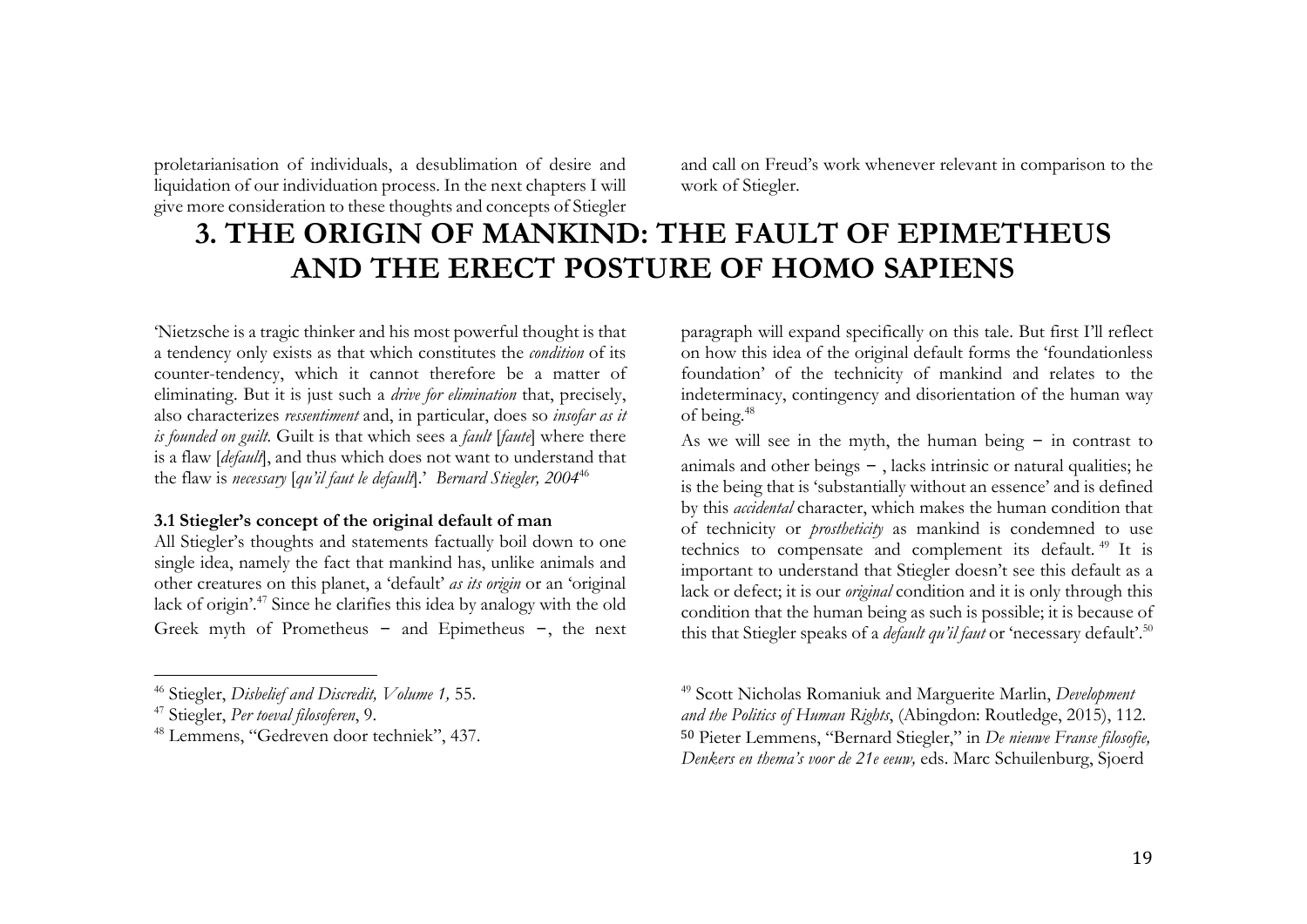proletarianisation of individuals, a desublimation of desire and liquidation of our individuation process. In the next chapters I will give more consideration to these thoughts and concepts of Stiegler and call on Freud's work whenever relevant in comparison to the work of Stiegler.

### **3. THE ORIGIN OF MANKIND: THE FAULT OF EPIMETHEUS AND THE ERECT POSTURE OF HOMO SAPIENS**

'Nietzsche is a tragic thinker and his most powerful thought is that a tendency only exists as that which constitutes the *condition* of its counter-tendency, which it cannot therefore be a matter of eliminating. But it is just such a *drive for elimination* that, precisely, also characterizes *ressentiment* and, in particular, does so *insofar as it is founded on guilt.* Guilt is that which sees a *fault* [*faute*] where there is a flaw [*default*], and thus which does not want to understand that the flaw is *necessary* [*qu'il faut le default*].' *Bernard Stiegler, 2004*<sup>46</sup>

#### **3.1 Stiegler's concept of the original default of man**

All Stiegler's thoughts and statements factually boil down to one single idea, namely the fact that mankind has, unlike animals and other creatures on this planet, a 'default' *as its origin* or an 'original lack of origin'*.*47 Since he clarifies this idea by analogy with the old Greek myth of Prometheus – and Epimetheus –, the next paragraph will expand specifically on this tale. But first I'll reflect on how this idea of the original default forms the 'foundationless foundation' of the technicity of mankind and relates to the indeterminacy, contingency and disorientation of the human way of being.48

As we will see in the myth, the human being  $-$  in contrast to animals and other beings − , lacks intrinsic or natural qualities; he is the being that is 'substantially without an essence' and is defined by this *accidental* character, which makes the human condition that of technicity or *prostheticity* as mankind is condemned to use technics to compensate and complement its default. 49 It is important to understand that Stiegler doesn't see this default as a lack or defect; it is our *original* condition and it is only through this condition that the human being as such is possible; it is because of this that Stiegler speaks of a *default qu'il faut* or 'necessary default'.<sup>50</sup>

<sup>46</sup> Stiegler, *Disbelief and Discredit, Volume 1,* 55.

<sup>47</sup> Stiegler, *Per toeval filosoferen*, 9.

<sup>48</sup> Lemmens, "Gedreven door techniek", 437.

<sup>49</sup> Scott Nicholas Romaniuk and Marguerite Marlin, *Development and the Politics of Human Rights*, (Abingdon: Routledge, 2015), 112. 50 Pieter Lemmens, "Bernard Stiegler," in *De nieuwe Franse filosofie, Denkers en thema's voor de 21e eeuw,* eds. Marc Schuilenburg, Sjoerd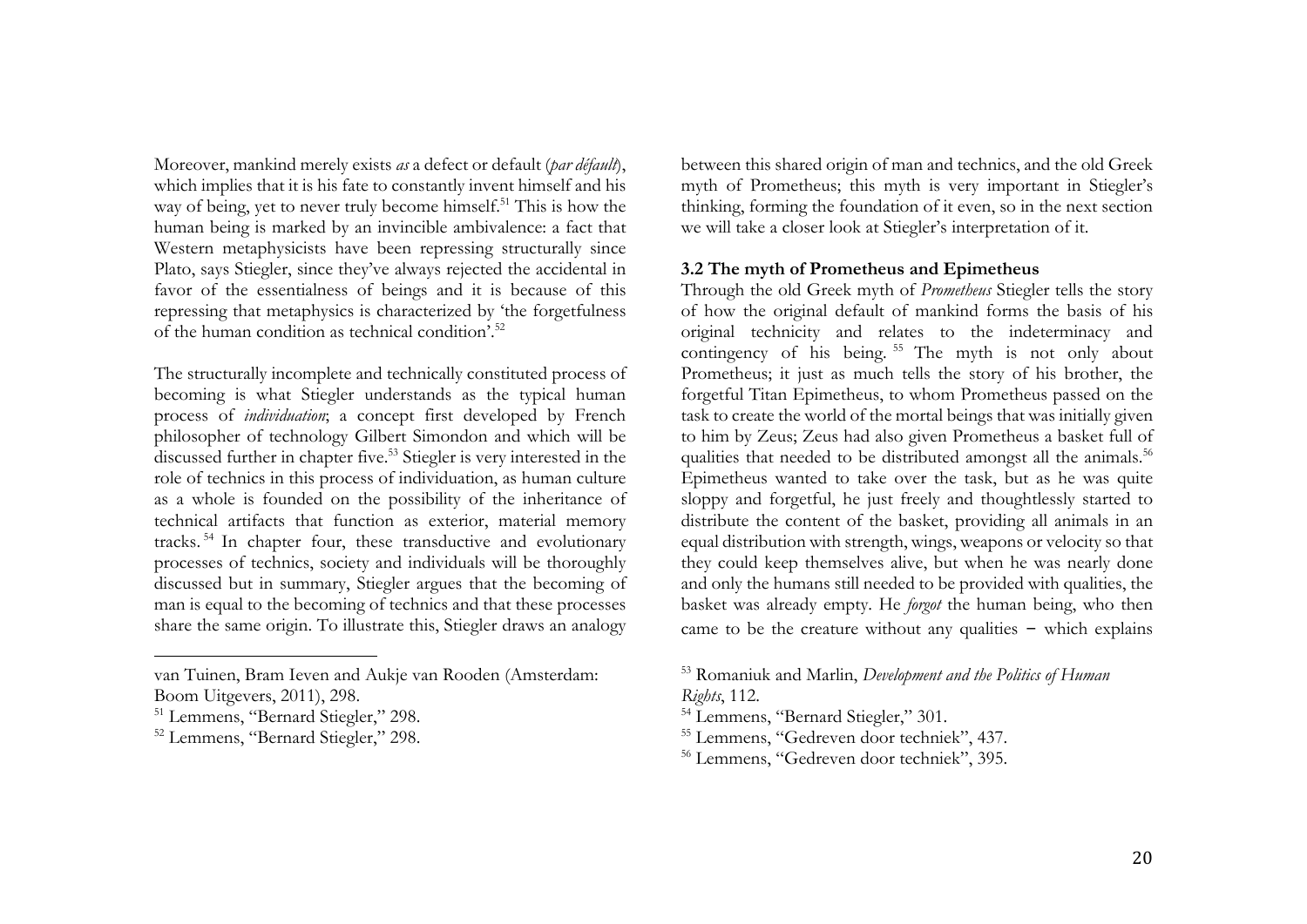Moreover, mankind merely exists *as* a defect or default (*par défault*), which implies that it is his fate to constantly invent himself and his way of being, yet to never truly become himself.<sup>51</sup> This is how the human being is marked by an invincible ambivalence: a fact that Western metaphysicists have been repressing structurally since Plato, says Stiegler, since they've always rejected the accidental in favor of the essentialness of beings and it is because of this repressing that metaphysics is characterized by 'the forgetfulness of the human condition as technical condition'.<sup>52</sup>

The structurally incomplete and technically constituted process of becoming is what Stiegler understands as the typical human process of *individuation*; a concept first developed by French philosopher of technology Gilbert Simondon and which will be discussed further in chapter five.<sup>53</sup> Stiegler is very interested in the role of technics in this process of individuation, as human culture as a whole is founded on the possibility of the inheritance of technical artifacts that function as exterior, material memory tracks. 54 In chapter four, these transductive and evolutionary processes of technics, society and individuals will be thoroughly discussed but in summary, Stiegler argues that the becoming of man is equal to the becoming of technics and that these processes share the same origin. To illustrate this, Stiegler draws an analogy

between this shared origin of man and technics, and the old Greek myth of Prometheus; this myth is very important in Stiegler's thinking, forming the foundation of it even, so in the next section we will take a closer look at Stiegler's interpretation of it.

#### **3.2 The myth of Prometheus and Epimetheus**

Through the old Greek myth of *Prometheus* Stiegler tells the story of how the original default of mankind forms the basis of his original technicity and relates to the indeterminacy and contingency of his being. 55 The myth is not only about Prometheus; it just as much tells the story of his brother, the forgetful Titan Epimetheus, to whom Prometheus passed on the task to create the world of the mortal beings that was initially given to him by Zeus; Zeus had also given Prometheus a basket full of qualities that needed to be distributed amongst all the animals.<sup>56</sup> Epimetheus wanted to take over the task, but as he was quite sloppy and forgetful, he just freely and thoughtlessly started to distribute the content of the basket, providing all animals in an equal distribution with strength, wings, weapons or velocity so that they could keep themselves alive, but when he was nearly done and only the humans still needed to be provided with qualities, the basket was already empty. He *forgot* the human being, who then  $\alpha$  came to be the creature without any qualities  $\alpha$  which explains

56 Lemmens, "Gedreven door techniek", 395.

van Tuinen, Bram Ieven and Aukje van Rooden (Amsterdam: Boom Uitgevers, 2011), 298.

<sup>&</sup>lt;sup>51</sup> Lemmens, "Bernard Stiegler," 298.

<sup>52</sup> Lemmens, "Bernard Stiegler," 298.

<sup>53</sup> Romaniuk and Marlin, *Development and the Politics of Human Rights*, 112.

<sup>&</sup>lt;sup>54</sup> Lemmens, "Bernard Stiegler," 301.

<sup>55</sup> Lemmens, "Gedreven door techniek", 437.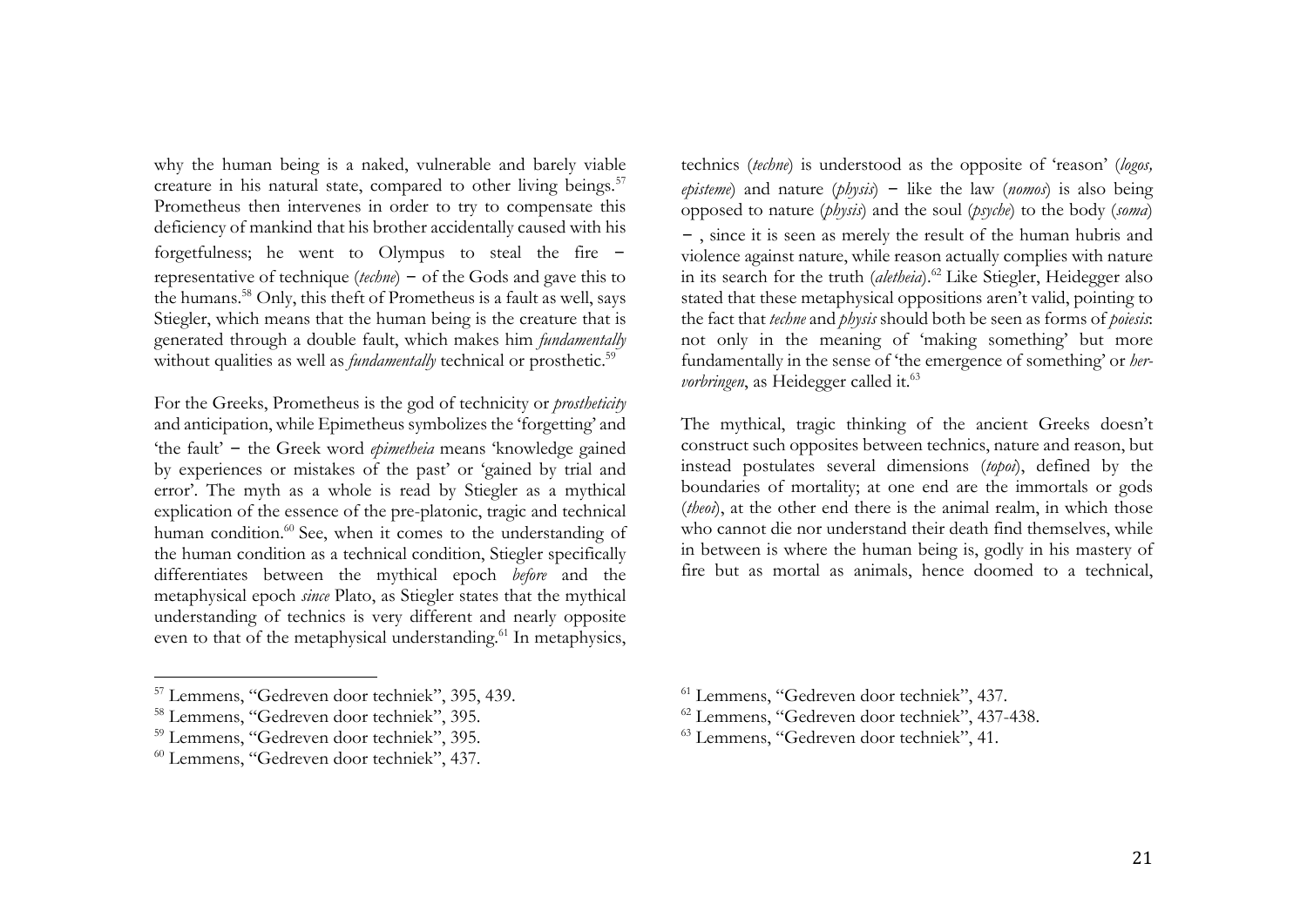why the human being is a naked, vulnerable and barely viable creature in his natural state, compared to other living beings.<sup>57</sup> Prometheus then intervenes in order to try to compensate this deficiency of mankind that his brother accidentally caused with his forgetfulness; he went to Olympus to steal the fire − representative of technique (*techne*) − of the Gods and gave this to the humans.58 Only, this theft of Prometheus is a fault as well, says Stiegler, which means that the human being is the creature that is generated through a double fault, which makes him *fundamentally* without qualities as well as *fundamentally* technical or prosthetic.<sup>59</sup>

For the Greeks, Prometheus is the god of technicity or *prostheticity* and anticipation, while Epimetheus symbolizes the 'forgetting' and 'the fault' <sup>−</sup> the Greek word *epimetheia* means 'knowledge gained by experiences or mistakes of the past' or 'gained by trial and error'. The myth as a whole is read by Stiegler as a mythical explication of the essence of the pre-platonic, tragic and technical human condition.<sup>60</sup> See, when it comes to the understanding of the human condition as a technical condition, Stiegler specifically differentiates between the mythical epoch *before* and the metaphysical epoch *since* Plato, as Stiegler states that the mythical understanding of technics is very different and nearly opposite even to that of the metaphysical understanding.<sup>61</sup> In metaphysics,

technics (*techne*) is understood as the opposite of 'reason' (*logos, episteme*) and nature (*physis*) − like the law (*nomos*) is also being opposed to nature (*physis*) and the soul (*psyche*) to the body (*soma*) − , since it is seen as merely the result of the human hubris and violence against nature, while reason actually complies with nature in its search for the truth *(aletheia*).<sup>62</sup> Like Stiegler, Heidegger also stated that these metaphysical oppositions aren't valid, pointing to the fact that *techne* and *physis* should both be seen as forms of *poiesis*: not only in the meaning of 'making something' but more fundamentally in the sense of 'the emergence of something' or *hervorbringen*, as Heidegger called it.<sup>63</sup>

The mythical, tragic thinking of the ancient Greeks doesn't construct such opposites between technics, nature and reason, but instead postulates several dimensions (*topo<sup>i</sup>*), defined by the boundaries of mortality; at one end are the immortals or gods (*theoi*), at the other end there is the animal realm, in which those who cannot die nor understand their death find themselves, while in between is where the human being is, godly in his mastery of fire but as mortal as animals, hence doomed to a technical,

61 Lemmens, "Gedreven door techniek", 437.

<sup>57</sup> Lemmens, "Gedreven door techniek", 395, 439.

<sup>58</sup> Lemmens, "Gedreven door techniek", 395.

<sup>59</sup> Lemmens, "Gedreven door techniek", 395.

<sup>60</sup> Lemmens, "Gedreven door techniek", 437.

<sup>62</sup> Lemmens, "Gedreven door techniek", 437-438.

<sup>63</sup> Lemmens, "Gedreven door techniek", 41.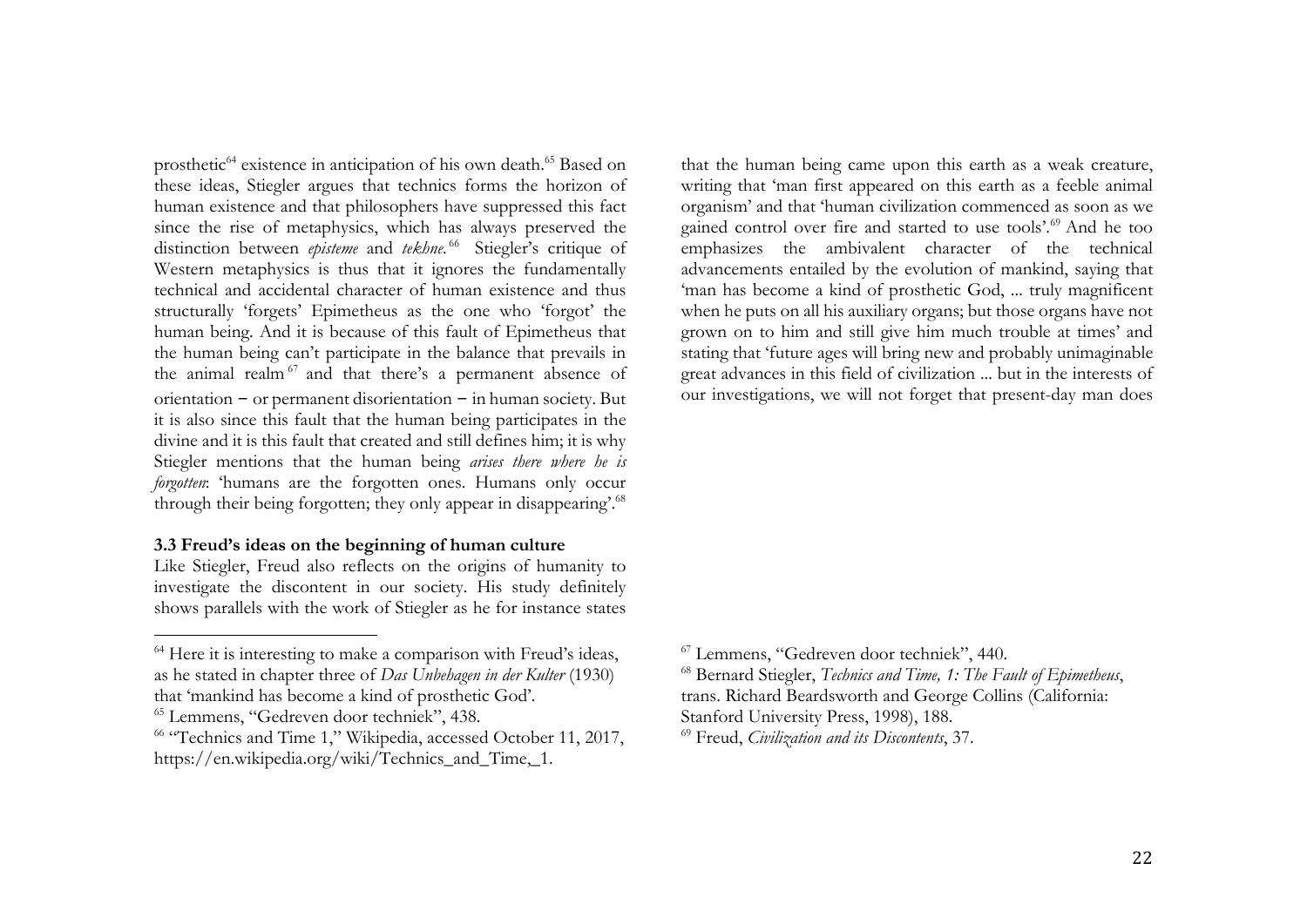prosthetic<sup>64</sup> existence in anticipation of his own death.<sup>65</sup> Based on these ideas, Stiegler argues that technics forms the horizon of human existence and that philosophers have suppressed this fact since the rise of metaphysics, which has always preserved the distinction between *episteme* and *tekhne*. 66 Stiegler's critique of Western metaphysics is thus that it ignores the fundamentally technical and accidental character of human existence and thus structurally 'forgets' Epimetheus as the one who 'forgot' the human being. And it is because of this fault of Epimetheus that the human being can't participate in the balance that prevails in the animal realm  $67$  and that there's a permanent absence of orientation − or permanent disorientation − in human society. But it is also since this fault that the human being participates in the divine and it is this fault that created and still defines him; it is why Stiegler mentions that the human being *arises there where he is forgotten*: 'humans are the forgotten ones. Humans only occur through their being forgotten; they only appear in disappearing'.<sup>68</sup>

#### **3.3 Freud's ideas on the beginning of human culture**

Like Stiegler, Freud also reflects on the origins of humanity to investigate the discontent in our society. His study definitely shows parallels with the work of Stiegler as he for instance states that the human being came upon this earth as a weak creature, writing that 'man first appeared on this earth as a feeble animal organism' and that 'human civilization commenced as soon as we gained control over fire and started to use tools'.69 And he too emphasizes the ambivalent character of the technical advancements entailed by the evolution of mankind, saying that 'man has become a kind of prosthetic God, ... truly magnificent when he puts on all his auxiliary organs; but those organs have not grown on to him and still give him much trouble at times' and stating that 'future ages will bring new and probably unimaginable great advances in this field of civilization ... but in the interests of our investigations, we will not forget that present-day man does

68 Bernard Stiegler, *Technics and Time, 1: The Fault of Epimetheus*, trans. Richard Beardsworth and George Collins (California: Stanford University Press, 1998), 188.

69 Freud, *Civilization and its Discontents*, 37.

 $64$  Here it is interesting to make a comparison with Freud's ideas, as he stated in chapter three of *Das Unbehagen in der Kulter* (1930) that 'mankind has become a kind of prosthetic God'.

<sup>65</sup> Lemmens, "Gedreven door techniek", 438.

<sup>&</sup>lt;sup>66</sup> "Technics and Time 1," Wikipedia, accessed October 11, 2017, https://en.wikipedia.org/wiki/Technics\_and\_Time,\_1.

<sup>67</sup> Lemmens, "Gedreven door techniek", 440.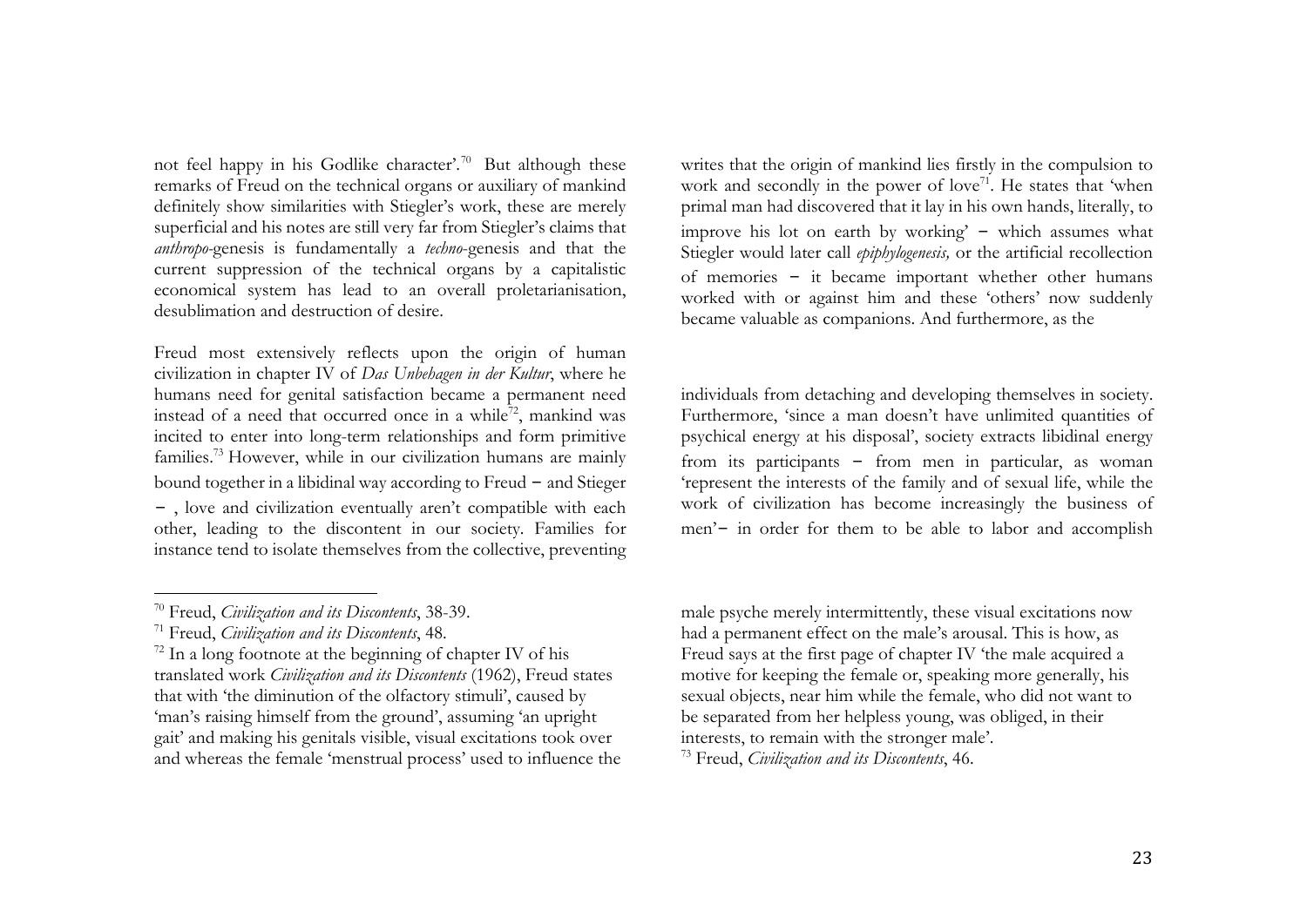not feel happy in his Godlike character'.<sup>70</sup> But although these remarks of Freud on the technical organs or auxiliary of mankind definitely show similarities with Stiegler's work, these are merely superficial and his notes are still very far from Stiegler's claims that *anthropo-*genesis is fundamentally a *techno*-genesis and that the current suppression of the technical organs by a capitalistic economical system has lead to an overall proletarianisation, desublimation and destruction of desire.

Freud most extensively reflects upon the origin of human civilization in chapter IV of *Das Unbehagen in der Kultur*, where he humans need for genital satisfaction became a permanent need instead of a need that occurred once in a while $\bar{a}^2$ , mankind was incited to enter into long-term relationships and form primitive families.73 However, while in our civilization humans are mainly bound together in a libidinal way according to Freud − and Stieger − , love and civilization eventually aren't compatible with each other, leading to the discontent in our society. Families for instance tend to isolate themselves from the collective, preventing

writes that the origin of mankind lies firstly in the compulsion to work and secondly in the power of love<sup>71</sup>. He states that 'when primal man had discovered that it lay in his own hands, literally, to improve his lot on earth by working' − which assumes what Stiegler would later call *epiphylogenesis,* or the artificial recollection of memories − it became important whether other humans worked with or against him and these 'others' now suddenly became valuable as companions. And furthermore, as the

individuals from detaching and developing themselves in society. Furthermore, 'since a man doesn't have unlimited quantities of psychical energy at his disposal', society extracts libidinal energy from its participants – from men in particular, as woman 'represent the interests of the family and of sexual life, while the work of civilization has become increasingly the business of men'− in order for them to be able to labor and accomplish

male psyche merely intermittently, these visual excitations now had a permanent effect on the male's arousal. This is how, as Freud says at the first page of chapter IV 'the male acquired a motive for keeping the female or, speaking more generally, his sexual objects, near him while the female, who did not want to be separated from her helpless young, was obliged, in their interests, to remain with the stronger male'.

<sup>70</sup> Freud, *Civilization and its Discontents*, 38-39.

<sup>71</sup> Freud, *Civilization and its Discontents*, 48.

 $72$  In a long footnote at the beginning of chapter IV of his translated work *Civilization and its Discontents* (1962), Freud states that with 'the diminution of the olfactory stimuli', caused by 'man's raising himself from the ground', assuming 'an upright gait' and making his genitals visible, visual excitations took over and whereas the female 'menstrual process' used to influence the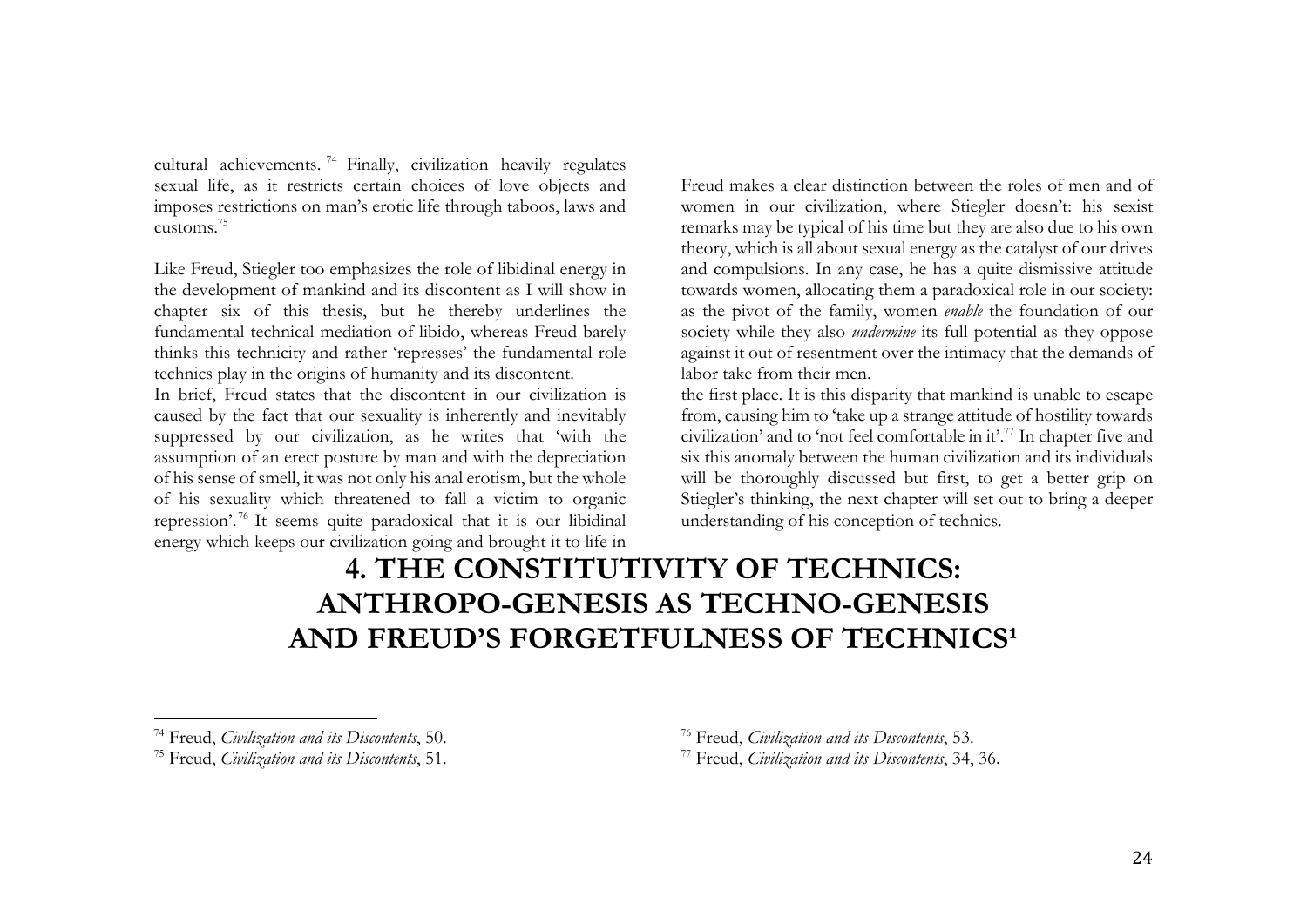cultural achievements. 74 Finally, civilization heavily regulates sexual life, as it restricts certain choices of love objects and imposes restrictions on man's erotic life through taboos, laws and customs.<sup>75</sup>

Like Freud, Stiegler too emphasizes the role of libidinal energy in the development of mankind and its discontent as I will show in chapter six of this thesis, but he thereby underlines the fundamental technical mediation of libido, whereas Freud barely thinks this technicity and rather 'represses' the fundamental role technics play in the origins of humanity and its discontent.

In brief, Freud states that the discontent in our civilization is caused by the fact that our sexuality is inherently and inevitably suppressed by our civilization, as he writes that 'with the assumption of an erect posture by man and with the depreciation of his sense of smell, it was not only his anal erotism, but the whole of his sexuality which threatened to fall a victim to organic repression'. 76 It seems quite paradoxical that it is our libidinal energy which keeps our civilization going and brought it to life in

Freud makes a clear distinction between the roles of men and of women in our civilization, where Stiegler doesn't: his sexist remarks may be typical of his time but they are also due to his own theory, which is all about sexual energy as the catalyst of our drives and compulsions. In any case, he has a quite dismissive attitude towards women, allocating them a paradoxical role in our society: as the pivot of the family, women *enable* the foundation of our society while they also *undermine* its full potential as they oppose against it out of resentment over the intimacy that the demands of labor take from their men.

the first place. It is this disparity that mankind is unable to escape from, causing him to 'take up a strange attitude of hostility towards civilization' and to 'not feel comfortable in it'.77 In chapter five and six this anomaly between the human civilization and its individuals will be thoroughly discussed but first, to get a better grip on Stiegler's thinking, the next chapter will set out to bring a deeper understanding of his conception of technics.

## **4. THE CONSTITUTIVITY OF TECHNICS: ANTHROPO-GENESIS AS TECHNO-GENESIS** AND FREUD'S FORGETFULNESS OF TECHNICS<sup>1</sup>

<sup>74</sup> Freud, *Civilization and its Discontents*, 50.

<sup>75</sup> Freud, *Civilization and its Discontents*, 51.

<sup>76</sup> Freud, *Civilization and its Discontents*, 53. 77 Freud, *Civilization and its Discontents*, 34, 36.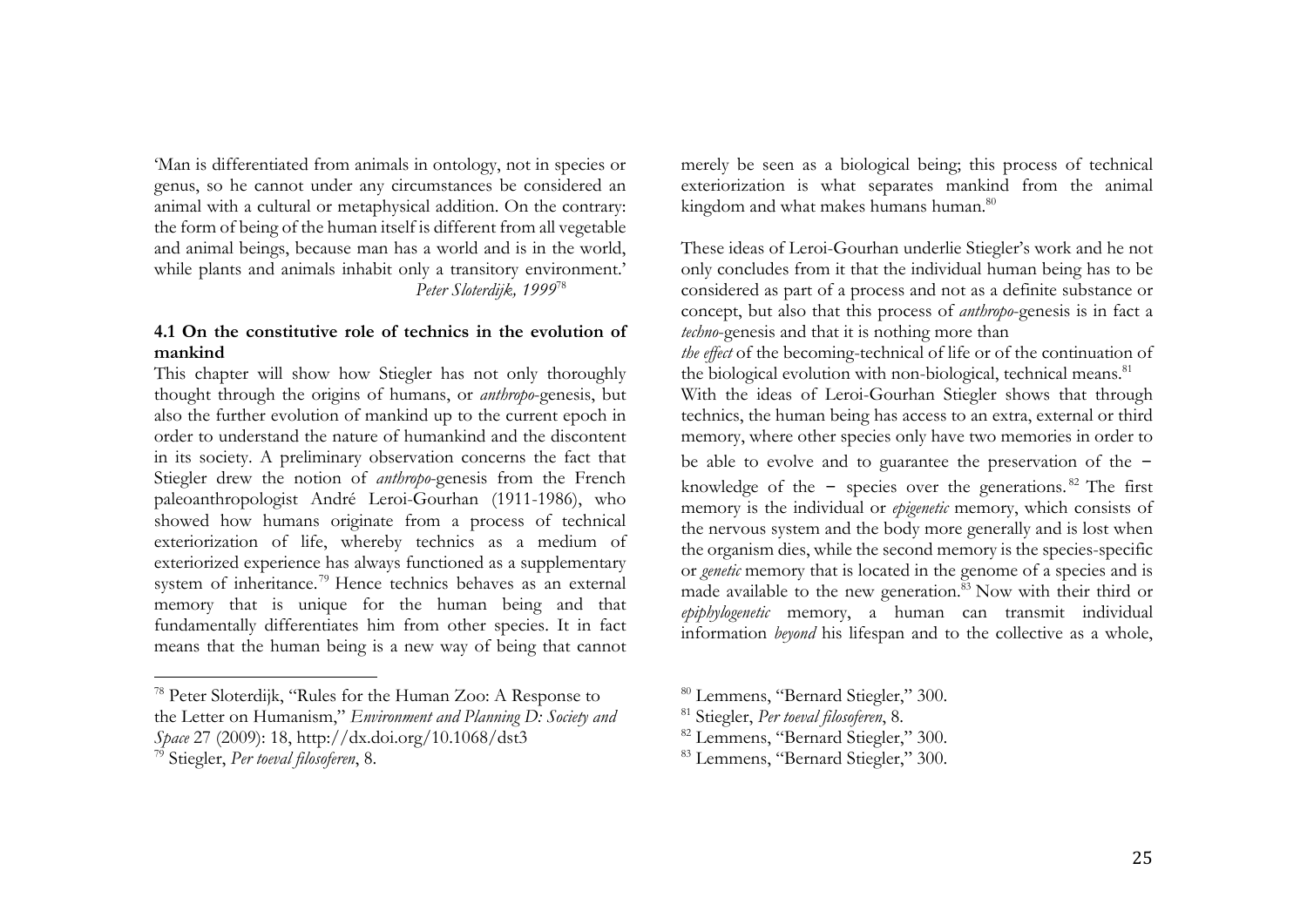'Man is differentiated from animals in ontology, not in species or genus, so he cannot under any circumstances be considered an animal with a cultural or metaphysical addition. On the contrary: the form of being of the human itself is different from all vegetable and animal beings, because man has a world and is in the world, while plants and animals inhabit only a transitory environment.' *Peter Sloterdijk, 1999*<sup>78</sup>

#### **4.1 On the constitutive role of technics in the evolution of mankind**

This chapter will show how Stiegler has not only thoroughly thought through the origins of humans, or *anthropo*-genesis, but also the further evolution of mankind up to the current epoch in order to understand the nature of humankind and the discontent in its society. A preliminary observation concerns the fact that Stiegler drew the notion of *anthropo*-genesis from the French paleoanthropologist André Leroi-Gourhan (1911-1986), who showed how humans originate from a process of technical exteriorization of life, whereby technics as a medium of exteriorized experience has always functioned as a supplementary system of inheritance.<sup>79</sup> Hence technics behaves as an external memory that is unique for the human being and that fundamentally differentiates him from other species. It in fact means that the human being is a new way of being that cannot

merely be seen as a biological being; this process of technical exteriorization is what separates mankind from the animal kingdom and what makes humans human.<sup>80</sup>

These ideas of Leroi-Gourhan underlie Stiegler's work and he not only concludes from it that the individual human being has to be considered as part of a process and not as a definite substance or concept, but also that this process of *anthropo*-genesis is in fact a *techno*-genesis and that it is nothing more than *the effect* of the becoming-technical of life or of the continuation of

the biological evolution with non-biological, technical means.<sup>81</sup> With the ideas of Leroi-Gourhan Stiegler shows that through technics, the human being has access to an extra, external or third memory, where other species only have two memories in order to be able to evolve and to guarantee the preservation of the − knowledge of the  $-$  species over the generations.<sup>82</sup> The first memory is the individual or *epigenetic* memory, which consists of the nervous system and the body more generally and is lost when the organism dies, while the second memory is the species-specific or *genetic* memory that is located in the genome of a species and is made available to the new generation. $83$  Now with their third or *epiphylogenetic* memory, a human can transmit individual information *beyond* his lifespan and to the collective as a whole,

<sup>78</sup> Peter Sloterdijk, "Rules for the Human Zoo: A Response to the Letter on Humanism," *Environment and Planning D: Society and Space* 27 (2009): 18, http://dx.doi.org/10.1068/dst3

<sup>79</sup> Stiegler, *Per toeval filosoferen*, 8.

<sup>80</sup> Lemmens, "Bernard Stiegler," 300.

<sup>81</sup> Stiegler, *Per toeval filosoferen*, 8.

<sup>&</sup>lt;sup>82</sup> Lemmens, "Bernard Stiegler," 300.

<sup>83</sup> Lemmens, "Bernard Stiegler," 300.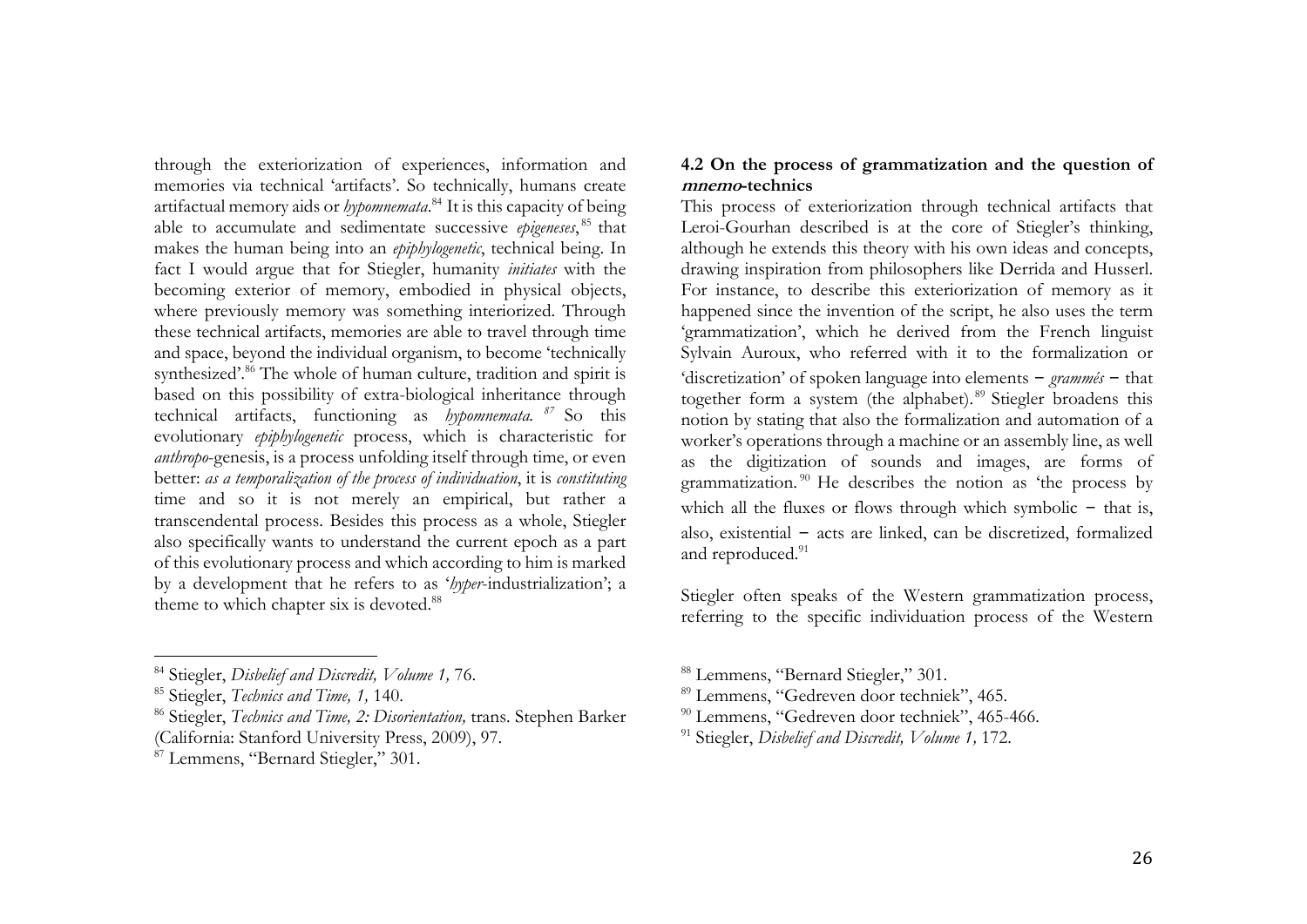through the exteriorization of experiences, information and memories via technical 'artifacts'. So technically, humans create artifactual memory aids or *hypomnemata*.84 It is this capacity of being able to accumulate and sedimentate successive *epigeneses*, 85 that makes the human being into an *epiphylogenetic*, technical being. In fact I would argue that for Stiegler, humanity *initiates* with the becoming exterior of memory, embodied in physical objects, where previously memory was something interiorized. Through these technical artifacts, memories are able to travel through time and space, beyond the individual organism, to become 'technically synthesized'.<sup>86</sup> The whole of human culture, tradition and spirit is based on this possibility of extra-biological inheritance through technical artifacts, functioning as *hypomnemata. <sup>87</sup>* So this evolutionary *epiphylogenetic* process, which is characteristic for *anthropo*-genesis, is a process unfolding itself through time, or even better: *as a temporalization of the process of individuation*, it is *constituting* time and so it is not merely an empirical, but rather a transcendental process. Besides this process as a whole, Stiegler also specifically wants to understand the current epoch as a part of this evolutionary process and which according to him is marked by a development that he refers to as '*hyper*-industrialization'; a theme to which chapter six is devoted.<sup>88</sup>

#### **4.2 On the process of grammatization and the question of mnemo-technics**

This process of exteriorization through technical artifacts that Leroi-Gourhan described is at the core of Stiegler's thinking, although he extends this theory with his own ideas and concepts, drawing inspiration from philosophers like Derrida and Husserl. For instance, to describe this exteriorization of memory as it happened since the invention of the script, he also uses the term 'grammatization', which he derived from the French linguist Sylvain Auroux, who referred with it to the formalization or 'discretization' of spoken language into elements − *grammés*  − that together form a system (the alphabet). 89 Stiegler broadens this notion by stating that also the formalization and automation of a worker's operations through a machine or an assembly line, as well as the digitization of sounds and images, are forms of grammatization. 90 He describes the notion as 'the process by which all the fluxes or flows through which symbolic  $-$  that is, also, existential <sup>−</sup> acts are linked, can be discretized, formalized and reproduced.<sup>91</sup>

Stiegler often speaks of the Western grammatization process, referring to the specific individuation process of the Western

- (California: Stanford University Press, 2009), 97.
- <sup>87</sup> Lemmens, "Bernard Stiegler," 301.

<sup>84</sup> Stiegler, *Disbelief and Discredit, Volume 1,* 76.

<sup>85</sup> Stiegler, *Technics and Time, 1,* 140.

<sup>86</sup> Stiegler, *Technics and Time, 2: Disorientation,* trans. Stephen Barker

<sup>88</sup> Lemmens, "Bernard Stiegler," 301.

<sup>89</sup> Lemmens, "Gedreven door techniek", 465.

<sup>90</sup> Lemmens, "Gedreven door techniek", 465-466.

<sup>91</sup> Stiegler, *Disbelief and Discredit, Volume 1,* 172.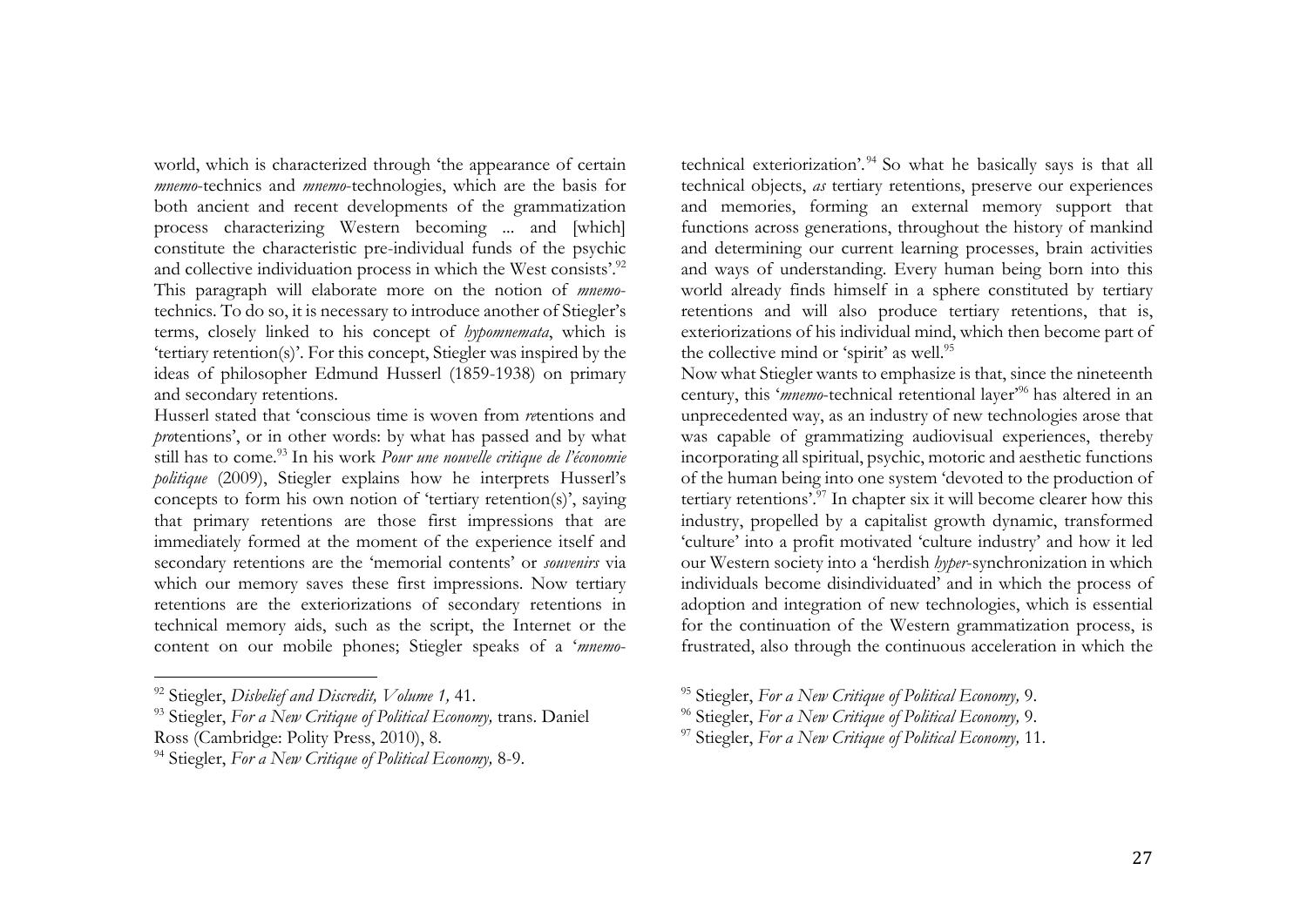world, which is characterized through 'the appearance of certain *mnemo*-technics and *mnemo*-technologies, which are the basis for both ancient and recent developments of the grammatization process characterizing Western becoming ... and [which] constitute the characteristic pre-individual funds of the psychic and collective individuation process in which the West consists'.<sup>92</sup> This paragraph will elaborate more on the notion of *mnemo*technics. To do so, it is necessary to introduce another of Stiegler's terms, closely linked to his concept of *hypomnemata*, which is 'tertiary retention(s)'. For this concept, Stiegler was inspired by the ideas of philosopher Edmund Husserl (1859-1938) on primary and secondary retentions.

Husserl stated that 'conscious time is woven from *re*tentions and *pro*tentions', or in other words: by what has passed and by what still has to come.93 In his work *Pour une nouvelle critique de l'économie politique* (2009), Stiegler explains how he interprets Husserl's concepts to form his own notion of 'tertiary retention(s)', saying that primary retentions are those first impressions that are immediately formed at the moment of the experience itself and secondary retentions are the 'memorial contents' or *souvenirs* via which our memory saves these first impressions. Now tertiary retentions are the exteriorizations of secondary retentions in technical memory aids, such as the script, the Internet or the content on our mobile phones; Stiegler speaks of a '*mnemo*-

93 Stiegler, *For a New Critique of Political Economy,* trans. Daniel Ross (Cambridge: Polity Press, 2010), 8.

technical exteriorization'.<sup>94</sup> So what he basically says is that all technical objects, *as* tertiary retentions, preserve our experiences and memories, forming an external memory support that functions across generations, throughout the history of mankind and determining our current learning processes, brain activities and ways of understanding. Every human being born into this world already finds himself in a sphere constituted by tertiary retentions and will also produce tertiary retentions, that is, exteriorizations of his individual mind, which then become part of the collective mind or 'spirit' as well.<sup>95</sup>

Now what Stiegler wants to emphasize is that, since the nineteenth century, this '*mnemo*-technical retentional layer'96 has altered in an unprecedented way, as an industry of new technologies arose that was capable of grammatizing audiovisual experiences, thereby incorporating all spiritual, psychic, motoric and aesthetic functions of the human being into one system 'devoted to the production of tertiary retentions'.97 In chapter six it will become clearer how this industry, propelled by a capitalist growth dynamic, transformed 'culture' into a profit motivated 'culture industry' and how it led our Western society into a 'herdish *hyper*-synchronization in which individuals become disindividuated' and in which the process of adoption and integration of new technologies, which is essential for the continuation of the Western grammatization process, is frustrated, also through the continuous acceleration in which the

<sup>92</sup> Stiegler, *Disbelief and Discredit, Volume 1,* 41.

<sup>94</sup> Stiegler, *For a New Critique of Political Economy,* 8-9.

<sup>95</sup> Stiegler, *For a New Critique of Political Economy,* 9.

<sup>96</sup> Stiegler, *For a New Critique of Political Economy,* 9.

<sup>97</sup> Stiegler, *For a New Critique of Political Economy,* 11.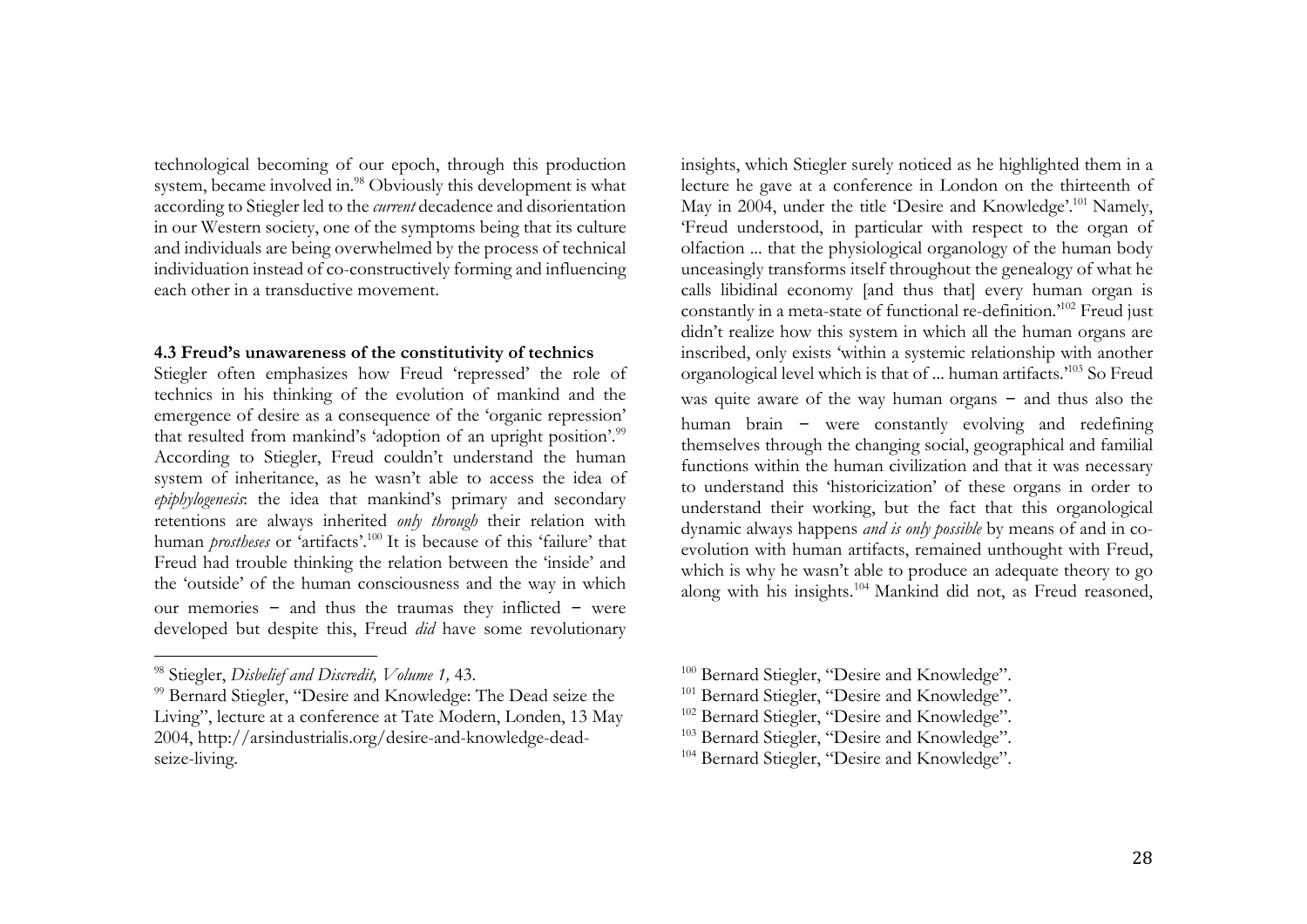technological becoming of our epoch, through this production system, became involved in.<sup>98</sup> Obviously this development is what according to Stiegler led to the *current* decadence and disorientation in our Western society, one of the symptoms being that its culture and individuals are being overwhelmed by the process of technical individuation instead of co-constructively forming and influencing each other in a transductive movement.

#### **4.3 Freud's unawareness of the constitutivity of technics**

Stiegler often emphasizes how Freud 'repressed' the role of technics in his thinking of the evolution of mankind and the emergence of desire as a consequence of the 'organic repression' that resulted from mankind's 'adoption of an upright position'.<sup>99</sup> According to Stiegler, Freud couldn't understand the human system of inheritance, as he wasn't able to access the idea of *epiphylogenesis*: the idea that mankind's primary and secondary retentions are always inherited *only through* their relation with human *prostheses* or 'artifacts'.100 It is because of this 'failure' that Freud had trouble thinking the relation between the 'inside' and the 'outside' of the human consciousness and the way in which our memories <sup>−</sup> and thus the traumas they inflicted <sup>−</sup> were developed but despite this, Freud *did* have some revolutionary

insights, which Stiegler surely noticed as he highlighted them in a lecture he gave at a conference in London on the thirteenth of May in 2004, under the title 'Desire and Knowledge'.<sup>101</sup> Namely, 'Freud understood, in particular with respect to the organ of olfaction ... that the physiological organology of the human body unceasingly transforms itself throughout the genealogy of what he calls libidinal economy [and thus that] every human organ is constantly in a meta-state of functional re-definition.'102 Freud just didn't realize how this system in which all the human organs are inscribed, only exists 'within a systemic relationship with another organological level which is that of ... human artifacts.'103 So Freud was quite aware of the way human organs – and thus also the human brain – were constantly evolving and redefining themselves through the changing social, geographical and familial functions within the human civilization and that it was necessary to understand this 'historicization' of these organs in order to understand their working, but the fact that this organological dynamic always happens *and is only possible* by means of and in coevolution with human artifacts, remained unthought with Freud, which is why he wasn't able to produce an adequate theory to go along with his insights.104 Mankind did not, as Freud reasoned,

<sup>98</sup> Stiegler, *Disbelief and Discredit, Volume 1,* 43.

<sup>99</sup> Bernard Stiegler, "Desire and Knowledge: The Dead seize the Living", lecture at a conference at Tate Modern, Londen, 13 May 2004, http://arsindustrialis.org/desire-and-knowledge-deadseize-living.

<sup>&</sup>lt;sup>100</sup> Bernard Stiegler, "Desire and Knowledge".

<sup>&</sup>lt;sup>101</sup> Bernard Stiegler, "Desire and Knowledge".

<sup>&</sup>lt;sup>102</sup> Bernard Stiegler, "Desire and Knowledge".

<sup>&</sup>lt;sup>103</sup> Bernard Stiegler, "Desire and Knowledge".

<sup>&</sup>lt;sup>104</sup> Bernard Stiegler, "Desire and Knowledge".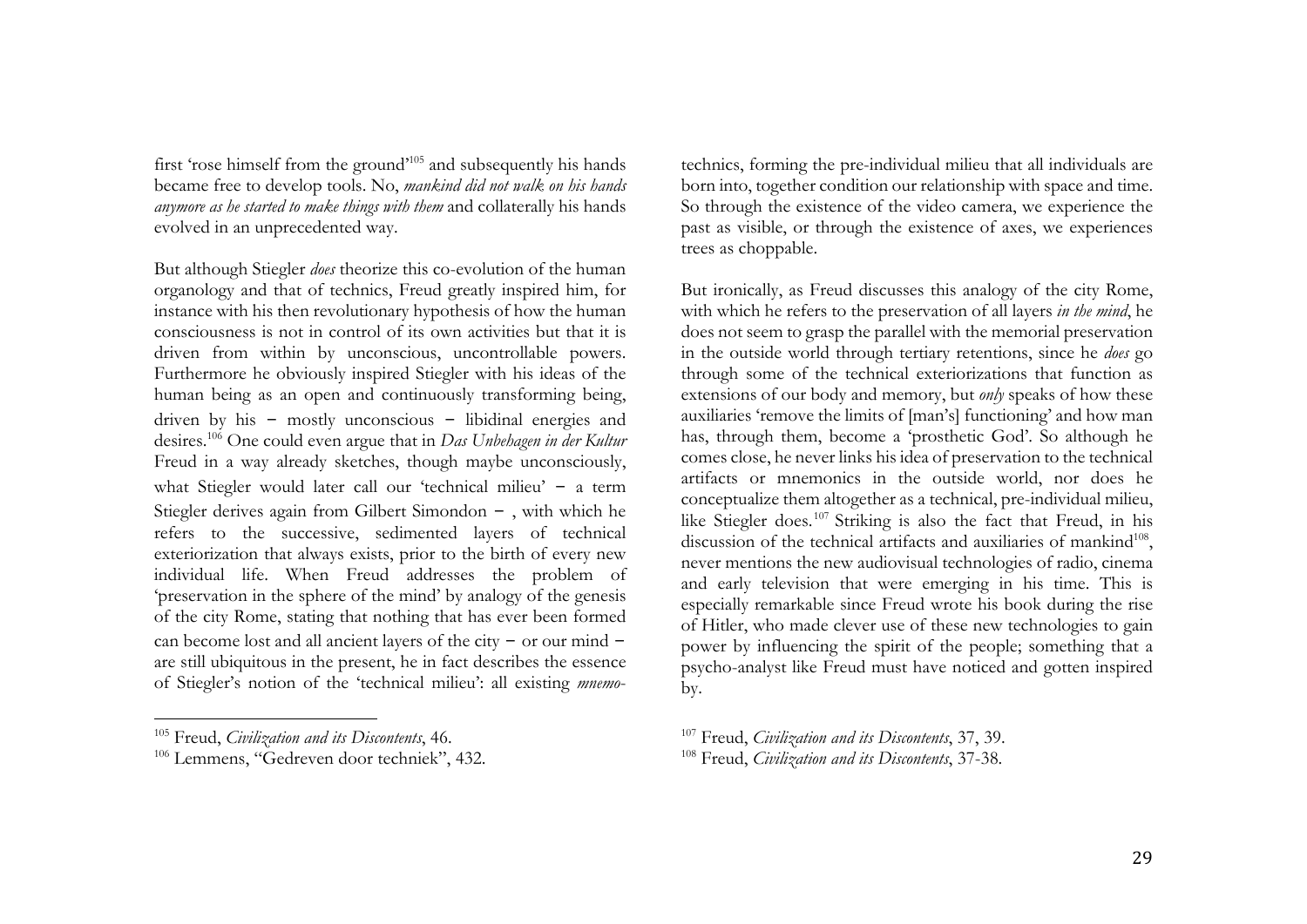first 'rose himself from the ground'105 and subsequently his hands became free to develop tools. No, *mankind did not walk on his hands anymore as he started to make things with them* and collaterally his hands evolved in an unprecedented way.

But although Stiegler *does* theorize this co-evolution of the human organology and that of technics, Freud greatly inspired him, for instance with his then revolutionary hypothesis of how the human consciousness is not in control of its own activities but that it is driven from within by unconscious, uncontrollable powers. Furthermore he obviously inspired Stiegler with his ideas of the human being as an open and continuously transforming being, driven by his <sup>−</sup> mostly unconscious <sup>−</sup> libidinal energies and desires.106 One could even argue that in *Das Unbehagen in der Kultur*  Freud in a way already sketches, though maybe unconsciously, what Stiegler would later call our 'technical milieu' − a term Stiegler derives again from Gilbert Simondon <sup>−</sup>, with which he refers to the successive, sedimented layers of technical exteriorization that always exists, prior to the birth of every new individual life. When Freud addresses the problem of 'preservation in the sphere of the mind' by analogy of the genesis of the city Rome, stating that nothing that has ever been formed can become lost and all ancient layers of the city − or our mind <sup>−</sup> are still ubiquitous in the present, he in fact describes the essence of Stiegler's notion of the 'technical milieu': all existing *mnemo*- technics, forming the pre-individual milieu that all individuals are born into, together condition our relationship with space and time. So through the existence of the video camera, we experience the past as visible, or through the existence of axes, we experiences trees as choppable.

But ironically, as Freud discusses this analogy of the city Rome, with which he refers to the preservation of all layers *in the mind*, he does not seem to grasp the parallel with the memorial preservation in the outside world through tertiary retentions, since he *does* go through some of the technical exteriorizations that function as extensions of our body and memory, but *only* speaks of how these auxiliaries 'remove the limits of [man's] functioning' and how man has, through them, become a 'prosthetic God'. So although he comes close, he never links his idea of preservation to the technical artifacts or mnemonics in the outside world, nor does he conceptualize them altogether as a technical, pre-individual milieu, like Stiegler does.<sup>107</sup> Striking is also the fact that Freud, in his discussion of the technical artifacts and auxiliaries of mankind $108$ , never mentions the new audiovisual technologies of radio, cinema and early television that were emerging in his time. This is especially remarkable since Freud wrote his book during the rise of Hitler, who made clever use of these new technologies to gain power by influencing the spirit of the people; something that a psycho-analyst like Freud must have noticed and gotten inspired by.

<sup>105</sup> Freud, *Civilization and its Discontents*, 46.

<sup>106</sup> Lemmens, "Gedreven door techniek", 432.

<sup>107</sup> Freud, *Civilization and its Discontents*, 37, 39.

<sup>108</sup> Freud, *Civilization and its Discontents*, 37-38.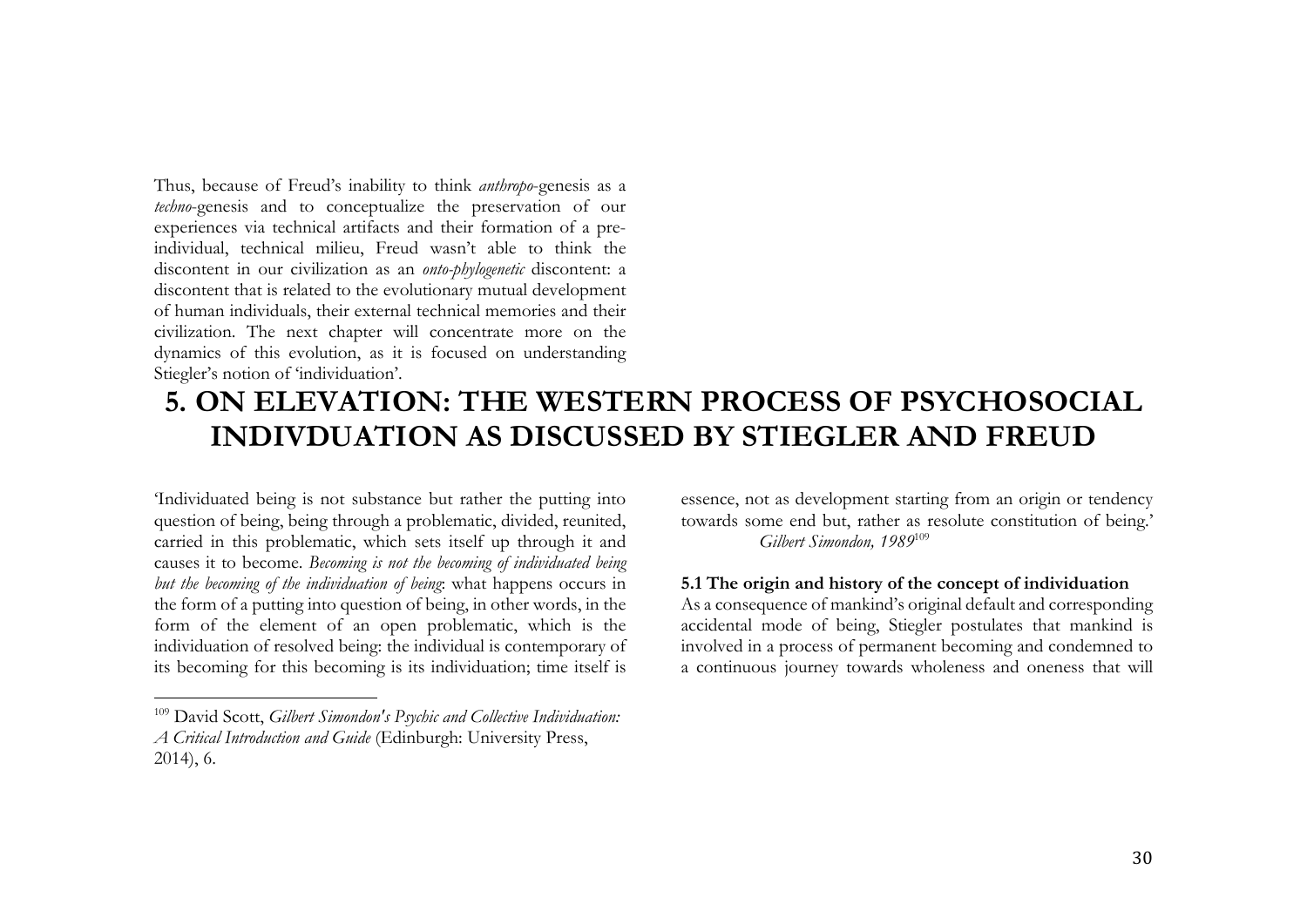Thus, because of Freud's inability to think *anthropo*-genesis as a *techno*-genesis and to conceptualize the preservation of our experiences via technical artifacts and their formation of a preindividual, technical milieu, Freud wasn't able to think the discontent in our civilization as an *onto-phylogenetic* discontent: a discontent that is related to the evolutionary mutual development of human individuals, their external technical memories and their civilization. The next chapter will concentrate more on the dynamics of this evolution, as it is focused on understanding Stiegler's notion of 'individuation'.

## **5. ON ELEVATION: THE WESTERN PROCESS OF PSYCHOSOCIAL INDIVDUATION AS DISCUSSED BY STIEGLER AND FREUD**

'Individuated being is not substance but rather the putting into question of being, being through a problematic, divided, reunited, carried in this problematic, which sets itself up through it and causes it to become. *Becoming is not the becoming of individuated being but the becoming of the individuation of being*: what happens occurs in the form of a putting into question of being, in other words, in the form of the element of an open problematic, which is the individuation of resolved being: the individual is contemporary of its becoming for this becoming is its individuation; time itself is essence, not as development starting from an origin or tendency towards some end but, rather as resolute constitution of being.' *Gilbert Simondon, 1989*<sup>109</sup>

#### **5.1 The origin and history of the concept of individuation**

As a consequence of mankind's original default and corresponding accidental mode of being, Stiegler postulates that mankind is involved in a process of permanent becoming and condemned to a continuous journey towards wholeness and oneness that will

<sup>109</sup> David Scott, *Gilbert Simondon's Psychic and Collective Individuation: A Critical Introduction and Guide* (Edinburgh: University Press, 2014), 6.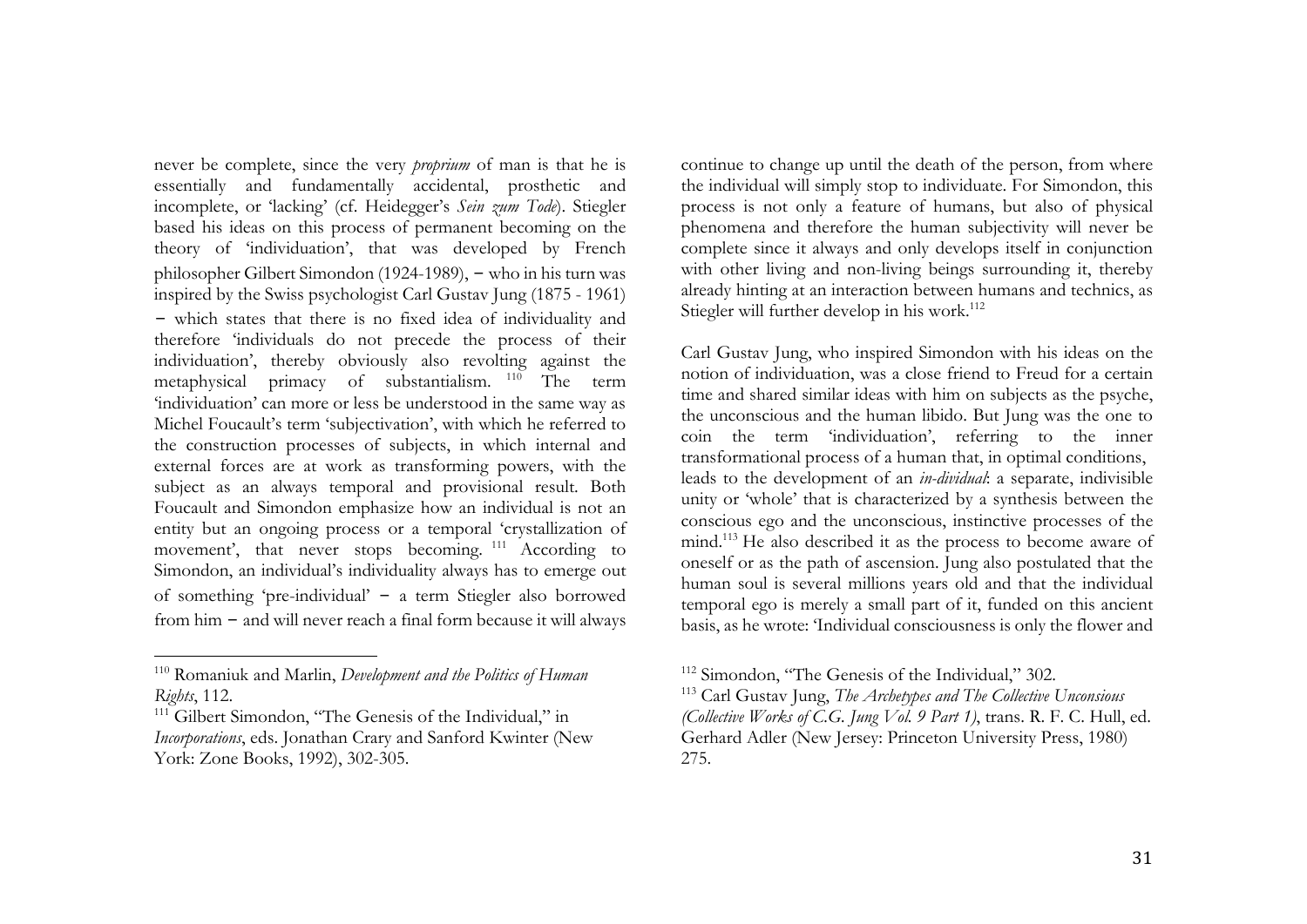never be complete, since the very *proprium* of man is that he is essentially and fundamentally accidental, prosthetic and incomplete, or 'lacking' (cf. Heidegger's *Sein zum Tode*). Stiegler based his ideas on this process of permanent becoming on the theory of 'individuation', that was developed by French philosopher Gilbert Simondon (1924-1989), <sup>−</sup> who in his turn was inspired by the Swiss psychologist Carl Gustav Jung (1875 - 1961) <sup>−</sup> which states that there is no fixed idea of individuality and therefore 'individuals do not precede the process of their individuation', thereby obviously also revolting against the metaphysical primacy of substantialism. 110 The term 'individuation' can more or less be understood in the same way as Michel Foucault's term 'subjectivation', with which he referred to the construction processes of subjects, in which internal and external forces are at work as transforming powers, with the subject as an always temporal and provisional result. Both Foucault and Simondon emphasize how an individual is not an entity but an ongoing process or a temporal 'crystallization of movement', that never stops becoming. <sup>111</sup> According to Simondon, an individual's individuality always has to emerge out of something 'pre-individual' <sup>−</sup> a term Stiegler also borrowed from him <sup>−</sup> and will never reach a final form because it will always

<sup>111</sup> Gilbert Simondon, "The Genesis of the Individual," in *Incorporations*, eds. Jonathan Crary and Sanford Kwinter (New York: Zone Books, 1992), 302-305.

continue to change up until the death of the person, from where the individual will simply stop to individuate. For Simondon, this process is not only a feature of humans, but also of physical phenomena and therefore the human subjectivity will never be complete since it always and only develops itself in conjunction with other living and non-living beings surrounding it, thereby already hinting at an interaction between humans and technics, as Stiegler will further develop in his work.<sup>112</sup>

Carl Gustav Jung, who inspired Simondon with his ideas on the notion of individuation, was a close friend to Freud for a certain time and shared similar ideas with him on subjects as the psyche, the unconscious and the human libido. But Jung was the one to coin the term 'individuation', referring to the inner transformational process of a human that, in optimal conditions, leads to the development of an *in-dividual*: a separate, indivisible unity or 'whole' that is characterized by a synthesis between the conscious ego and the unconscious, instinctive processes of the mind.<sup>113</sup> He also described it as the process to become aware of oneself or as the path of ascension. Jung also postulated that the human soul is several millions years old and that the individual temporal ego is merely a small part of it, funded on this ancient basis, as he wrote: 'Individual consciousness is only the flower and

<sup>110</sup> Romaniuk and Marlin, *Development and the Politics of Human Rights*, 112.

<sup>&</sup>lt;sup>112</sup> Simondon, "The Genesis of the Individual," 302.

<sup>113</sup> Carl Gustav Jung, *The Archetypes and The Collective Unconsious (Collective Works of C.G. Jung Vol. 9 Part 1)*, trans. R. F. C. Hull, ed. Gerhard Adler (New Jersey: Princeton University Press, 1980) 275.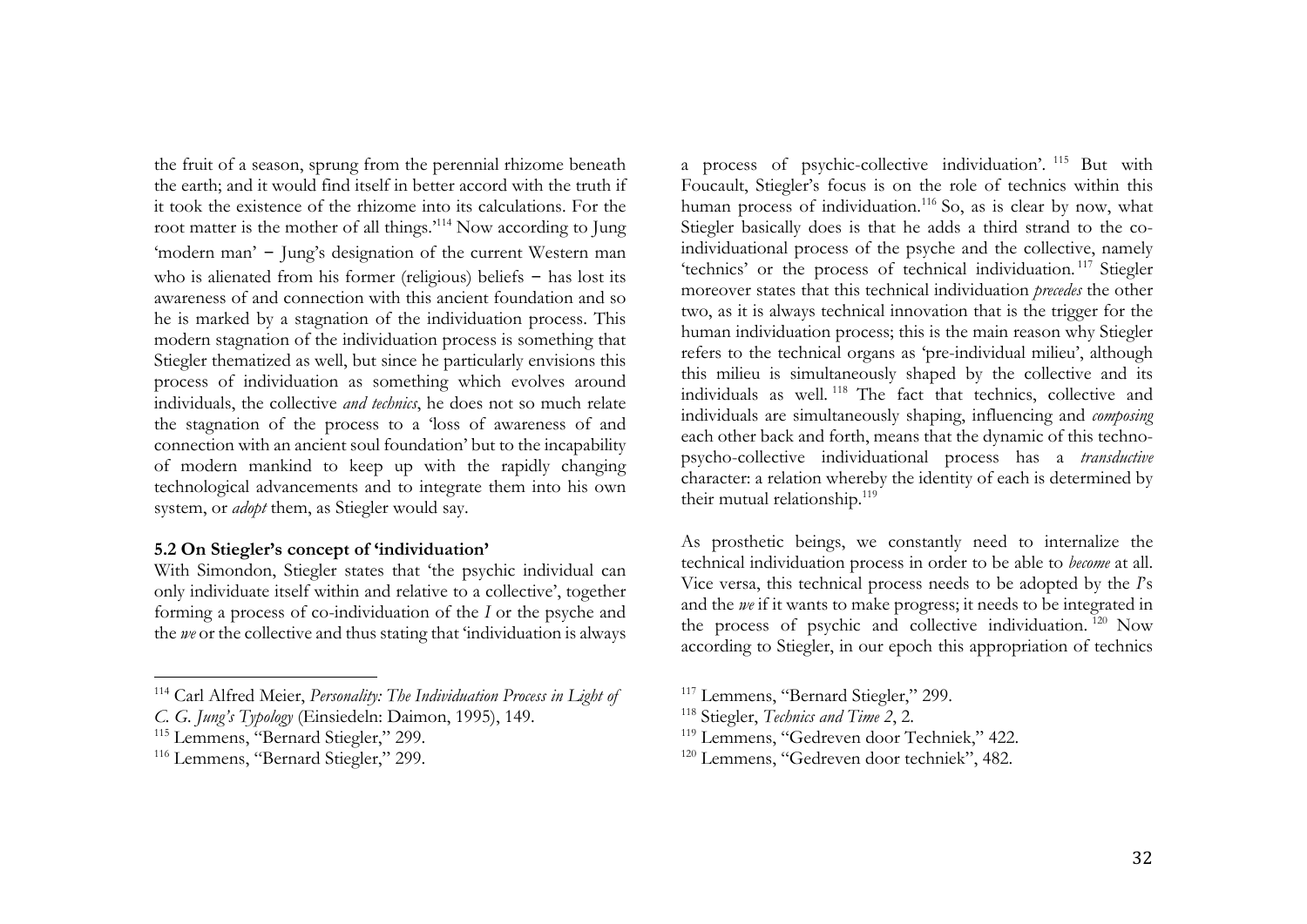the fruit of a season, sprung from the perennial rhizome beneath the earth; and it would find itself in better accord with the truth if it took the existence of the rhizome into its calculations. For the root matter is the mother of all things.'114 Now according to Jung 'modern man' <sup>−</sup> Jung's designation of the current Western man who is alienated from his former (religious) beliefs − has lost its awareness of and connection with this ancient foundation and so he is marked by a stagnation of the individuation process. This modern stagnation of the individuation process is something that Stiegler thematized as well, but since he particularly envisions this process of individuation as something which evolves around individuals, the collective *and technics*, he does not so much relate the stagnation of the process to a 'loss of awareness of and connection with an ancient soul foundation' but to the incapability of modern mankind to keep up with the rapidly changing technological advancements and to integrate them into his own system, or *adopt* them, as Stiegler would say.

#### **5.2 On Stiegler's concept of 'individuation'**

With Simondon, Stiegler states that 'the psychic individual can only individuate itself within and relative to a collective', together forming a process of co-individuation of the *I* or the psyche and the *we* or the collective and thus stating that 'individuation is always

a process of psychic-collective individuation'. 115 But with Foucault, Stiegler's focus is on the role of technics within this human process of individuation.<sup>116</sup> So, as is clear by now, what Stiegler basically does is that he adds a third strand to the coindividuational process of the psyche and the collective, namely 'technics' or the process of technical individuation. 117 Stiegler moreover states that this technical individuation *precedes* the other two, as it is always technical innovation that is the trigger for the human individuation process; this is the main reason why Stiegler refers to the technical organs as 'pre-individual milieu', although this milieu is simultaneously shaped by the collective and its individuals as well. 118 The fact that technics, collective and individuals are simultaneously shaping, influencing and *composing*  each other back and forth, means that the dynamic of this technopsycho-collective individuational process has a *transductive*  character: a relation whereby the identity of each is determined by their mutual relationship.<sup>119</sup>

As prosthetic beings, we constantly need to internalize the technical individuation process in order to be able to *become* at all. Vice versa, this technical process needs to be adopted by the *I*'s and the *we* if it wants to make progress; it needs to be integrated in the process of psychic and collective individuation. 120 Now according to Stiegler, in our epoch this appropriation of technics

<sup>114</sup> Carl Alfred Meier, *Personality: The Individuation Process in Light of* 

*C. G. Jung's Typology* (Einsiedeln: Daimon, 1995), 149.

<sup>&</sup>lt;sup>115</sup> Lemmens, "Bernard Stiegler," 299.

<sup>&</sup>lt;sup>116</sup> Lemmens, "Bernard Stiegler," 299.

<sup>&</sup>lt;sup>117</sup> Lemmens, "Bernard Stiegler," 299.

<sup>118</sup> Stiegler, *Technics and Time 2*, 2.

<sup>&</sup>lt;sup>119</sup> Lemmens, "Gedreven door Techniek," 422.

<sup>120</sup> Lemmens, "Gedreven door techniek", 482.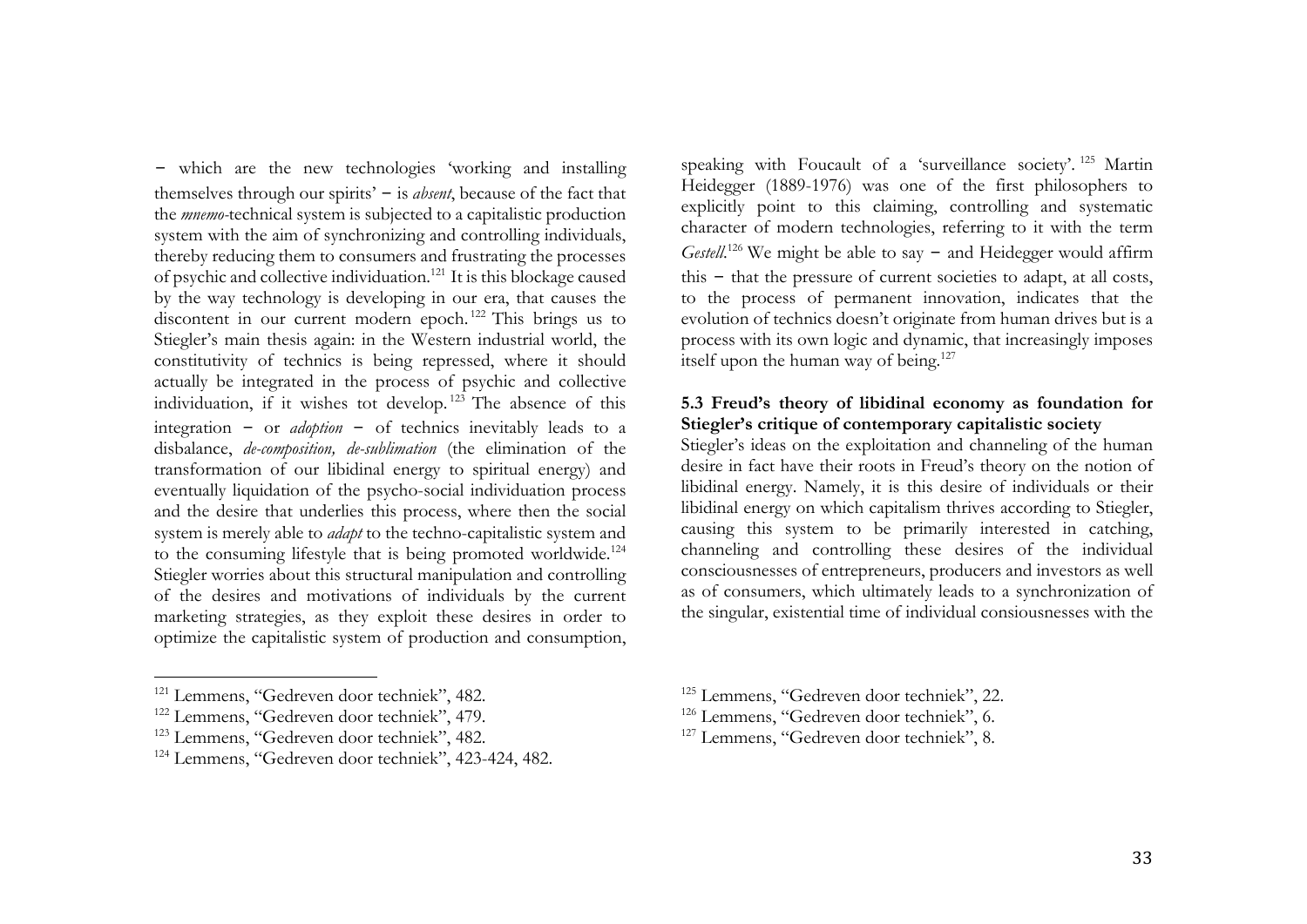<sup>−</sup> which are the new technologies 'working and installing themselves through our spirits' <sup>−</sup> is *absent*, because of the fact that the *mnemo-*technical system is subjected to a capitalistic production system with the aim of synchronizing and controlling individuals, thereby reducing them to consumers and frustrating the processes of psychic and collective individuation.121 It is this blockage caused by the way technology is developing in our era, that causes the discontent in our current modern epoch.<sup>122</sup> This brings us to Stiegler's main thesis again: in the Western industrial world, the constitutivity of technics is being repressed, where it should actually be integrated in the process of psychic and collective individuation, if it wishes tot develop.<sup>123</sup> The absence of this integration <sup>−</sup> or *adoption* <sup>−</sup>of technics inevitably leads to a disbalance, *de-composition, de-sublimation* (the elimination of the transformation of our libidinal energy to spiritual energy) and eventually liquidation of the psycho-social individuation process and the desire that underlies this process, where then the social system is merely able to *adapt* to the techno-capitalistic system and to the consuming lifestyle that is being promoted worldwide.<sup>124</sup> Stiegler worries about this structural manipulation and controlling of the desires and motivations of individuals by the current marketing strategies, as they exploit these desires in order to optimize the capitalistic system of production and consumption,

speaking with Foucault of a 'surveillance society'. 125 Martin Heidegger (1889-1976) was one of the first philosophers to explicitly point to this claiming, controlling and systematic character of modern technologies, referring to it with the term *Gestell*.<sup>126</sup> We might be able to say − and Heidegger would affirm this <sup>−</sup> that the pressure of current societies to adapt, at all costs, to the process of permanent innovation, indicates that the evolution of technics doesn't originate from human drives but is a process with its own logic and dynamic, that increasingly imposes itself upon the human way of being.<sup>127</sup>

#### **5.3 Freud's theory of libidinal economy as foundation for Stiegler's critique of contemporary capitalistic society**

Stiegler's ideas on the exploitation and channeling of the human desire in fact have their roots in Freud's theory on the notion of libidinal energy. Namely, it is this desire of individuals or their libidinal energy on which capitalism thrives according to Stiegler, causing this system to be primarily interested in catching, channeling and controlling these desires of the individual consciousnesses of entrepreneurs, producers and investors as well as of consumers, which ultimately leads to a synchronization of the singular, existential time of individual consiousnesses with the

<sup>&</sup>lt;sup>121</sup> Lemmens, "Gedreven door techniek", 482.

<sup>122</sup> Lemmens, "Gedreven door techniek", 479.

<sup>123</sup> Lemmens, "Gedreven door techniek", 482.

<sup>124</sup> Lemmens, "Gedreven door techniek", 423-424, 482.

<sup>&</sup>lt;sup>125</sup> Lemmens, "Gedreven door techniek", 22.

<sup>126</sup> Lemmens, "Gedreven door techniek", 6.

<sup>&</sup>lt;sup>127</sup> Lemmens, "Gedreven door techniek", 8.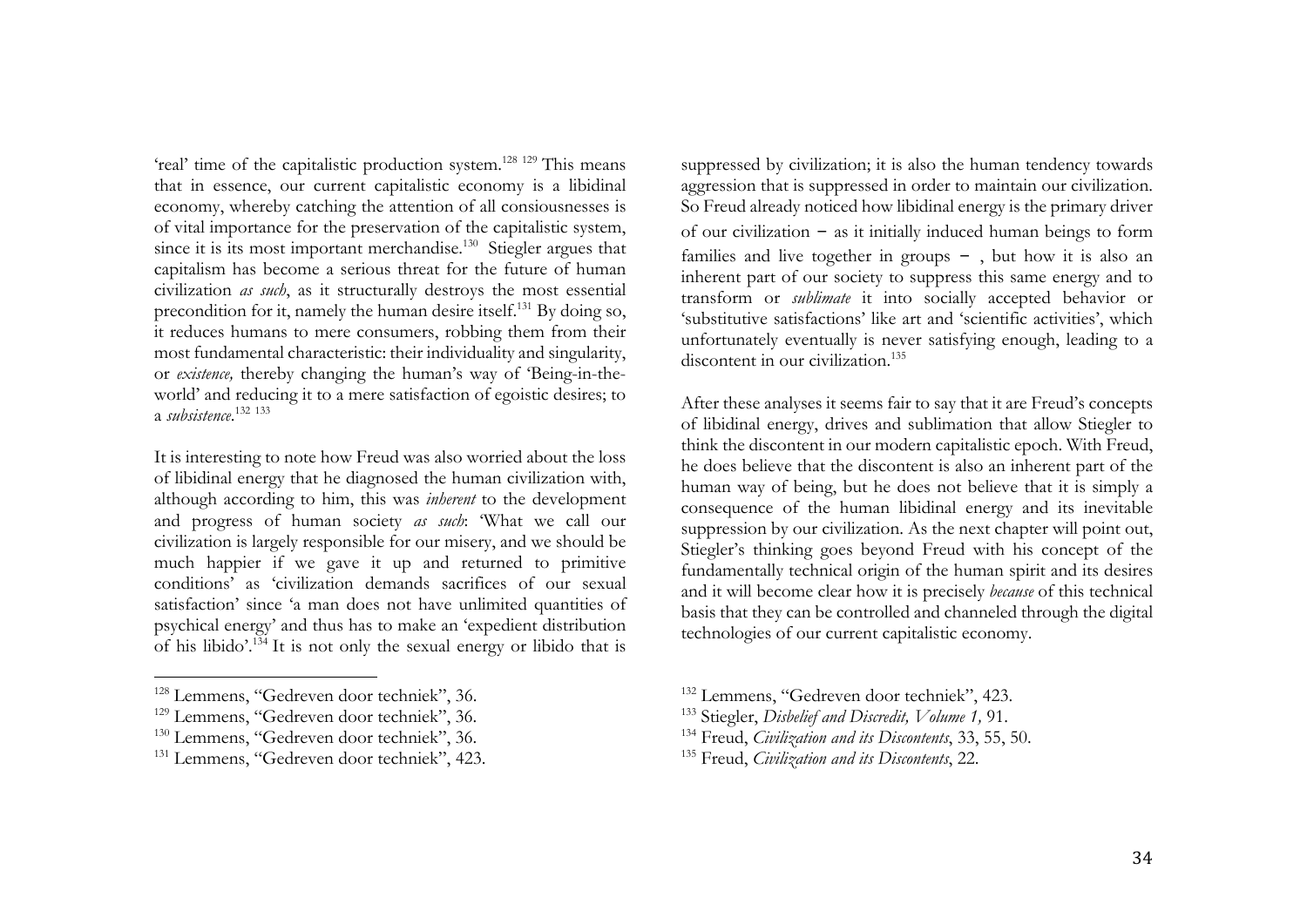'real' time of the capitalistic production system.<sup>128 129</sup> This means that in essence, our current capitalistic economy is a libidinal economy, whereby catching the attention of all consiousnesses is of vital importance for the preservation of the capitalistic system, since it is its most important merchandise.<sup>130</sup> Stiegler argues that capitalism has become a serious threat for the future of human civilization *as such*, as it structurally destroys the most essential precondition for it, namely the human desire itself.131 By doing so, it reduces humans to mere consumers, robbing them from their most fundamental characteristic: their individuality and singularity, or *existence,* thereby changing the human's way of 'Being-in-theworld' and reducing it to a mere satisfaction of egoistic desires; to <sup>a</sup>*subsistence*.<sup>132</sup> <sup>133</sup>

It is interesting to note how Freud was also worried about the loss of libidinal energy that he diagnosed the human civilization with, although according to him, this was *inherent* to the development and progress of human society *as such*: 'What we call our civilization is largely responsible for our misery, and we should be much happier if we gave it up and returned to primitive conditions' as 'civilization demands sacrifices of our sexual satisfaction' since 'a man does not have unlimited quantities of psychical energy' and thus has to make an 'expedient distribution of his libido'.134 It is not only the sexual energy or libido that is

suppressed by civilization; it is also the human tendency towards aggression that is suppressed in order to maintain our civilization. So Freud already noticed how libidinal energy is the primary driver of our civilization − as it initially induced human beings to form families and live together in groups <sup>−</sup>, but how it is also an inherent part of our society to suppress this same energy and to transform or *sublimate* it into socially accepted behavior or 'substitutive satisfactions' like art and 'scientific activities', which unfortunately eventually is never satisfying enough, leading to a discontent in our civilization.<sup>135</sup>

After these analyses it seems fair to say that it are Freud's concepts of libidinal energy, drives and sublimation that allow Stiegler to think the discontent in our modern capitalistic epoch. With Freud, he does believe that the discontent is also an inherent part of the human way of being, but he does not believe that it is simply a consequence of the human libidinal energy and its inevitable suppression by our civilization. As the next chapter will point out, Stiegler's thinking goes beyond Freud with his concept of the fundamentally technical origin of the human spirit and its desires and it will become clear how it is precisely *because* of this technical basis that they can be controlled and channeled through the digital technologies of our current capitalistic economy.

<sup>128</sup> Lemmens, "Gedreven door techniek", 36.

<sup>129</sup> Lemmens, "Gedreven door techniek", 36.

<sup>130</sup> Lemmens, "Gedreven door techniek", 36.

<sup>&</sup>lt;sup>131</sup> Lemmens, "Gedreven door techniek", 423.

<sup>132</sup> Lemmens, "Gedreven door techniek", 423.

<sup>133</sup> Stiegler, *Disbelief and Discredit, Volume 1,* 91.

<sup>134</sup> Freud, *Civilization and its Discontents*, 33, 55, 50.

<sup>135</sup> Freud, *Civilization and its Discontents*, 22.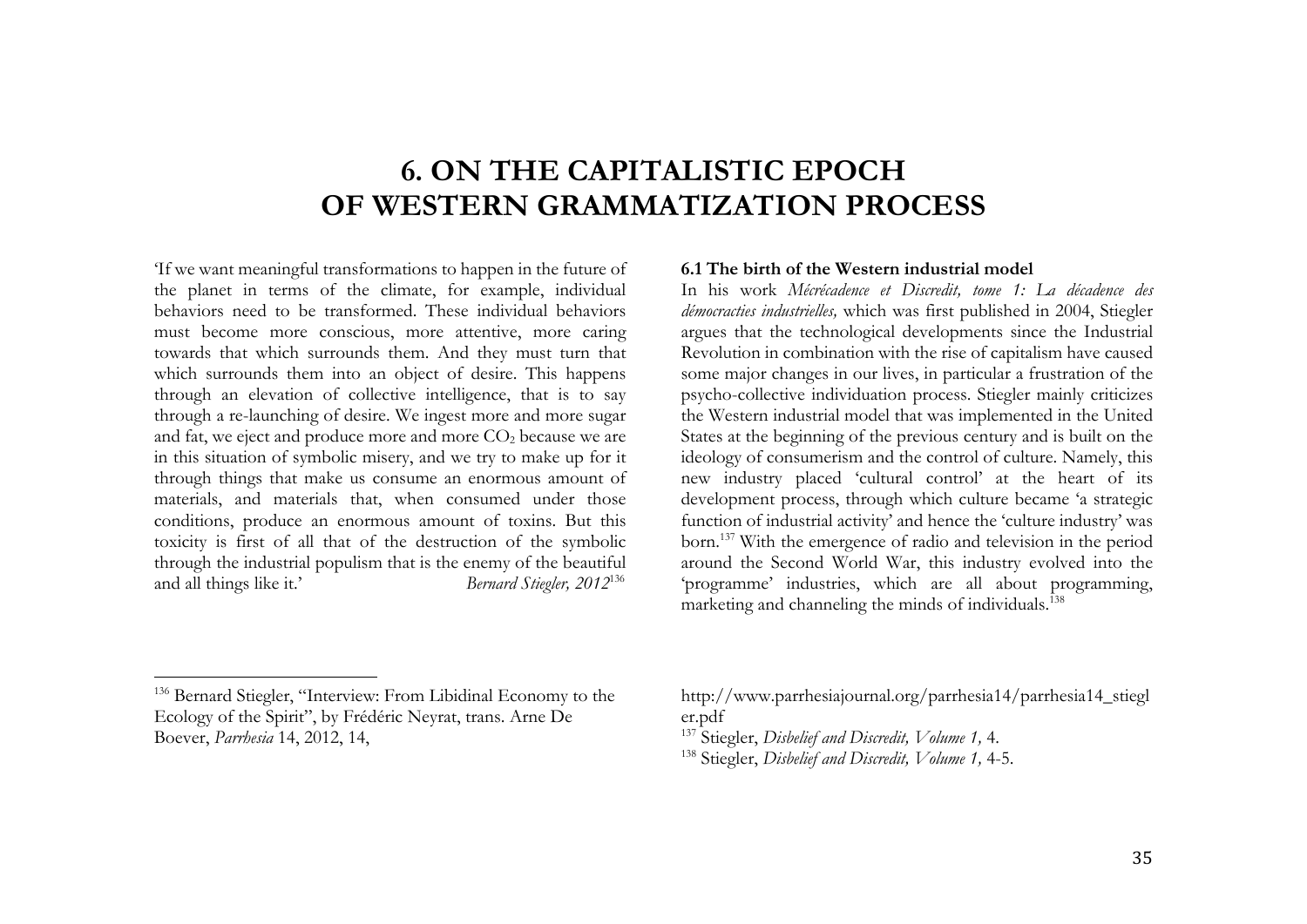### **6. ON THE CAPITALISTIC EPOCH OF WESTERN GRAMMATIZATION PROCESS**

'If we want meaningful transformations to happen in the future of the planet in terms of the climate, for example, individual behaviors need to be transformed. These individual behaviors must become more conscious, more attentive, more caring towards that which surrounds them. And they must turn that which surrounds them into an object of desire. This happens through an elevation of collective intelligence, that is to say through a re-launching of desire. We ingest more and more sugar and fat, we eject and produce more and more  $CO<sub>2</sub>$  because we are in this situation of symbolic misery, and we try to make up for it through things that make us consume an enormous amount of materials, and materials that, when consumed under those conditions, produce an enormous amount of toxins. But this toxicity is first of all that of the destruction of the symbolic through the industrial populism that is the enemy of the beautiful and all things like it.' *Bernard Stiegler, 2012*<sup>136</sup>

#### **6.1 The birth of the Western industrial model**

In his work *Mécrécadence et Discredit, tome 1: La décadence des démocracties industrielles,* which was first published in 2004, Stiegler argues that the technological developments since the Industrial Revolution in combination with the rise of capitalism have caused some major changes in our lives, in particular a frustration of the psycho-collective individuation process. Stiegler mainly criticizes the Western industrial model that was implemented in the United States at the beginning of the previous century and is built on the ideology of consumerism and the control of culture. Namely, this new industry placed 'cultural control' at the heart of its development process, through which culture became 'a strategic function of industrial activity' and hence the 'culture industry' was born.137 With the emergence of radio and television in the period around the Second World War, this industry evolved into the 'programme' industries, which are all about programming, marketing and channeling the minds of individuals.<sup>138</sup>

<sup>136</sup> Bernard Stiegler, "Interview: From Libidinal Economy to the Ecology of the Spirit", by Frédéric Neyrat, trans. Arne De Boever, *Parrhesia* 14, 2012, 14,

http://www.parrhesiajournal.org/parrhesia14/parrhesia14\_stiegl er.pdf

<sup>137</sup> Stiegler, *Disbelief and Discredit, Volume 1,* 4.

<sup>138</sup> Stiegler, *Disbelief and Discredit, Volume 1,* 4-5.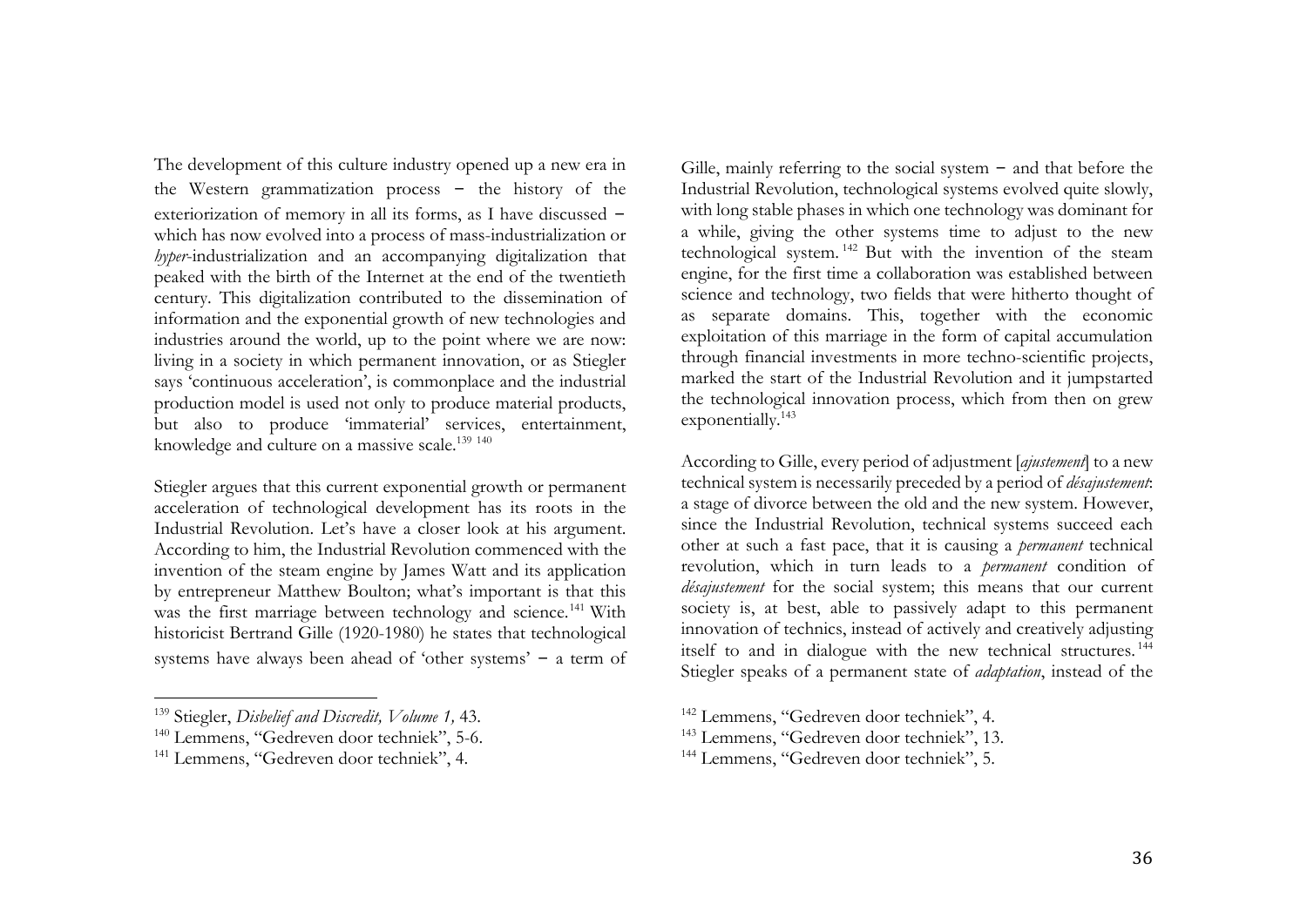The development of this culture industry opened up a new era in the Western grammatization process <sup>−</sup> the history of the exteriorization of memory in all its forms, as I have discussed <sup>−</sup> which has now evolved into a process of mass-industrialization or *hyper*-industrialization and an accompanying digitalization that peaked with the birth of the Internet at the end of the twentieth century. This digitalization contributed to the dissemination of information and the exponential growth of new technologies and industries around the world, up to the point where we are now: living in a society in which permanent innovation, or as Stiegler says 'continuous acceleration', is commonplace and the industrial production model is used not only to produce material products, but also to produce 'immaterial' services, entertainment, knowledge and culture on a massive scale. $139 140$ 

Stiegler argues that this current exponential growth or permanent acceleration of technological development has its roots in the Industrial Revolution. Let's have a closer look at his argument. According to him, the Industrial Revolution commenced with the invention of the steam engine by James Watt and its application by entrepreneur Matthew Boulton; what's important is that this was the first marriage between technology and science.<sup>141</sup> With historicist Bertrand Gille (1920-1980) he states that technological systems have always been ahead of 'other systems' − a term of

Gille, mainly referring to the social system – and that before the Industrial Revolution, technological systems evolved quite slowly, with long stable phases in which one technology was dominant for a while, giving the other systems time to adjust to the new technological system. 142 But with the invention of the steam engine, for the first time a collaboration was established between science and technology, two fields that were hitherto thought of as separate domains. This, together with the economic exploitation of this marriage in the form of capital accumulation through financial investments in more techno-scientific projects, marked the start of the Industrial Revolution and it jumpstarted the technological innovation process, which from then on grew exponentially.<sup>143</sup>

According to Gille, every period of adjustment [*ajustement*] to a new technical system is necessarily preceded by a period of *désajustement*: a stage of divorce between the old and the new system. However, since the Industrial Revolution, technical systems succeed each other at such a fast pace, that it is causing a *permanent* technical revolution, which in turn leads to a *permanent* condition of *désajustement* for the social system; this means that our current society is, at best, able to passively adapt to this permanent innovation of technics, instead of actively and creatively adjusting itself to and in dialogue with the new technical structures.<sup>144</sup> Stiegler speaks of a permanent state of *adaptation*, instead of the

<sup>139</sup> Stiegler, *Disbelief and Discredit, Volume 1,* 43.

<sup>&</sup>lt;sup>140</sup> Lemmens, "Gedreven door techniek", 5-6.

<sup>&</sup>lt;sup>141</sup> Lemmens, "Gedreven door techniek", 4.

<sup>142</sup> Lemmens, "Gedreven door techniek", 4.

<sup>143</sup> Lemmens, "Gedreven door techniek", 13.

<sup>&</sup>lt;sup>144</sup> Lemmens, "Gedreven door techniek", 5.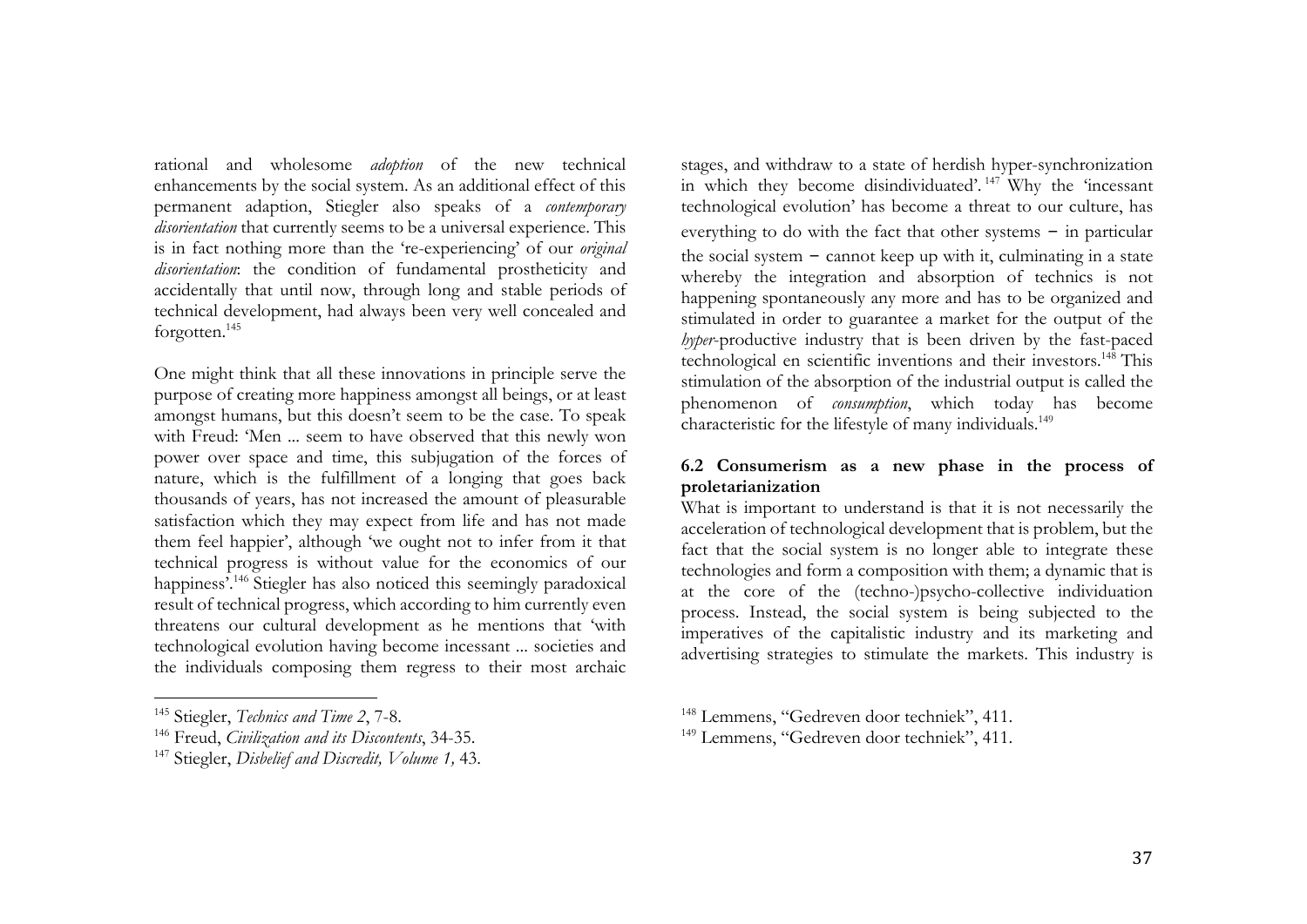rational and wholesome *adoption* of the new technical enhancements by the social system. As an additional effect of this permanent adaption, Stiegler also speaks of a *contemporary disorientation* that currently seems to be a universal experience. This is in fact nothing more than the 're-experiencing' of our *original disorientation*: the condition of fundamental prostheticity and accidentally that until now, through long and stable periods of technical development, had always been very well concealed and forgotten.<sup>145</sup>

One might think that all these innovations in principle serve the purpose of creating more happiness amongst all beings, or at least amongst humans, but this doesn't seem to be the case. To speak with Freud: 'Men ... seem to have observed that this newly won power over space and time, this subjugation of the forces of nature, which is the fulfillment of a longing that goes back thousands of years, has not increased the amount of pleasurable satisfaction which they may expect from life and has not made them feel happier', although 'we ought not to infer from it that technical progress is without value for the economics of our happiness'.146 Stiegler has also noticed this seemingly paradoxical result of technical progress, which according to him currently even threatens our cultural development as he mentions that 'with technological evolution having become incessant ... societies and the individuals composing them regress to their most archaic

stages, and withdraw to a state of herdish hyper-synchronization in which they become disindividuated'. 147 Why the 'incessant technological evolution' has become a threat to our culture, has everything to do with the fact that other systems – in particular the social system <sup>−</sup> cannot keep up with it, culminating in a state whereby the integration and absorption of technics is not happening spontaneously any more and has to be organized and stimulated in order to guarantee a market for the output of the *hyper*-productive industry that is been driven by the fast-paced technological en scientific inventions and their investors.148 This stimulation of the absorption of the industrial output is called the phenomenon of *consumption*, which today has become characteristic for the lifestyle of many individuals.<sup>149</sup>

#### **6.2 Consumerism as a new phase in the process of proletarianization**

What is important to understand is that it is not necessarily the acceleration of technological development that is problem, but the fact that the social system is no longer able to integrate these technologies and form a composition with them; a dynamic that is at the core of the (techno-)psycho-collective individuation process. Instead, the social system is being subjected to the imperatives of the capitalistic industry and its marketing and advertising strategies to stimulate the markets. This industry is

<sup>145</sup> Stiegler, *Technics and Time 2*, 7-8.

<sup>146</sup> Freud, *Civilization and its Discontents*, 34-35.

<sup>147</sup> Stiegler, *Disbelief and Discredit, Volume 1,* 43.

<sup>148</sup> Lemmens, "Gedreven door techniek", 411.

<sup>149</sup> Lemmens, "Gedreven door techniek", 411.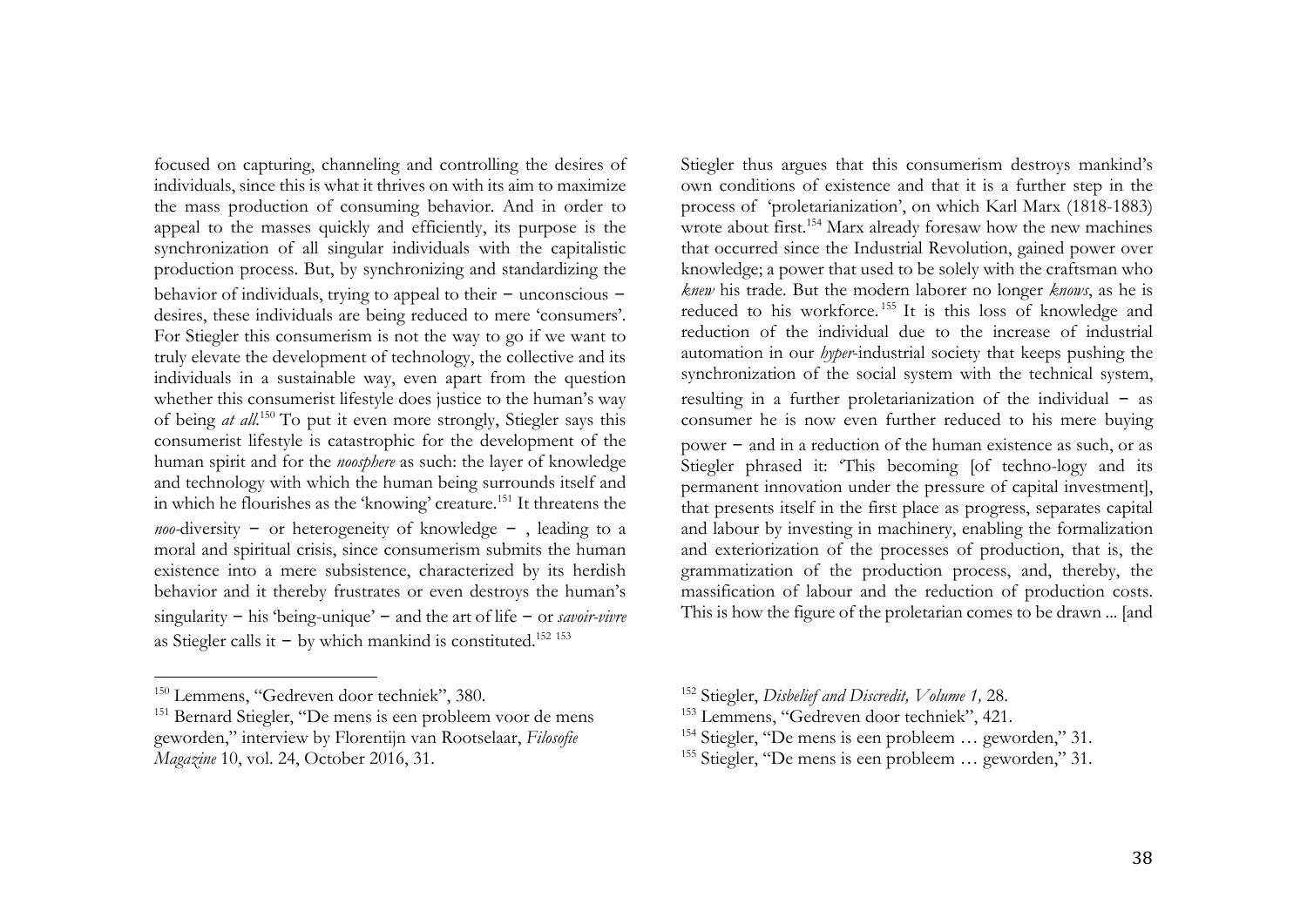focused on capturing, channeling and controlling the desires of individuals, since this is what it thrives on with its aim to maximize the mass production of consuming behavior. And in order to appeal to the masses quickly and efficiently, its purpose is the synchronization of all singular individuals with the capitalistic production process. But, by synchronizing and standardizing the behavior of individuals, trying to appeal to their − unconscious − desires, these individuals are being reduced to mere 'consumers'. For Stiegler this consumerism is not the way to go if we want to truly elevate the development of technology, the collective and its individuals in a sustainable way, even apart from the question whether this consumerist lifestyle does justice to the human's way of being *at all.*150 To put it even more strongly, Stiegler says this consumerist lifestyle is catastrophic for the development of the human spirit and for the *noosphere* as such: the layer of knowledge and technology with which the human being surrounds itself and in which he flourishes as the 'knowing' creature.151 It threatens the *noo-*diversity − or heterogeneity of knowledge <sup>−</sup>, leading to a moral and spiritual crisis, since consumerism submits the human existence into a mere subsistence, characterized by its herdish behavior and it thereby frustrates or even destroys the human's singularity <sup>−</sup> his 'being-unique' − and the art of life − or *savoir-vivre* as Stiegler calls it – by which mankind is constituted.<sup>152 153</sup>

Stiegler thus argues that this consumerism destroys mankind's own conditions of existence and that it is a further step in the process of 'proletarianization', on which Karl Marx (1818-1883) wrote about first.<sup>154</sup> Marx already foresaw how the new machines that occurred since the Industrial Revolution, gained power over knowledge; a power that used to be solely with the craftsman who *knew* his trade. But the modern laborer no longer *knows*, as he is reduced to his workforce. 155 It is this loss of knowledge and reduction of the individual due to the increase of industrial automation in our *hyper*-industrial society that keeps pushing the synchronization of the social system with the technical system, resulting in a further proletarianization of the individual − as consumer he is now even further reduced to his mere buying power − and in a reduction of the human existence as such, or as Stiegler phrased it: 'This becoming [of techno-logy and its permanent innovation under the pressure of capital investment], that presents itself in the first place as progress, separates capital and labour by investing in machinery, enabling the formalization and exteriorization of the processes of production, that is, the grammatization of the production process, and, thereby, the massification of labour and the reduction of production costs. This is how the figure of the proletarian comes to be drawn ... [and

155 Stiegler, "De mens is een probleem … geworden," 31.

<sup>&</sup>lt;sup>150</sup> Lemmens, "Gedreven door techniek", 380.

<sup>&</sup>lt;sup>151</sup> Bernard Stiegler, "De mens is een probleem voor de mens geworden," interview by Florentijn van Rootselaar, *Filosofie Magazine* 10, vol. 24, October 2016, 31.

<sup>152</sup> Stiegler, *Disbelief and Discredit, Volume 1,* 28.

<sup>153</sup> Lemmens, "Gedreven door techniek", 421.

<sup>154</sup> Stiegler, "De mens is een probleem … geworden," 31.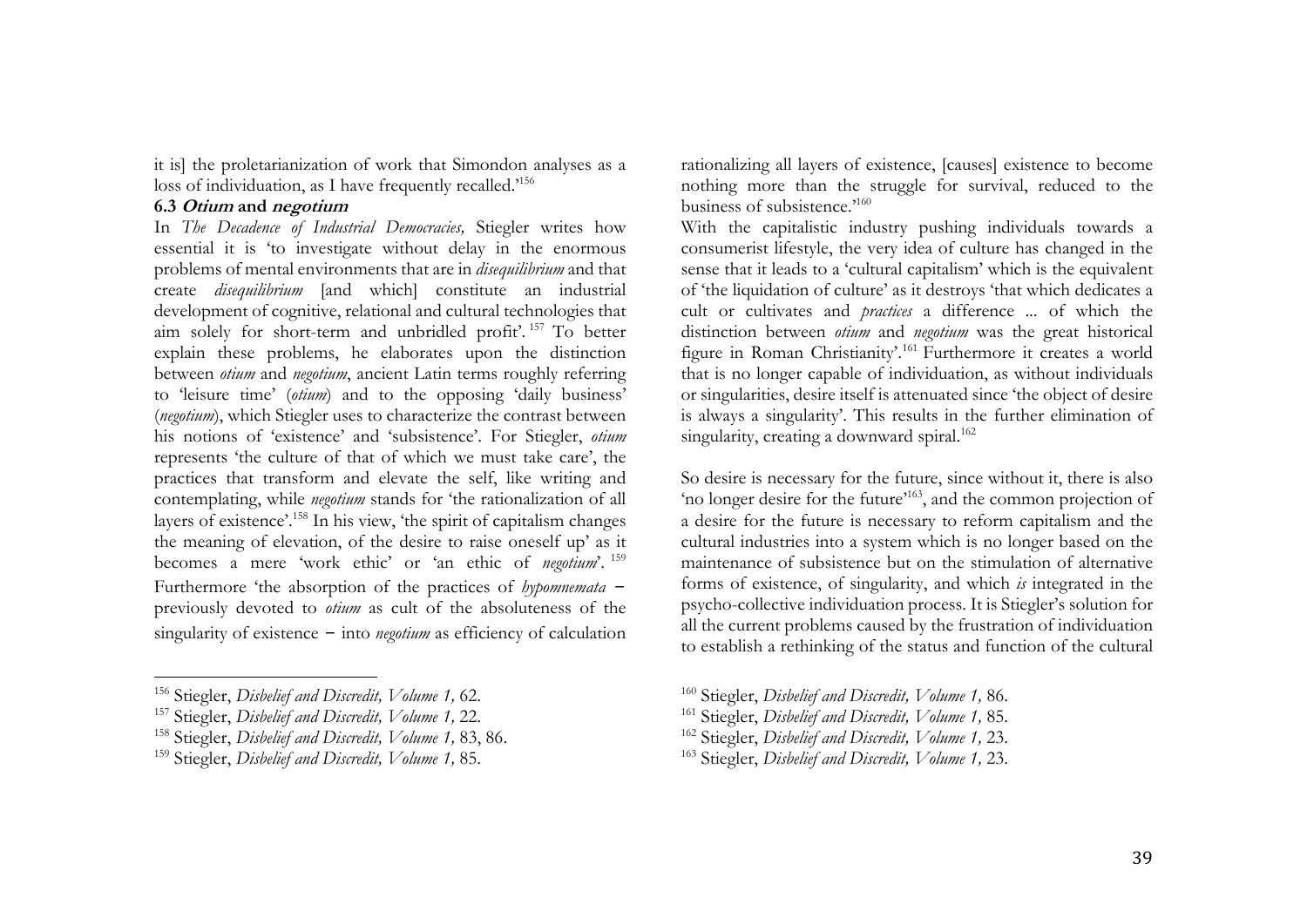it is] the proletarianization of work that Simondon analyses as a loss of individuation, as I have frequently recalled.<sup>156</sup>

#### **6.3 Otium and negotium**

In *The Decadence of Industrial Democracies,* Stiegler writes how essential it is 'to investigate without delay in the enormous problems of mental environments that are in *disequilibrium* and that create *disequilibrium* [and which] constitute an industrial development of cognitive, relational and cultural technologies that aim solely for short-term and unbridled profit'. <sup>157</sup> To better explain these problems, he elaborates upon the distinction between *otium* and *negotium*, ancient Latin terms roughly referring to 'leisure time' (*otium*) and to the opposing 'daily business' (*negotium*), which Stiegler uses to characterize the contrast between his notions of 'existence' and 'subsistence'. For Stiegler, *otium*  represents 'the culture of that of which we must take care', the practices that transform and elevate the self, like writing and contemplating, while *negotium* stands for 'the rationalization of all layers of existence'.158 In his view, 'the spirit of capitalism changes the meaning of elevation, of the desire to raise oneself up' as it becomes a mere 'work ethic' or 'an ethic of *negotium*'. <sup>159</sup> Furthermore 'the absorption of the practices of *hypomnemata* − previously devoted to *otium* as cult of the absoluteness of the singularity of existence <sup>−</sup> into *negotium* as efficiency of calculation rationalizing all layers of existence, [causes] existence to become nothing more than the struggle for survival, reduced to the business of subsistence.'<sup>160</sup>

With the capitalistic industry pushing individuals towards a consumerist lifestyle, the very idea of culture has changed in the sense that it leads to a 'cultural capitalism' which is the equivalent of 'the liquidation of culture' as it destroys 'that which dedicates a cult or cultivates and *practices* a difference *...* of which the distinction between *otium* and *negotium* was the great historical figure in Roman Christianity'.161 Furthermore it creates a world that is no longer capable of individuation, as without individuals or singularities, desire itself is attenuated since 'the object of desire is always a singularity'. This results in the further elimination of singularity, creating a downward spiral.<sup>162</sup>

So desire is necessary for the future, since without it, there is also 'no longer desire for the future'163, and the common projection of a desire for the future is necessary to reform capitalism and the cultural industries into a system which is no longer based on the maintenance of subsistence but on the stimulation of alternative forms of existence, of singularity, and which *is* integrated in the psycho-collective individuation process. It is Stiegler's solution for all the current problems caused by the frustration of individuation to establish a rethinking of the status and function of the cultural

<sup>156</sup> Stiegler, *Disbelief and Discredit, Volume 1,* 62.

<sup>157</sup> Stiegler, *Disbelief and Discredit, Volume 1,* 22.

<sup>158</sup> Stiegler, *Disbelief and Discredit, Volume 1,* 83, 86.

<sup>159</sup> Stiegler, *Disbelief and Discredit, Volume 1,* 85.

<sup>160</sup> Stiegler, *Disbelief and Discredit, Volume 1,* 86.

<sup>161</sup> Stiegler, *Disbelief and Discredit, Volume 1,* 85.

<sup>162</sup> Stiegler, *Disbelief and Discredit, Volume 1,* 23.

<sup>163</sup> Stiegler, *Disbelief and Discredit, Volume 1,* 23.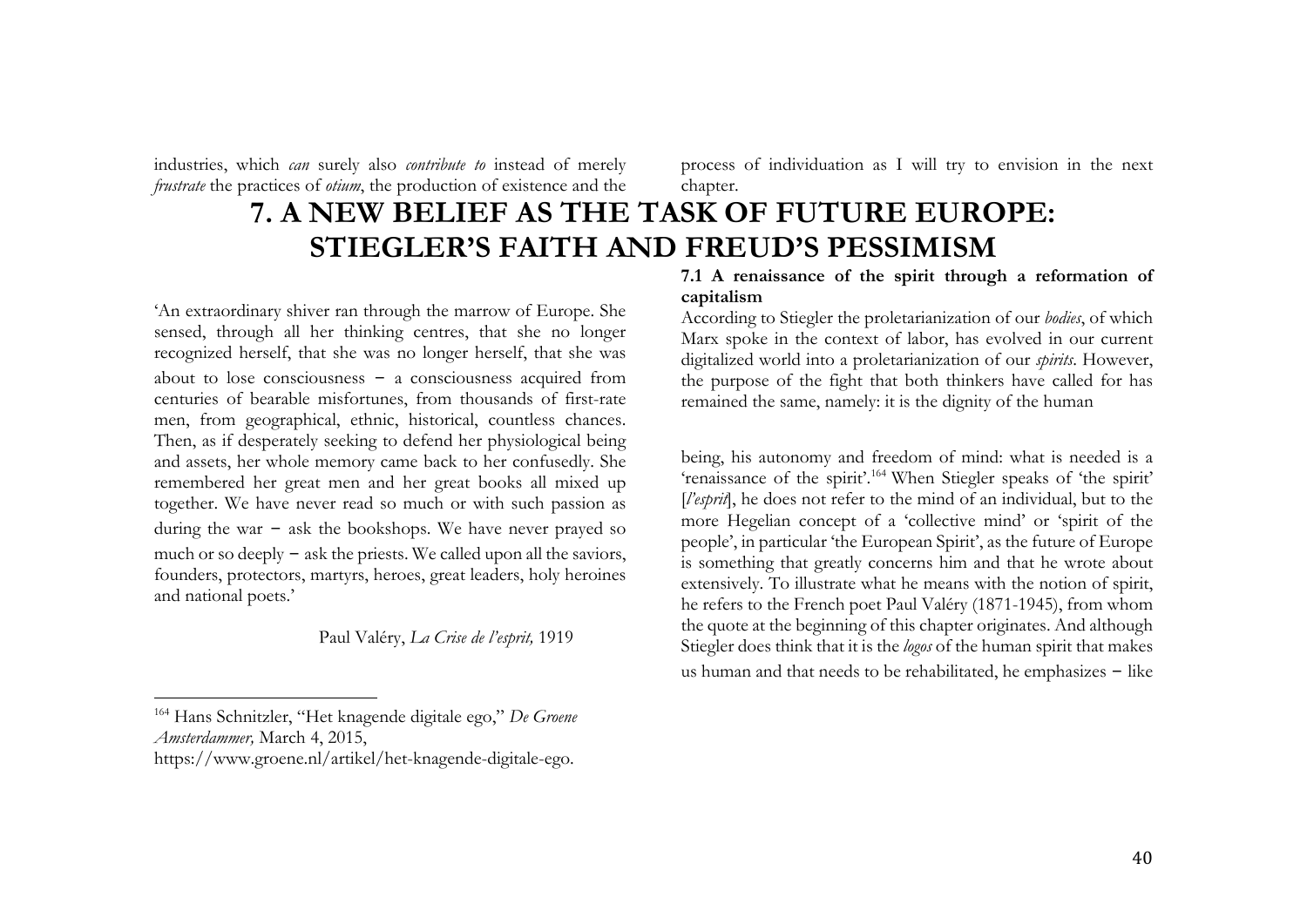industries, which *can* surely also *contribute to* instead of merely *frustrate* the practices of *otium*, the production of existence and the

process of individuation as I will try to envision in the next chapter.

## **7. A NEW BELIEF AS THE TASK OF FUTURE EUROPE: STIEGLER'S FAITH AND FREUD'S PESSIMISM**

'An extraordinary shiver ran through the marrow of Europe. She sensed, through all her thinking centres, that she no longer recognized herself, that she was no longer herself, that she was about to lose consciousness − a consciousness acquired from centuries of bearable misfortunes, from thousands of first-rate men, from geographical, ethnic, historical, countless chances. Then, as if desperately seeking to defend her physiological being and assets, her whole memory came back to her confusedly. She remembered her great men and her great books all mixed up together. We have never read so much or with such passion as during the war <sup>−</sup> ask the bookshops. We have never prayed so much or so deeply <sup>−</sup> ask the priests. We called upon all the saviors, founders, protectors, martyrs, heroes, great leaders, holy heroines and national poets.'

#### Paul Valéry, *La Crise de l'esprit,* 1919

#### **7.1 A renaissance of the spirit through a reformation of capitalism**

According to Stiegler the proletarianization of our *bodies*, of which Marx spoke in the context of labor, has evolved in our current digitalized world into a proletarianization of our *spirits*. However, the purpose of the fight that both thinkers have called for has remained the same, namely: it is the dignity of the human

being, his autonomy and freedom of mind: what is needed is a 'renaissance of the spirit'.164 When Stiegler speaks of 'the spirit' [*l'esprit*], he does not refer to the mind of an individual, but to the more Hegelian concept of a 'collective mind' or 'spirit of the people', in particular 'the European Spirit', as the future of Europe is something that greatly concerns him and that he wrote about extensively. To illustrate what he means with the notion of spirit, he refers to the French poet Paul Valéry (1871-1945), from whom the quote at the beginning of this chapter originates. And although Stiegler does think that it is the *logos* of the human spirit that makes us human and that needs to be rehabilitated, he emphasizes − like

<sup>164</sup> Hans Schnitzler, "Het knagende digitale ego," *De Groene Amsterdammer,* March 4, 2015,

https://www.groene.nl/artikel/het-knagende-digitale-ego.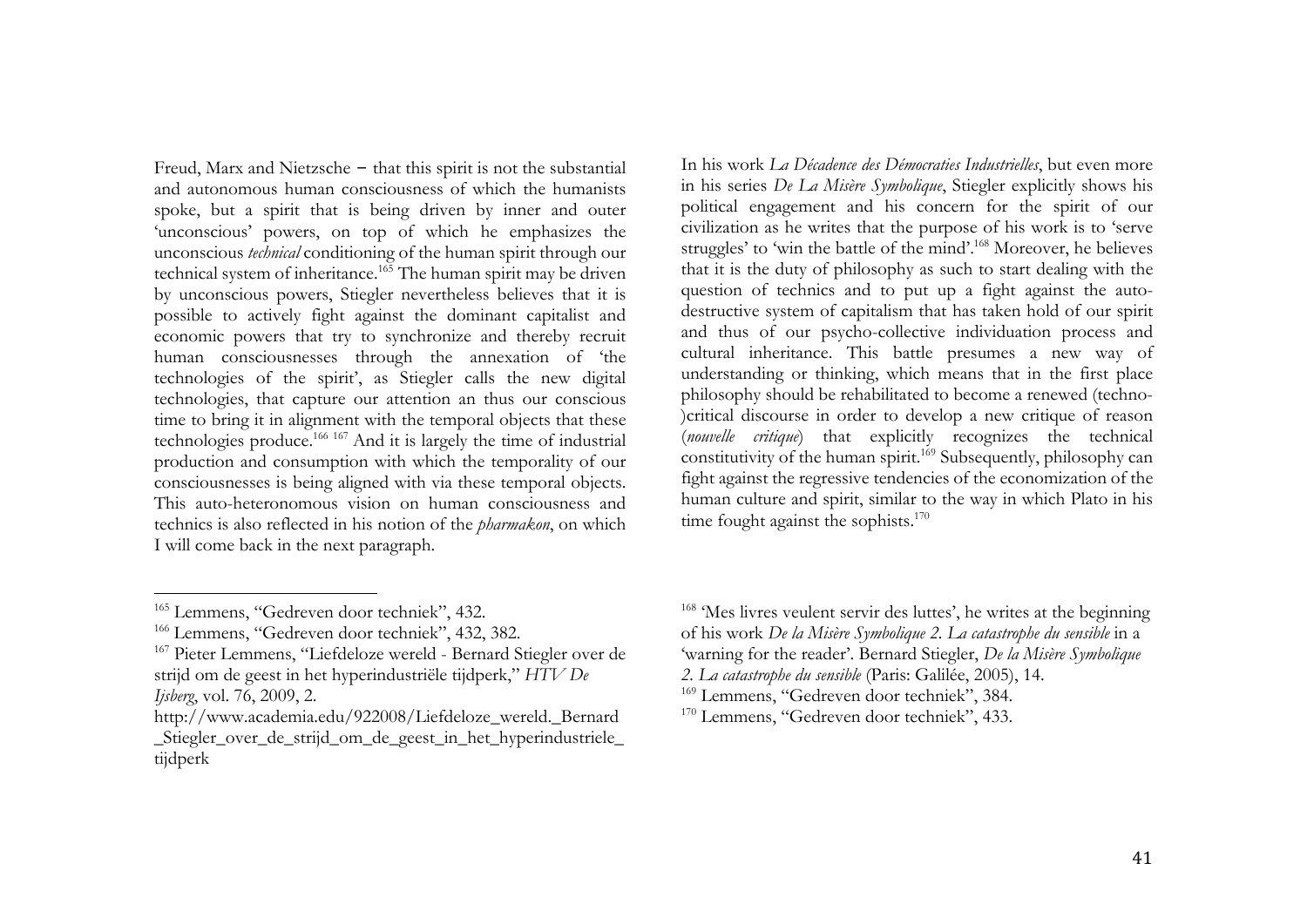Freud, Marx and Nietzsche <sup>−</sup> that this spirit is not the substantial and autonomous human consciousness of which the humanists spoke, but a spirit that is being driven by inner and outer 'unconscious' powers, on top of which he emphasizes the unconscious *technical* conditioning of the human spirit through our technical system of inheritance.<sup>165</sup> The human spirit may be driven by unconscious powers, Stiegler nevertheless believes that it is possible to actively fight against the dominant capitalist and economic powers that try to synchronize and thereby recruit human consciousnesses through the annexation of 'the technologies of the spirit', as Stiegler calls the new digital technologies, that capture our attention an thus our conscious time to bring it in alignment with the temporal objects that these technologies produce.<sup>166 167</sup> And it is largely the time of industrial production and consumption with which the temporality of our consciousnesses is being aligned with via these temporal objects. This auto-heteronomous vision on human consciousness and technics is also reflected in his notion of the *pharmakon*, on which I will come back in the next paragraph.

In his work *La Décadence des Démocraties Industrielles*, but even more in his series *De La Misère Symbolique*, Stiegler explicitly shows his political engagement and his concern for the spirit of our civilization as he writes that the purpose of his work is to 'serve struggles' to 'win the battle of the mind'.168 Moreover, he believes that it is the duty of philosophy as such to start dealing with the question of technics and to put up a fight against the autodestructive system of capitalism that has taken hold of our spirit and thus of our psycho-collective individuation process and cultural inheritance. This battle presumes a new way of understanding or thinking, which means that in the first place philosophy should be rehabilitated to become a renewed (techno- )critical discourse in order to develop a new critique of reason (*nouvelle critique*) that explicitly recognizes the technical constitutivity of the human spirit.<sup>169</sup> Subsequently, philosophy can fight against the regressive tendencies of the economization of the human culture and spirit, similar to the way in which Plato in his time fought against the sophists.<sup>170</sup>

<sup>&</sup>lt;sup>165</sup> Lemmens, "Gedreven door techniek", 432.

<sup>166</sup> Lemmens, "Gedreven door techniek", 432, 382.

<sup>167</sup> Pieter Lemmens, "Liefdeloze wereld - Bernard Stiegler over de strijd om de geest in het hyperindustriële tijdperk," *HTV De Ijsberg*, vol. 76, 2009, 2.

http://www.academia.edu/922008/Liefdeloze\_wereld.\_Bernard \_Stiegler\_over\_de\_strijd\_om\_de\_geest\_in\_het\_hyperindustriele\_ tijdperk

<sup>168 &#</sup>x27;Mes livres veulent servir des luttes', he writes at the beginning of his work *De la Misère Symbolique 2. La catastrophe du sensible* in a 'warning for the reader'. Bernard Stiegler, *De la Misère Symbolique* 

*<sup>2.</sup> La catastrophe du sensible* (Paris: Galilée, 2005), 14.

<sup>169</sup> Lemmens, "Gedreven door techniek", 384.

<sup>170</sup> Lemmens, "Gedreven door techniek", 433.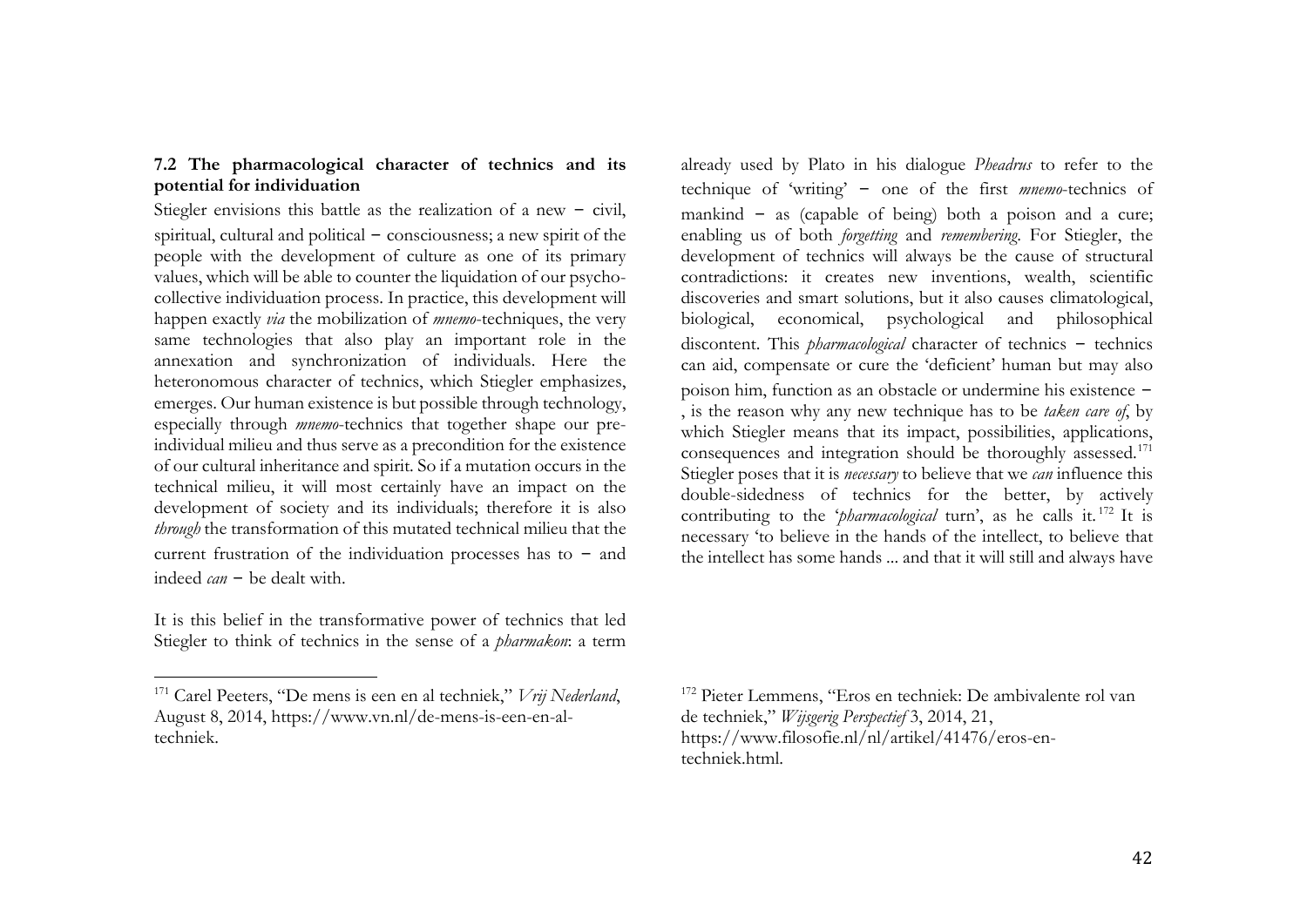#### **7.2 The pharmacological character of technics and its potential for individuation**

Stiegler envisions this battle as the realization of a new  $-$  civil, spiritual, cultural and political − consciousness; a new spirit of the people with the development of culture as one of its primary values, which will be able to counter the liquidation of our psychocollective individuation process. In practice, this development will happen exactly *via* the mobilization of *mnemo*-techniques, the very same technologies that also play an important role in the annexation and synchronization of individuals. Here the heteronomous character of technics, which Stiegler emphasizes, emerges. Our human existence is but possible through technology, especially through *mnemo*-technics that together shape our preindividual milieu and thus serve as a precondition for the existence of our cultural inheritance and spirit. So if a mutation occurs in the technical milieu, it will most certainly have an impact on the development of society and its individuals; therefore it is also *through* the transformation of this mutated technical milieu that the current frustration of the individuation processes has to  $-$  and indeed *can* <sup>−</sup> be dealt with.

It is this belief in the transformative power of technics that led Stiegler to think of technics in the sense of a *pharmakon*: a term

already used by Plato in his dialogue *Pheadrus* to refer to the technique of 'writing' − one of the first *mnemo*-technics of mankind <sup>−</sup> as (capable of being) both a poison and a cure; enabling us of both *forgetting* and *remembering*. For Stiegler, the development of technics will always be the cause of structural contradictions: it creates new inventions, wealth, scientific discoveries and smart solutions, but it also causes climatological, biological, economical, psychological and philosophical discontent. This *pharmacological* character of technics − technics can aid, compensate or cure the 'deficient' human but may also poison him, function as an obstacle or undermine his existence <sup>−</sup> , is the reason why any new technique has to be *taken care of*, by which Stiegler means that its impact, possibilities, applications, consequences and integration should be thoroughly assessed.171 Stiegler poses that it is *necessary* to believe that we *can* influence this double-sidedness of technics for the better, by actively contributing to the '*pharmacological* turn', as he calls it. 172 It is necessary 'to believe in the hands of the intellect, to believe that the intellect has some hands ... and that it will still and always have

172 Pieter Lemmens, "Eros en techniek: De ambivalente rol van de techniek," *Wijsgerig Perspectief* 3, 2014, 21, https://www.filosofie.nl/nl/artikel/41476/eros-entechniek.html.

<sup>171</sup> Carel Peeters, "De mens is een en al techniek," *Vrij Nederland*, August 8, 2014, https://www.vn.nl/de-mens-is-een-en-altechniek.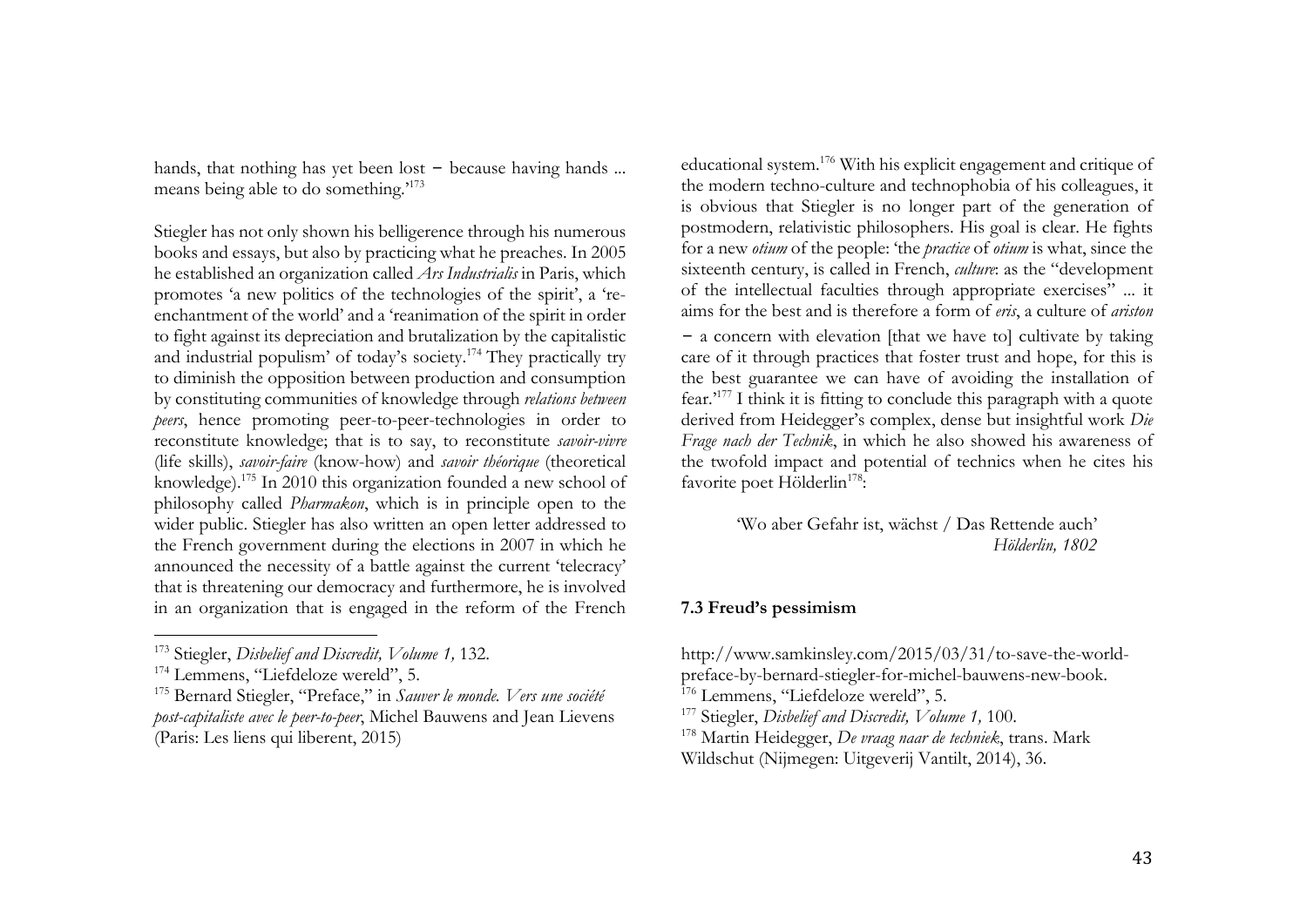hands, that nothing has yet been lost − because having hands ... means being able to do something.'173

Stiegler has not only shown his belligerence through his numerous books and essays, but also by practicing what he preaches. In 2005 he established an organization called *Ars Industrialis* in Paris, which promotes 'a new politics of the technologies of the spirit', a 'reenchantment of the world' and a 'reanimation of the spirit in order to fight against its depreciation and brutalization by the capitalistic and industrial populism' of today's society.<sup>174</sup> They practically try to diminish the opposition between production and consumption by constituting communities of knowledge through *relations between peers*, hence promoting peer-to-peer-technologies in order to reconstitute knowledge; that is to say, to reconstitute *savoir-vivre*  (life skills), *savoir-faire* (know-how) and *savoir théorique* (theoretical knowledge).175 In 2010 this organization founded a new school of philosophy called *Pharmakon*, which is in principle open to the wider public. Stiegler has also written an open letter addressed to the French government during the elections in 2007 in which he announced the necessity of a battle against the current 'telecracy' that is threatening our democracy and furthermore, he is involved in an organization that is engaged in the reform of the French

175 Bernard Stiegler, "Preface," in *Sauver le monde. Vers une société post-capitaliste avec le peer-to-peer*, Michel Bauwens and Jean Lievens (Paris: Les liens qui liberent, 2015)

educational system.176 With his explicit engagement and critique of the modern techno-culture and technophobia of his colleagues, it is obvious that Stiegler is no longer part of the generation of postmodern, relativistic philosophers. His goal is clear. He fights for a new *otium* of the people: 'the *practice* of *otium* is what, since the sixteenth century, is called in French, *culture*: as the "development of the intellectual faculties through appropriate exercises" ... it aims for the best and is therefore a form of *eris*, a culture of *ariston* 

<sup>−</sup> a concern with elevation [that we have to] cultivate by taking care of it through practices that foster trust and hope, for this is the best guarantee we can have of avoiding the installation of fear.'177 I think it is fitting to conclude this paragraph with a quote derived from Heidegger's complex, dense but insightful work *Die Frage nach der Technik*, in which he also showed his awareness of the twofold impact and potential of technics when he cites his favorite poet Hölderlin<sup>178</sup>:

> 'Wo aber Gefahr ist, wächst / Das Rettende auch' *Hölderlin, 1802*

#### **7.3 Freud's pessimism**

http://www.samkinsley.com/2015/03/31/to-save-the-worldpreface-by-bernard-stiegler-for-michel-bauwens-new-book.

<sup>176</sup> Lemmens, "Liefdeloze wereld", 5.

177 Stiegler, *Disbelief and Discredit, Volume 1,* 100.

178 Martin Heidegger, *De vraag naar de techniek*, trans. Mark Wildschut (Nijmegen: Uitgeverij Vantilt, 2014), 36.

<sup>173</sup> Stiegler, *Disbelief and Discredit, Volume 1,* 132.

<sup>&</sup>lt;sup>174</sup> Lemmens, "Liefdeloze wereld", 5.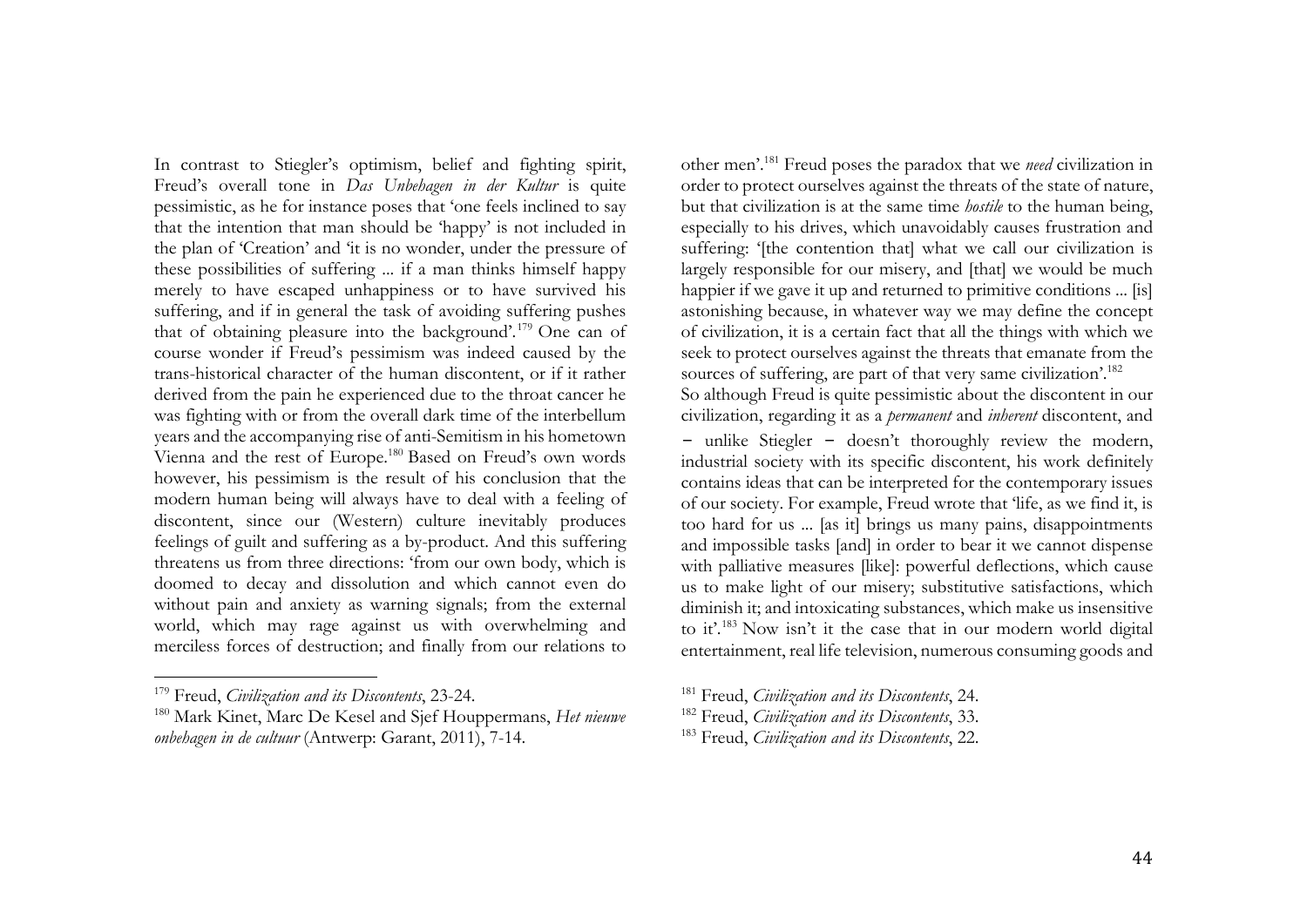In contrast to Stiegler's optimism, belief and fighting spirit. Freud's overall tone in *Das Unbehagen in der Kultur* is quite pessimistic, as he for instance poses that 'one feels inclined to say that the intention that man should be 'happy' is not included in the plan of 'Creation' and 'it is no wonder, under the pressure of these possibilities of suffering ... if a man thinks himself happy merely to have escaped unhappiness or to have survived his suffering, and if in general the task of avoiding suffering pushes that of obtaining pleasure into the background'.179 One can of course wonder if Freud's pessimism was indeed caused by the trans-historical character of the human discontent, or if it rather derived from the pain he experienced due to the throat cancer he was fighting with or from the overall dark time of the interbellum years and the accompanying rise of anti-Semitism in his hometown Vienna and the rest of Europe.180 Based on Freud's own words however, his pessimism is the result of his conclusion that the modern human being will always have to deal with a feeling of discontent, since our (Western) culture inevitably produces feelings of guilt and suffering as a by-product. And this suffering threatens us from three directions: 'from our own body, which is doomed to decay and dissolution and which cannot even do without pain and anxiety as warning signals; from the external world, which may rage against us with overwhelming and merciless forces of destruction; and finally from our relations to other men'.181 Freud poses the paradox that we *need* civilization in order to protect ourselves against the threats of the state of nature, but that civilization is at the same time *hostile* to the human being, especially to his drives, which unavoidably causes frustration and suffering: '[the contention that] what we call our civilization is largely responsible for our misery, and [that] we would be much happier if we gave it up and returned to primitive conditions ... [is] astonishing because, in whatever way we may define the concept of civilization, it is a certain fact that all the things with which we seek to protect ourselves against the threats that emanate from the sources of suffering, are part of that very same civilization'.<sup>182</sup> So although Freud is quite pessimistic about the discontent in our

civilization, regarding it as a *permanent* and *inherent* discontent, and <sup>−</sup> unlike Stiegler <sup>−</sup> doesn't thoroughly review the modern, industrial society with its specific discontent, his work definitely contains ideas that can be interpreted for the contemporary issues of our society. For example, Freud wrote that 'life, as we find it, is too hard for us ... [as it] brings us many pains, disappointments and impossible tasks [and] in order to bear it we cannot dispense with palliative measures [like]: powerful deflections, which cause us to make light of our misery; substitutive satisfactions, which diminish it; and intoxicating substances, which make us insensitive to it'.183 Now isn't it the case that in our modern world digital entertainment, real life television, numerous consuming goods and

<sup>179</sup> Freud, *Civilization and its Discontents*, 23-24.

<sup>180</sup> Mark Kinet, Marc De Kesel and Sjef Houppermans, *Het nieuwe onbehagen in de cultuur* (Antwerp: Garant, 2011), 7-14.

<sup>181</sup> Freud, *Civilization and its Discontents*, 24.

<sup>182</sup> Freud, *Civilization and its Discontents*, 33.

<sup>183</sup> Freud, *Civilization and its Discontents*, 22.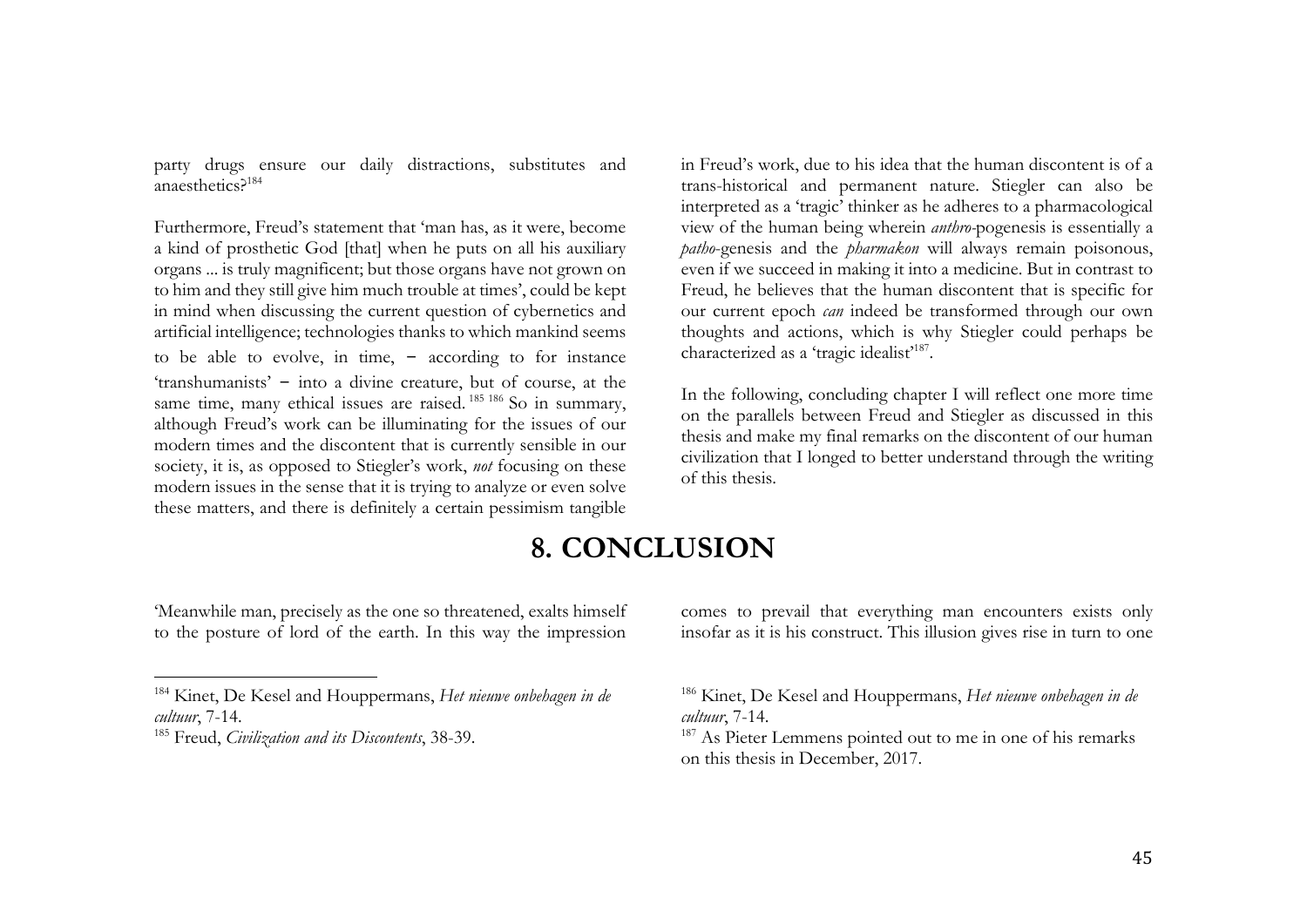party drugs ensure our daily distractions, substitutes and anaesthetics?<sup>184</sup>

Furthermore, Freud's statement that 'man has, as it were, become a kind of prosthetic God [that] when he puts on all his auxiliary organs ... is truly magnificent; but those organs have not grown on to him and they still give him much trouble at times', could be kept in mind when discussing the current question of cybernetics and artificial intelligence; technologies thanks to which mankind seems to be able to evolve, in time, − according to for instance 'transhumanists' <sup>−</sup> into a divine creature, but of course, at the same time, many ethical issues are raised. <sup>185 186</sup> So in summary, although Freud's work can be illuminating for the issues of our modern times and the discontent that is currently sensible in our society, it is, as opposed to Stiegler's work, *not* focusing on these modern issues in the sense that it is trying to analyze or even solve these matters, and there is definitely a certain pessimism tangible

in Freud's work, due to his idea that the human discontent is of a trans-historical and permanent nature. Stiegler can also be interpreted as a 'tragic' thinker as he adheres to a pharmacological view of the human being wherein *anthro-*pogenesis is essentially a *patho*-genesis and the *pharmakon* will always remain poisonous, even if we succeed in making it into a medicine. But in contrast to Freud, he believes that the human discontent that is specific for our current epoch *can* indeed be transformed through our own thoughts and actions, which is why Stiegler could perhaps be characterized as a 'tragic idealist'187.

In the following, concluding chapter I will reflect one more time on the parallels between Freud and Stiegler as discussed in this thesis and make my final remarks on the discontent of our human civilization that I longed to better understand through the writing of this thesis.

### **8. CONCLUSION**

'Meanwhile man, precisely as the one so threatened, exalts himself to the posture of lord of the earth. In this way the impression comes to prevail that everything man encounters exists only insofar as it is his construct. This illusion gives rise in turn to one

<sup>184</sup> Kinet, De Kesel and Houppermans, *Het nieuwe onbehagen in de cultuur*, 7-14.

<sup>185</sup> Freud, *Civilization and its Discontents*, 38-39.

<sup>186</sup> Kinet, De Kesel and Houppermans, *Het nieuwe onbehagen in de cultuur*, 7-14.

<sup>&</sup>lt;sup>187</sup> As Pieter Lemmens pointed out to me in one of his remarks on this thesis in December, 2017.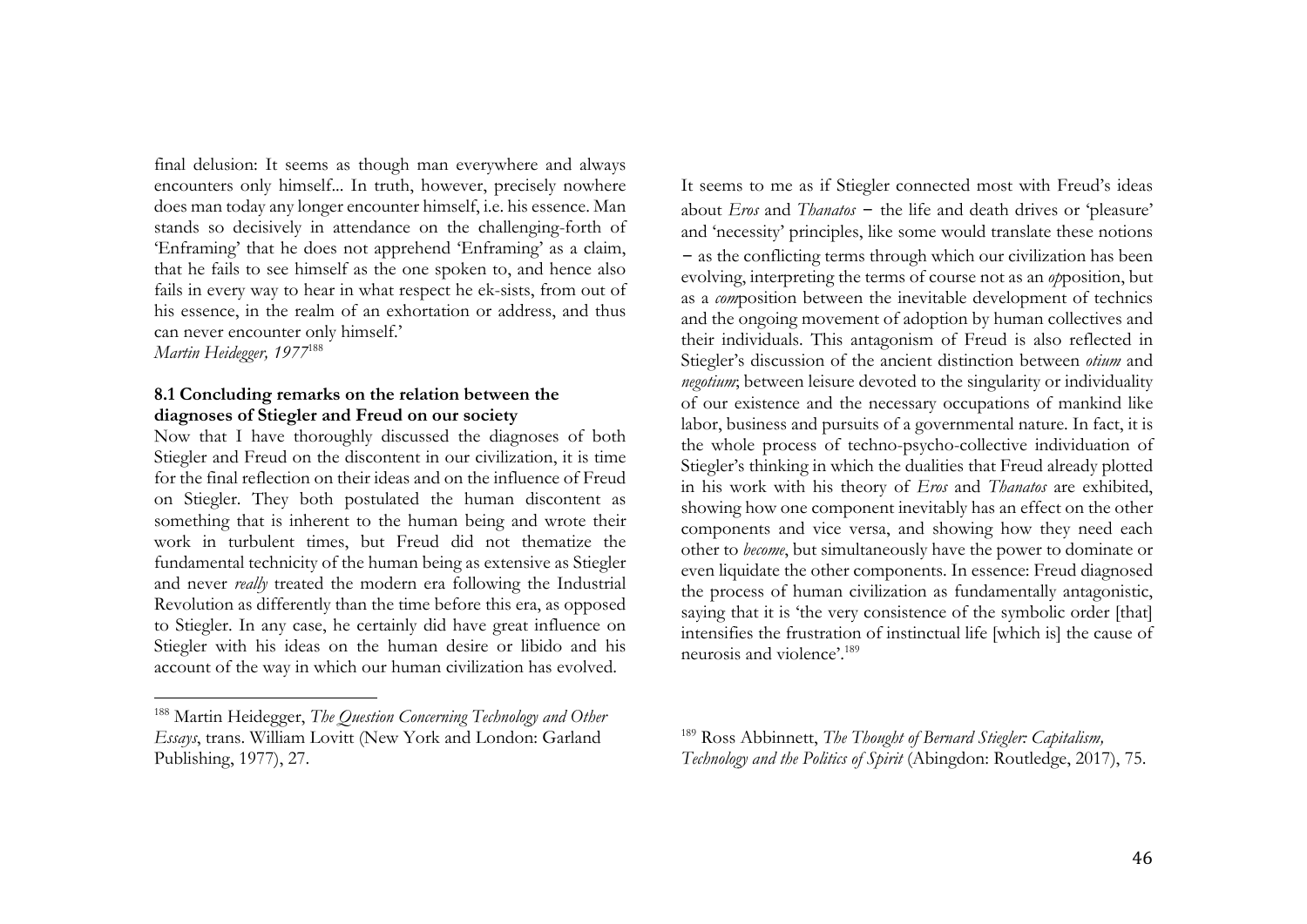final delusion: It seems as though man everywhere and always encounters only himself... In truth, however, precisely nowhere does man today any longer encounter himself, i.e. his essence. Man stands so decisively in attendance on the challenging-forth of 'Enframing' that he does not apprehend 'Enframing' as a claim, that he fails to see himself as the one spoken to, and hence also fails in every way to hear in what respect he ek-sists, from out of his essence, in the realm of an exhortation or address, and thus can never encounter only himself.'

*Martin Heidegger, 1977*<sup>188</sup>

#### **8.1 Concluding remarks on the relation between the diagnoses of Stiegler and Freud on our society**

Now that I have thoroughly discussed the diagnoses of both Stiegler and Freud on the discontent in our civilization, it is time for the final reflection on their ideas and on the influence of Freud on Stiegler. They both postulated the human discontent as something that is inherent to the human being and wrote their work in turbulent times, but Freud did not thematize the fundamental technicity of the human being as extensive as Stiegler and never *really* treated the modern era following the Industrial Revolution as differently than the time before this era, as opposed to Stiegler. In any case, he certainly did have great influence on Stiegler with his ideas on the human desire or libido and his account of the way in which our human civilization has evolved.

It seems to me as if Stiegler connected most with Freud's ideas about *Eros* and *Thanatos* <sup>−</sup> the life and death drives or 'pleasure' and 'necessity' principles, like some would translate these notions <sup>−</sup> as the conflicting terms through which our civilization has been evolving, interpreting the terms of course not as an *op*position, but as a *com*position between the inevitable development of technics and the ongoing movement of adoption by human collectives and their individuals. This antagonism of Freud is also reflected in Stiegler's discussion of the ancient distinction between *otium* and *negotium*; between leisure devoted to the singularity or individuality of our existence and the necessary occupations of mankind like labor, business and pursuits of a governmental nature. In fact, it is the whole process of techno-psycho-collective individuation of Stiegler's thinking in which the dualities that Freud already plotted in his work with his theory of *Eros* and *Thanatos* are exhibited, showing how one component inevitably has an effect on the other components and vice versa, and showing how they need each other to *become*, but simultaneously have the power to dominate or even liquidate the other components. In essence: Freud diagnosed the process of human civilization as fundamentally antagonistic, saying that it is 'the very consistence of the symbolic order [that] intensifies the frustration of instinctual life [which is] the cause of neurosis and violence'.<sup>189</sup>

<sup>188</sup> Martin Heidegger, *The Question Concerning Technology and Other Essays*, trans. William Lovitt (New York and London: Garland Publishing, 1977), 27.

<sup>189</sup> Ross Abbinnett, *The Thought of Bernard Stiegler: Capitalism, Technology and the Politics of Spirit* (Abingdon: Routledge, 2017), 75.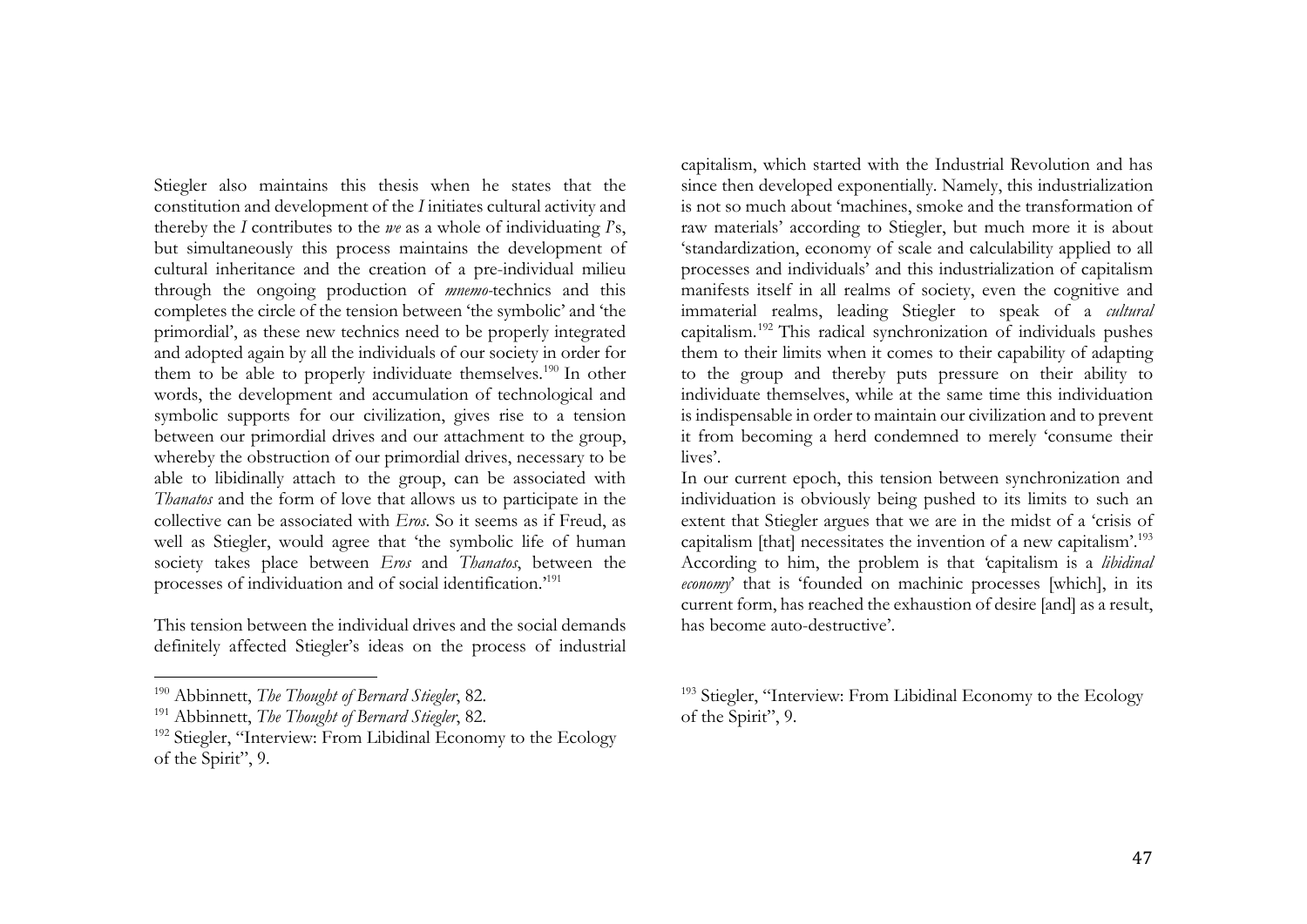Stiegler also maintains this thesis when he states that the constitution and development of the *I* initiates cultural activity and thereby the *I* contributes to the *we* as a whole of individuating *I*'s, but simultaneously this process maintains the development of cultural inheritance and the creation of a pre-individual milieu through the ongoing production of *mnemo-*technics and this completes the circle of the tension between 'the symbolic' and 'the primordial', as these new technics need to be properly integrated and adopted again by all the individuals of our society in order for them to be able to properly individuate themselves.<sup>190</sup> In other words, the development and accumulation of technological and symbolic supports for our civilization, gives rise to a tension between our primordial drives and our attachment to the group, whereby the obstruction of our primordial drives, necessary to be able to libidinally attach to the group, can be associated with *Thanatos* and the form of love that allows us to participate in the collective can be associated with *Eros*. So it seems as if Freud, as well as Stiegler, would agree that 'the symbolic life of human society takes place between *Eros* and *Thanatos*, between the processes of individuation and of social identification.'<sup>191</sup>

This tension between the individual drives and the social demands definitely affected Stiegler's ideas on the process of industrial capitalism, which started with the Industrial Revolution and has since then developed exponentially. Namely, this industrialization is not so much about 'machines, smoke and the transformation of raw materials' according to Stiegler, but much more it is about 'standardization, economy of scale and calculability applied to all processes and individuals' and this industrialization of capitalism manifests itself in all realms of society, even the cognitive and immaterial realms, leading Stiegler to speak of a *cultural* capitalism.192 This radical synchronization of individuals pushes them to their limits when it comes to their capability of adapting to the group and thereby puts pressure on their ability to individuate themselves, while at the same time this individuation is indispensable in order to maintain our civilization and to prevent it from becoming a herd condemned to merely 'consume their lives'.

In our current epoch, this tension between synchronization and individuation is obviously being pushed to its limits to such an extent that Stiegler argues that we are in the midst of a 'crisis of capitalism [that] necessitates the invention of a new capitalism'.<sup>193</sup> According to him, the problem is that *'*capitalism is a *libidinal economy*' that is 'founded on machinic processes [which], in its current form, has reached the exhaustion of desire [and] as a result, has become auto-destructive'.

<sup>190</sup> Abbinnett, *The Thought of Bernard Stiegler*, 82.

<sup>191</sup> Abbinnett, *The Thought of Bernard Stiegler*, 82.

<sup>&</sup>lt;sup>192</sup> Stiegler, "Interview: From Libidinal Economy to the Ecology of the Spirit", 9.

<sup>&</sup>lt;sup>193</sup> Stiegler, "Interview: From Libidinal Economy to the Ecology of the Spirit", 9.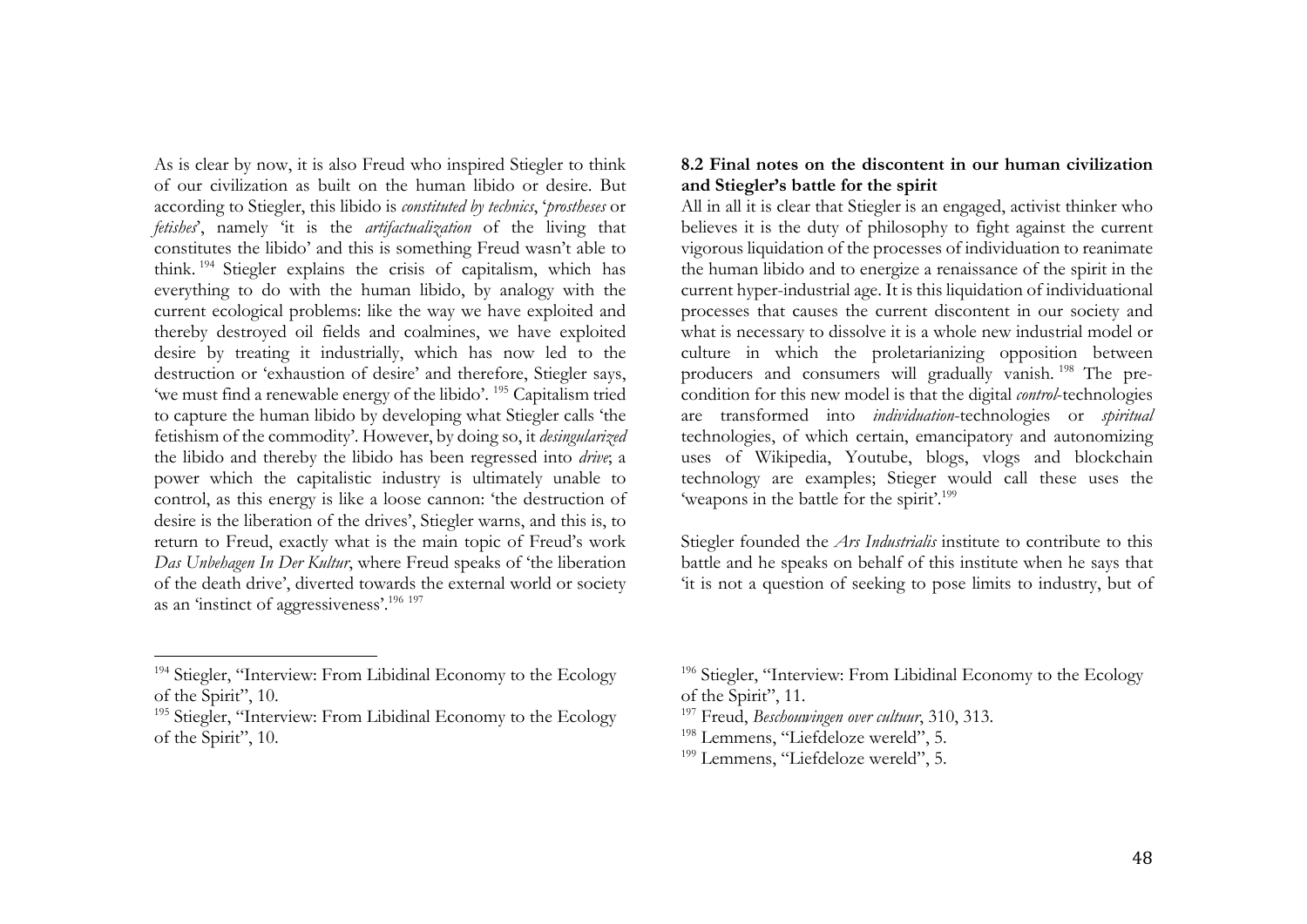As is clear by now, it is also Freud who inspired Stiegler to think of our civilization as built on the human libido or desire. But according to Stiegler, this libido is *constituted by technics*, '*prostheses* or *fetishes*', namely 'it is the *artifactualization* of the living that constitutes the libido' and this is something Freud wasn't able to think. 194 Stiegler explains the crisis of capitalism, which has everything to do with the human libido, by analogy with the current ecological problems: like the way we have exploited and thereby destroyed oil fields and coalmines, we have exploited desire by treating it industrially, which has now led to the destruction or 'exhaustion of desire' and therefore, Stiegler says, 'we must find a renewable energy of the libido'. 195 Capitalism tried to capture the human libido by developing what Stiegler calls 'the fetishism of the commodity'. However, by doing so, it *desingularized* the libido and thereby the libido has been regressed into *drive*; a power which the capitalistic industry is ultimately unable to control, as this energy is like a loose cannon: 'the destruction of desire is the liberation of the drives', Stiegler warns, and this is, to return to Freud, exactly what is the main topic of Freud's work *Das Unbehagen In Der Kultur*, where Freud speaks of 'the liberation of the death drive', diverted towards the external world or society as an 'instinct of aggressiveness'.<sup>196</sup> <sup>197</sup>

#### **8.2 Final notes on the discontent in our human civilization and Stiegler's battle for the spirit**

All in all it is clear that Stiegler is an engaged, activist thinker who believes it is the duty of philosophy to fight against the current vigorous liquidation of the processes of individuation to reanimate the human libido and to energize a renaissance of the spirit in the current hyper-industrial age. It is this liquidation of individuational processes that causes the current discontent in our society and what is necessary to dissolve it is a whole new industrial model or culture in which the proletarianizing opposition between producers and consumers will gradually vanish. 198 The precondition for this new model is that the digital *control*-technologies are transformed into *individuation*-technologies or *spiritual* technologies, of which certain, emancipatory and autonomizing uses of Wikipedia, Youtube, blogs, vlogs and blockchain technology are examples; Stieger would call these uses the 'weapons in the battle for the spirit'.<sup>199</sup>

Stiegler founded the *Ars Industrialis* institute to contribute to this battle and he speaks on behalf of this institute when he says that 'it is not a question of seeking to pose limits to industry, but of

<sup>&</sup>lt;sup>194</sup> Stiegler, "Interview: From Libidinal Economy to the Ecology of the Spirit", 10.

<sup>&</sup>lt;sup>195</sup> Stiegler, "Interview: From Libidinal Economy to the Ecology of the Spirit", 10.

<sup>196</sup> Stiegler, "Interview: From Libidinal Economy to the Ecology of the Spirit", 11.

<sup>197</sup> Freud, *Beschouwingen over cultuur*, 310, 313.

<sup>&</sup>lt;sup>198</sup> Lemmens, "Liefdeloze wereld", 5.

<sup>&</sup>lt;sup>199</sup> Lemmens, "Liefdeloze wereld", 5.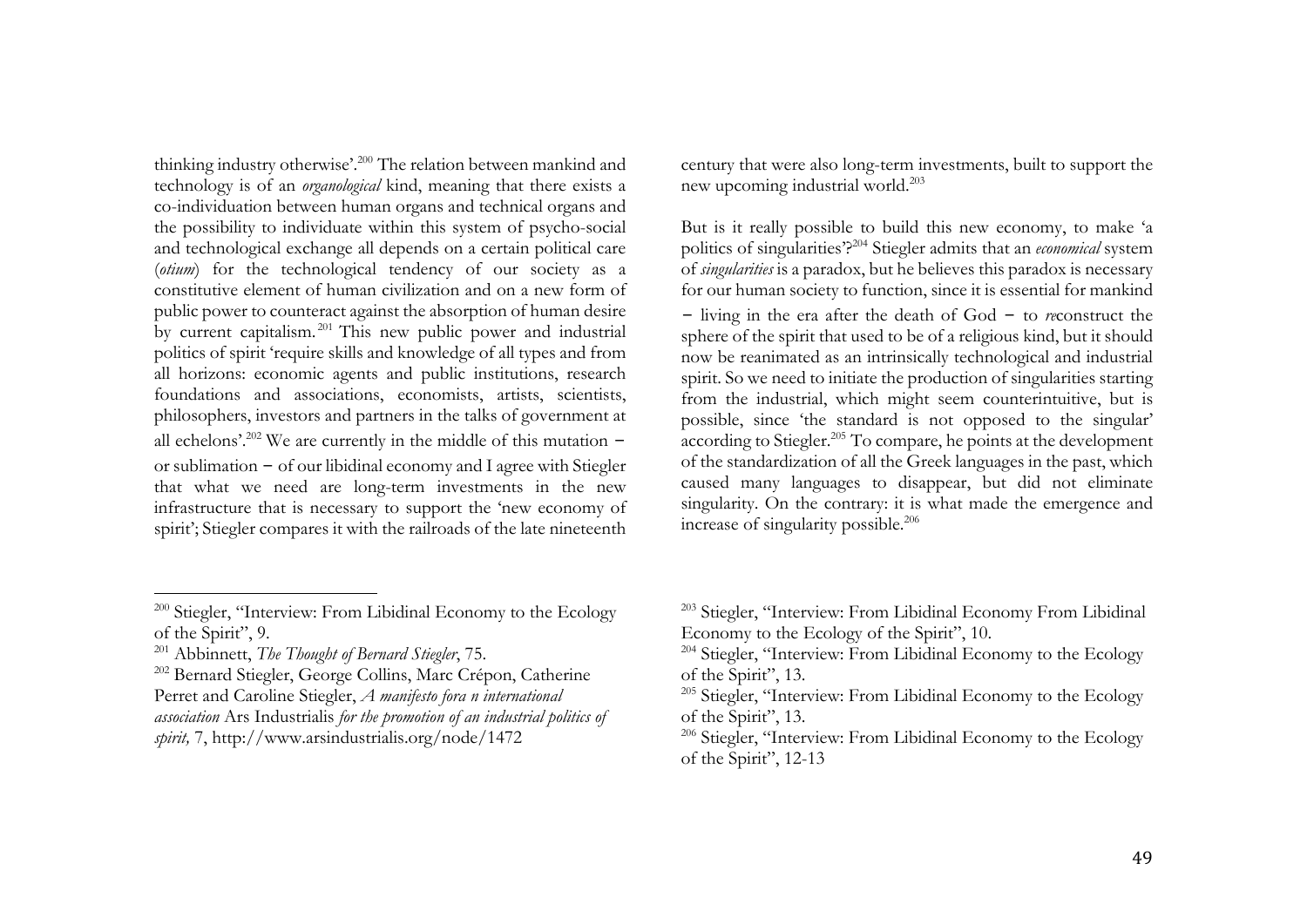thinking industry otherwise'.200 The relation between mankind and technology is of an *organological* kind, meaning that there exists a co-individuation between human organs and technical organs and the possibility to individuate within this system of psycho-social and technological exchange all depends on a certain political care (*otium*) for the technological tendency of our society as a constitutive element of human civilization and on a new form of public power to counteract against the absorption of human desire by current capitalism. 201 This new public power and industrial politics of spirit 'require skills and knowledge of all types and from all horizons: economic agents and public institutions, research foundations and associations, economists, artists, scientists, philosophers, investors and partners in the talks of government at all echelons'.<sup>202</sup> We are currently in the middle of this mutation  $$ or sublimation <sup>−</sup> of our libidinal economy and I agree with Stiegler that what we need are long-term investments in the new infrastructure that is necessary to support the 'new economy of spirit'; Stiegler compares it with the railroads of the late nineteenth

century that were also long-term investments, built to support the new upcoming industrial world.203

But is it really possible to build this new economy, to make 'a politics of singularities'?204 Stiegler admits that an *economical* system of *singularities* is a paradox, but he believes this paradox is necessary for our human society to function, since it is essential for mankind <sup>−</sup> living in the era after the death of God − to *re*construct the sphere of the spirit that used to be of a religious kind, but it should now be reanimated as an intrinsically technological and industrial spirit. So we need to initiate the production of singularities starting from the industrial, which might seem counterintuitive, but is possible, since 'the standard is not opposed to the singular' according to Stiegler.205 To compare, he points at the development of the standardization of all the Greek languages in the past, which caused many languages to disappear, but did not eliminate singularity. On the contrary: it is what made the emergence and increase of singularity possible.206

202 Bernard Stiegler, George Collins, Marc Crépon, Catherine Perret and Caroline Stiegler, *A manifesto fora n international association* Ars Industrialis *for the promotion of an industrial politics of spirit,* 7, http://www.arsindustrialis.org/node/1472

<sup>&</sup>lt;sup>200</sup> Stiegler, "Interview: From Libidinal Economy to the Ecology of the Spirit", 9.

<sup>201</sup> Abbinnett, *The Thought of Bernard Stiegler*, 75.

<sup>&</sup>lt;sup>203</sup> Stiegler, "Interview: From Libidinal Economy From Libidinal Economy to the Ecology of the Spirit", 10.

<sup>&</sup>lt;sup>204</sup> Stiegler, "Interview: From Libidinal Economy to the Ecology of the Spirit", 13.

<sup>&</sup>lt;sup>205</sup> Stiegler, "Interview: From Libidinal Economy to the Ecology of the Spirit", 13.

<sup>&</sup>lt;sup>206</sup> Stiegler, "Interview: From Libidinal Economy to the Ecology of the Spirit", 12-13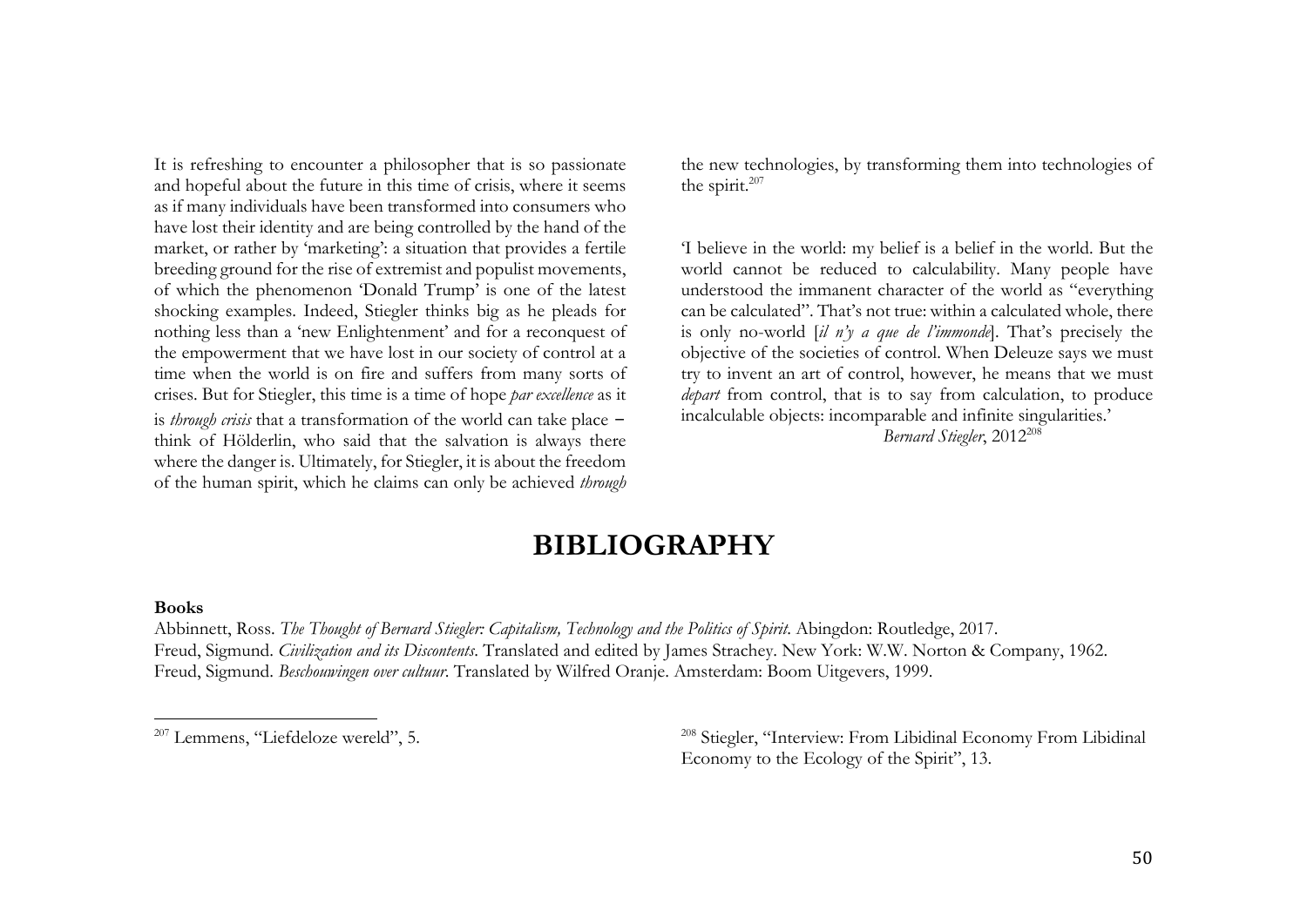It is refreshing to encounter a philosopher that is so passionate and hopeful about the future in this time of crisis, where it seems as if many individuals have been transformed into consumers who have lost their identity and are being controlled by the hand of the market, or rather by 'marketing': a situation that provides a fertile breeding ground for the rise of extremist and populist movements, of which the phenomenon 'Donald Trump' is one of the latest shocking examples. Indeed, Stiegler thinks big as he pleads for nothing less than a 'new Enlightenment' and for a reconquest of the empowerment that we have lost in our society of control at a time when the world is on fire and suffers from many sorts of crises. But for Stiegler, this time is a time of hope *par excellence* as it is *through crisis* that a transformation of the world can take place − think of Hölderlin, who said that the salvation is always there where the danger is. Ultimately, for Stiegler, it is about the freedom of the human spirit, which he claims can only be achieved *through*  the new technologies, by transforming them into technologies of the spirit.<sup>207</sup>

'I believe in the world: my belief is a belief in the world. But the world cannot be reduced to calculability. Many people have understood the immanent character of the world as "everything can be calculated". That's not true: within a calculated whole, there is only no-world [*il n'y a que de l'immonde*]. That's precisely the objective of the societies of control. When Deleuze says we must try to invent an art of control, however, he means that we must *depart* from control, that is to say from calculation, to produce incalculable objects: incomparable and infinite singularities.' *Bernard Stiegler*, 2012<sup>208</sup>

### **BIBLIOGRAPHY**

#### **Books**

Abbinnett, Ross. *The Thought of Bernard Stiegler: Capitalism, Technology and the Politics of Spirit*. Abingdon: Routledge, 2017. Freud, Sigmund. *Civilization and its Discontents*. Translated and edited by James Strachey. New York: W.W. Norton & Company, 1962. Freud, Sigmund. *Beschouwingen over cultuur*. Translated by Wilfred Oranje. Amsterdam: Boom Uitgevers, 1999.

<sup>207</sup> Lemmens, "Liefdeloze wereld", 5. <sup>208</sup> Stiegler, "Interview: From Libidinal Economy From Libidinal Economy to the Ecology of the Spirit", 13.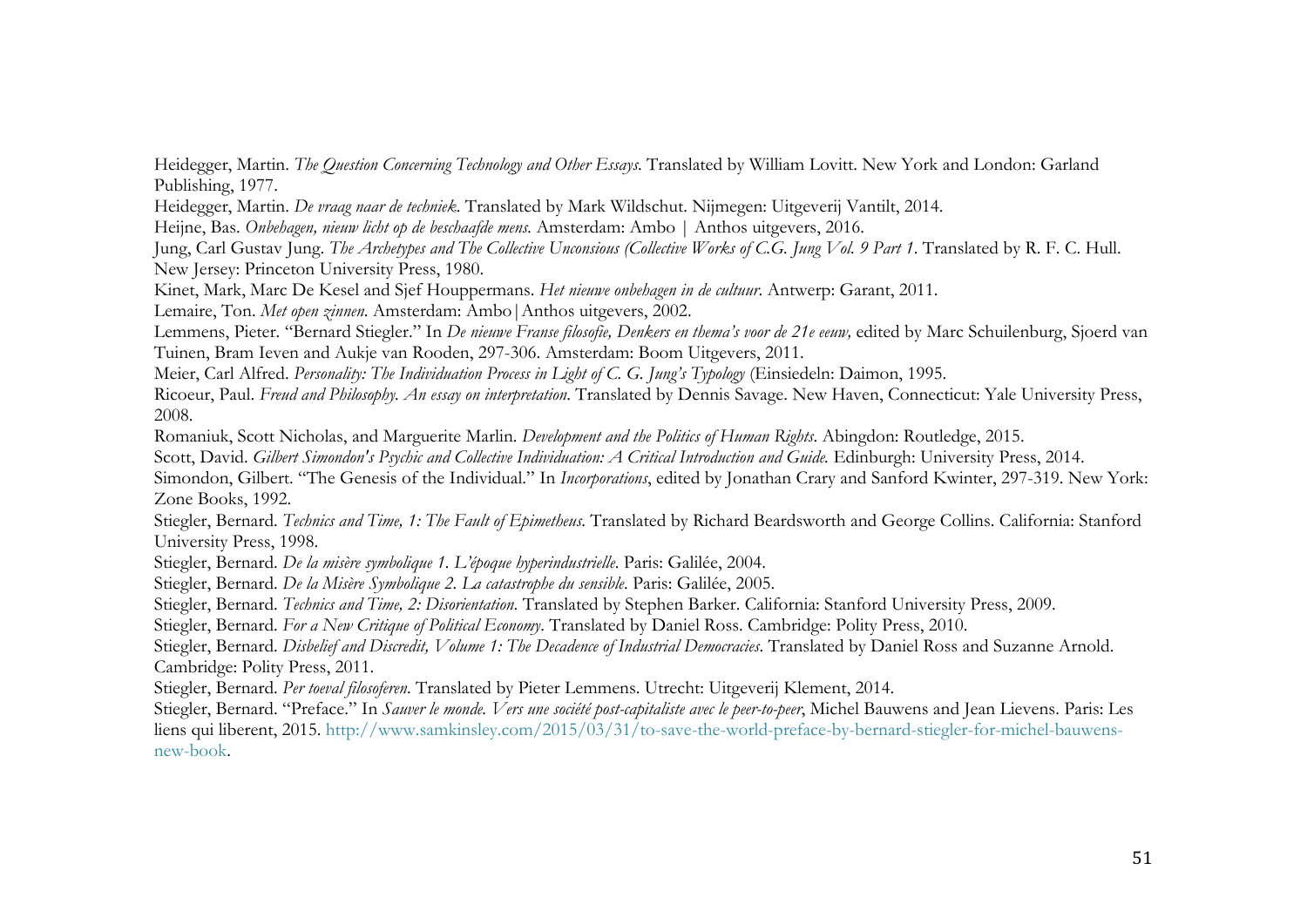Heidegger, Martin. *The Question Concerning Technology and Other Essays*. Translated by William Lovitt. New York and London: Garland Publishing, 1977.

Heidegger, Martin. *De vraag naar de techniek*. Translated by Mark Wildschut. Nijmegen: Uitgeverij Vantilt, 2014.

Heijne, Bas. *Onbehagen, nieuw licht op de beschaafde mens.* Amsterdam: Ambo | Anthos uitgevers, 2016.

Jung, Carl Gustav Jung. *The Archetypes and The Collective Unconsious (Collective Works of C.G. Jung Vol. 9 Part 1*. Translated by R. F. C. Hull. New Jersey: Princeton University Press, 1980.

Kinet, Mark, Marc De Kesel and Sjef Houppermans. *Het nieuwe onbehagen in de cultuur*. Antwerp: Garant, 2011.

Lemaire, Ton. *Met open zinnen*. Amsterdam: Ambo|Anthos uitgevers, 2002.

Lemmens, Pieter. "Bernard Stiegler." In *De nieuwe Franse filosofie, Denkers en thema's voor de 21e eeuw,* edited by Marc Schuilenburg, Sjoerd van Tuinen, Bram Ieven and Aukje van Rooden, 297-306. Amsterdam: Boom Uitgevers, 2011.

Meier, Carl Alfred. *Personality: The Individuation Process in Light of C. G. Jung's Typology* (Einsiedeln: Daimon, 1995.

Ricoeur, Paul. *Freud and Philosophy. An essay on interpretation*. Translated by Dennis Savage. New Haven, Connecticut: Yale University Press, 2008.

Romaniuk, Scott Nicholas, and Marguerite Marlin. *Development and the Politics of Human Rights*. Abingdon: Routledge, 2015.

Scott, David. *Gilbert Simondon's Psychic and Collective Individuation: A Critical Introduction and Guide.* Edinburgh: University Press, 2014.

Simondon, Gilbert. "The Genesis of the Individual." In *Incorporations*, edited by Jonathan Crary and Sanford Kwinter, 297-319. New York: Zone Books, 1992.

Stiegler, Bernard. *Technics and Time, 1: The Fault of Epimetheus*. Translated by Richard Beardsworth and George Collins. California: Stanford University Press, 1998.

Stiegler, Bernard. *De la misère symbolique 1. L'époque hyperindustrielle*. Paris: Galilée, 2004.

Stiegler, Bernard. *De la Misère Symbolique 2. La catastrophe du sensible*. Paris: Galilée, 2005.

Stiegler, Bernard. *Technics and Time, 2: Disorientation*. Translated by Stephen Barker. California: Stanford University Press, 2009.

Stiegler, Bernard. *For a New Critique of Political Economy*. Translated by Daniel Ross. Cambridge: Polity Press, 2010.

Stiegler, Bernard. *Disbelief and Discredit, Volume 1: The Decadence of Industrial Democracies*. Translated by Daniel Ross and Suzanne Arnold. Cambridge: Polity Press, 2011.

Stiegler, Bernard. *Per toeval filosoferen*. Translated by Pieter Lemmens. Utrecht: Uitgeverij Klement, 2014.

Stiegler, Bernard. "Preface." In *Sauver le monde. Vers une société post-capitaliste avec le peer-to-peer*, Michel Bauwens and Jean Lievens. Paris: Les liens qui liberent, 2015. http://www.samkinsley.com/2015/03/31/to-save-the-world-preface-by-bernard-stiegler-for-michel-bauwensnew-book.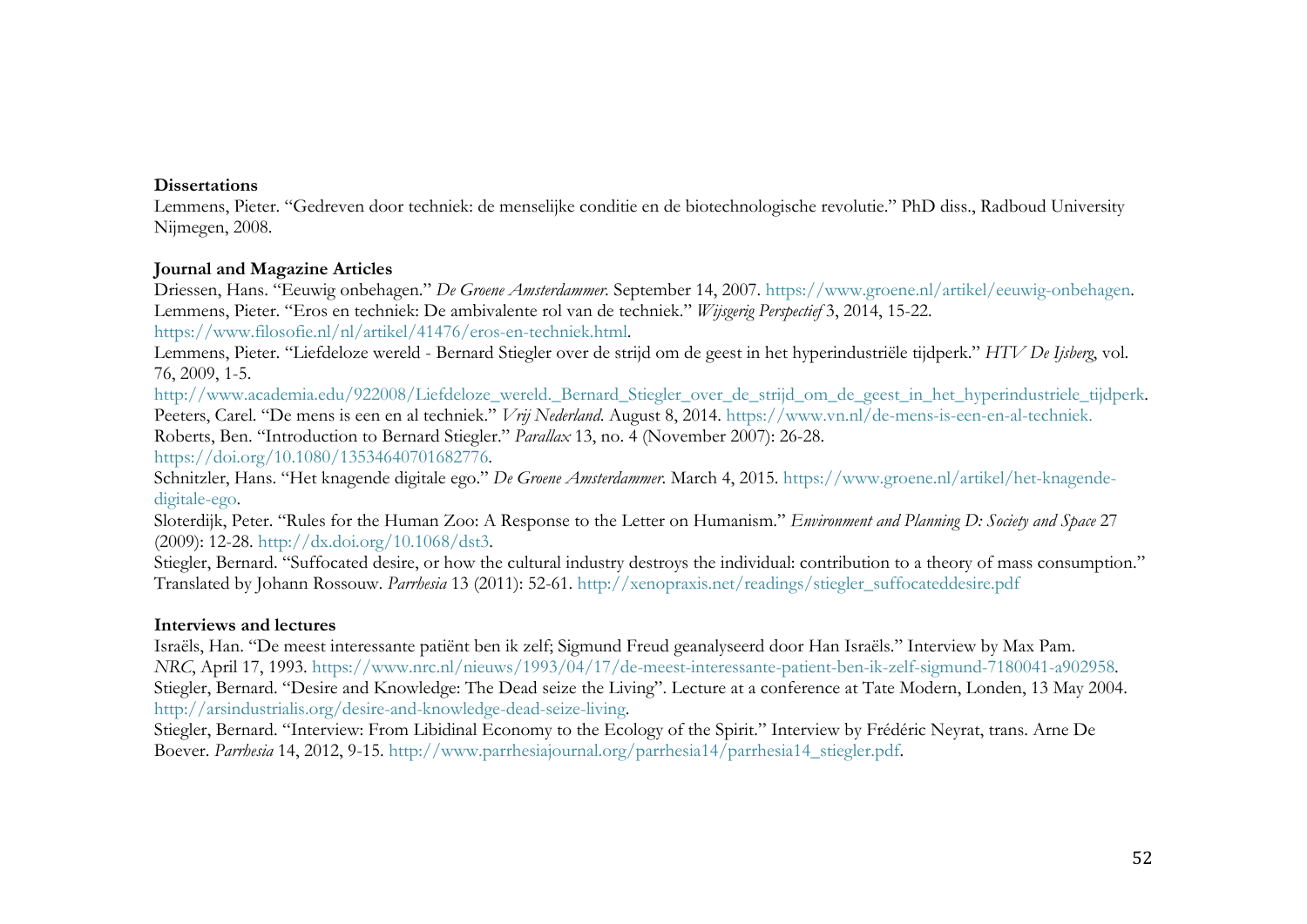#### **Dissertations**

Lemmens, Pieter. "Gedreven door techniek: de menselijke conditie en de biotechnologische revolutie." PhD diss., Radboud University Nijmegen, 2008.

#### **Journal and Magazine Articles**

Driessen, Hans. "Eeuwig onbehagen." *De Groene Amsterdammer*. September 14, 2007. https://www.groene.nl/artikel/eeuwig-onbehagen. Lemmens, Pieter. "Eros en techniek: De ambivalente rol van de techniek." *Wijsgerig Perspectief* 3, 2014, 15-22. https://www.filosofie.nl/nl/artikel/41476/eros-en-techniek.html.

Lemmens, Pieter. "Liefdeloze wereld - Bernard Stiegler over de strijd om de geest in het hyperindustriële tijdperk." *HTV De Ijsberg*, vol. 76, 2009, 1-5.

http://www.academia.edu/922008/Liefdeloze\_wereld.\_Bernard\_Stiegler\_over\_de\_strijd\_om\_de\_geest\_in\_het\_hyperindustriele\_tijdperk. Peeters, Carel. "De mens is een en al techniek." *Vrij Nederland*. August 8, 2014. https://www.vn.nl/de-mens-is-een-en-al-techniek. Roberts, Ben. "Introduction to Bernard Stiegler." *Parallax* 13, no. 4 (November 2007): 26-28. https://doi.org/10.1080/13534640701682776.

Schnitzler, Hans. "Het knagende digitale ego." *De Groene Amsterdammer*. March 4, 2015. https://www.groene.nl/artikel/het-knagendedigitale-ego.

Sloterdijk, Peter. "Rules for the Human Zoo: A Response to the Letter on Humanism." *Environment and Planning D: Society and Space* 27 (2009): 12-28. http://dx.doi.org/10.1068/dst3.

Stiegler, Bernard. "Suffocated desire, or how the cultural industry destroys the individual: contribution to a theory of mass consumption." Translated by Johann Rossouw. *Parrhesia* 13 (2011): 52-61. http://xenopraxis.net/readings/stiegler\_suffocateddesire.pdf

#### **Interviews and lectures**

Israëls, Han. "De meest interessante patiënt ben ik zelf; Sigmund Freud geanalyseerd door Han Israëls." Interview by Max Pam. *NRC*, April 17, 1993. https://www.nrc.nl/nieuws/1993/04/17/de-meest-interessante-patient-ben-ik-zelf-sigmund-7180041-a902958. Stiegler, Bernard. "Desire and Knowledge: The Dead seize the Living". Lecture at a conference at Tate Modern, Londen, 13 May 2004. http://arsindustrialis.org/desire-and-knowledge-dead-seize-living.

Stiegler, Bernard. "Interview: From Libidinal Economy to the Ecology of the Spirit." Interview by Frédéric Neyrat, trans. Arne De Boever. *Parrhesia* 14, 2012, 9-15. http://www.parrhesiajournal.org/parrhesia14/parrhesia14\_stiegler.pdf.